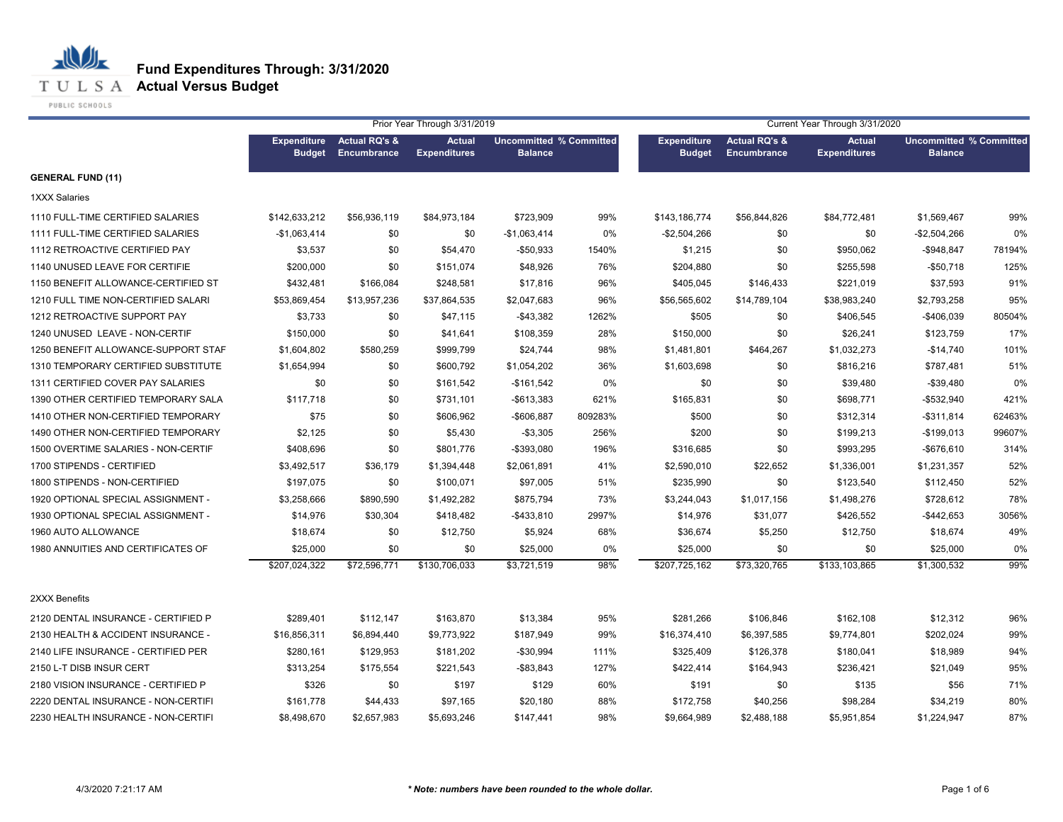**T U L S A Actual Versus Budget** 

PUBLIC SCHOOLS

|                                     |                                     |                                                | Prior Year Through 3/31/2019         |                                                  |         |                                     |                                         | Current Year Through 3/31/2020       |                                                  |        |
|-------------------------------------|-------------------------------------|------------------------------------------------|--------------------------------------|--------------------------------------------------|---------|-------------------------------------|-----------------------------------------|--------------------------------------|--------------------------------------------------|--------|
|                                     | <b>Expenditure</b><br><b>Budget</b> | <b>Actual RQ's &amp;</b><br><b>Encumbrance</b> | <b>Actual</b><br><b>Expenditures</b> | <b>Uncommitted % Committed</b><br><b>Balance</b> |         | <b>Expenditure</b><br><b>Budget</b> | <b>Actual RQ's &amp;</b><br>Encumbrance | <b>Actual</b><br><b>Expenditures</b> | <b>Uncommitted % Committed</b><br><b>Balance</b> |        |
| <b>GENERAL FUND (11)</b>            |                                     |                                                |                                      |                                                  |         |                                     |                                         |                                      |                                                  |        |
| <b>1XXX Salaries</b>                |                                     |                                                |                                      |                                                  |         |                                     |                                         |                                      |                                                  |        |
| 1110 FULL-TIME CERTIFIED SALARIES   | \$142,633,212                       | \$56,936,119                                   | \$84,973,184                         | \$723,909                                        | 99%     | \$143,186,774                       | \$56,844,826                            | \$84,772,481                         | \$1,569,467                                      | 99%    |
| 1111 FULL-TIME CERTIFIED SALARIES   | $-$1,063,414$                       | \$0                                            | \$0                                  | $-$1,063,414$                                    | 0%      | $-$2,504,266$                       | \$0                                     | \$0                                  | -\$2,504,266                                     | 0%     |
| 1112 RETROACTIVE CERTIFIED PAY      | \$3,537                             | \$0                                            | \$54,470                             | -\$50,933                                        | 1540%   | \$1,215                             | \$0                                     | \$950,062                            | $-$948,847$                                      | 78194% |
| 1140 UNUSED LEAVE FOR CERTIFIE      | \$200,000                           | \$0                                            | \$151,074                            | \$48,926                                         | 76%     | \$204,880                           | \$0                                     | \$255,598                            | $-$50,718$                                       | 125%   |
| 1150 BENEFIT ALLOWANCE-CERTIFIED ST | \$432,481                           | \$166,084                                      | \$248,581                            | \$17,816                                         | 96%     | \$405,045                           | \$146,433                               | \$221,019                            | \$37,593                                         | 91%    |
| 1210 FULL TIME NON-CERTIFIED SALARI | \$53,869,454                        | \$13,957,236                                   | \$37,864,535                         | \$2,047,683                                      | 96%     | \$56,565,602                        | \$14,789,104                            | \$38,983,240                         | \$2,793,258                                      | 95%    |
| 1212 RETROACTIVE SUPPORT PAY        | \$3,733                             | \$0                                            | \$47,115                             | -\$43,382                                        | 1262%   | \$505                               | \$0                                     | \$406,545                            | -\$406,039                                       | 80504% |
| 1240 UNUSED LEAVE - NON-CERTIF      | \$150,000                           | \$0                                            | \$41,641                             | \$108,359                                        | 28%     | \$150,000                           | \$0                                     | \$26,241                             | \$123,759                                        | 17%    |
| 1250 BENEFIT ALLOWANCE-SUPPORT STAF | \$1,604,802                         | \$580,259                                      | \$999,799                            | \$24,744                                         | 98%     | \$1,481,801                         | \$464,267                               | \$1,032,273                          | $-$14,740$                                       | 101%   |
| 1310 TEMPORARY CERTIFIED SUBSTITUTE | \$1,654,994                         | \$0                                            | \$600,792                            | \$1,054,202                                      | 36%     | \$1,603,698                         | \$0                                     | \$816,216                            | \$787,481                                        | 51%    |
| 1311 CERTIFIED COVER PAY SALARIES   | \$0                                 | \$0                                            | \$161,542                            | $-$161,542$                                      | 0%      | \$0                                 | \$0                                     | \$39,480                             | $-$39,480$                                       | 0%     |
| 1390 OTHER CERTIFIED TEMPORARY SALA | \$117,718                           | \$0                                            | \$731,101                            | $-$ \$613,383                                    | 621%    | \$165,831                           | \$0                                     | \$698,771                            | -\$532,940                                       | 421%   |
| 1410 OTHER NON-CERTIFIED TEMPORARY  | \$75                                | \$0                                            | \$606,962                            | -\$606,887                                       | 809283% | \$500                               | \$0                                     | \$312,314                            | $-$311,814$                                      | 62463% |
| 1490 OTHER NON-CERTIFIED TEMPORARY  | \$2,125                             | \$0                                            | \$5,430                              | $-$3,305$                                        | 256%    | \$200                               | \$0                                     | \$199,213                            | $-$199,013$                                      | 99607% |
| 1500 OVERTIME SALARIES - NON-CERTIF | \$408,696                           | \$0                                            | \$801,776                            | -\$393,080                                       | 196%    | \$316,685                           | \$0                                     | \$993,295                            | $-$676,610$                                      | 314%   |
| 1700 STIPENDS - CERTIFIED           | \$3,492,517                         | \$36,179                                       | \$1,394,448                          | \$2,061,891                                      | 41%     | \$2,590,010                         | \$22,652                                | \$1,336,001                          | \$1,231,357                                      | 52%    |
| 1800 STIPENDS - NON-CERTIFIED       | \$197,075                           | \$0                                            | \$100,071                            | \$97,005                                         | 51%     | \$235,990                           | \$0                                     | \$123,540                            | \$112,450                                        | 52%    |
| 1920 OPTIONAL SPECIAL ASSIGNMENT -  | \$3,258,666                         | \$890,590                                      | \$1,492,282                          | \$875,794                                        | 73%     | \$3,244,043                         | \$1,017,156                             | \$1,498,276                          | \$728,612                                        | 78%    |
| 1930 OPTIONAL SPECIAL ASSIGNMENT -  | \$14,976                            | \$30,304                                       | \$418,482                            | -\$433,810                                       | 2997%   | \$14,976                            | \$31,077                                | \$426,552                            | $-$ \$442,653                                    | 3056%  |
| 1960 AUTO ALLOWANCE                 | \$18,674                            | \$0                                            | \$12,750                             | \$5,924                                          | 68%     | \$36,674                            | \$5,250                                 | \$12,750                             | \$18,674                                         | 49%    |
| 1980 ANNUITIES AND CERTIFICATES OF  | \$25,000                            | \$0                                            | \$0                                  | \$25,000                                         | 0%      | \$25,000                            | \$0                                     | \$0                                  | \$25,000                                         | 0%     |
|                                     | \$207,024,322                       | \$72,596,771                                   | \$130,706,033                        | \$3,721,519                                      | 98%     | \$207,725,162                       | \$73,320,765                            | \$133,103,865                        | \$1,300,532                                      | 99%    |
| 2XXX Benefits                       |                                     |                                                |                                      |                                                  |         |                                     |                                         |                                      |                                                  |        |
| 2120 DENTAL INSURANCE - CERTIFIED P | \$289,401                           | \$112,147                                      | \$163,870                            | \$13,384                                         | 95%     | \$281,266                           | \$106,846                               | \$162,108                            | \$12,312                                         | 96%    |
| 2130 HEALTH & ACCIDENT INSURANCE -  | \$16,856,311                        | \$6,894,440                                    | \$9,773,922                          | \$187,949                                        | 99%     | \$16,374,410                        | \$6,397,585                             | \$9,774,801                          | \$202,024                                        | 99%    |
| 2140 LIFE INSURANCE - CERTIFIED PER | \$280,161                           | \$129,953                                      | \$181,202                            | -\$30,994                                        | 111%    | \$325,409                           | \$126,378                               | \$180,041                            | \$18,989                                         | 94%    |
| 2150 L-T DISB INSUR CERT            | \$313,254                           | \$175,554                                      | \$221,543                            | $-$ \$83,843                                     | 127%    | \$422,414                           | \$164,943                               | \$236,421                            | \$21,049                                         | 95%    |
| 2180 VISION INSURANCE - CERTIFIED P | \$326                               | \$0                                            | \$197                                | \$129                                            | 60%     | \$191                               | \$0                                     | \$135                                | \$56                                             | 71%    |
| 2220 DENTAL INSURANCE - NON-CERTIFI | \$161,778                           | \$44,433                                       | \$97,165                             | \$20,180                                         | 88%     | \$172,758                           | \$40,256                                | \$98,284                             | \$34,219                                         | 80%    |
| 2230 HEALTH INSURANCE - NON-CERTIFI | \$8,498,670                         | \$2,657,983                                    | \$5,693,246                          | \$147,441                                        | 98%     | \$9,664,989                         | \$2,488,188                             | \$5,951,854                          | \$1,224,947                                      | 87%    |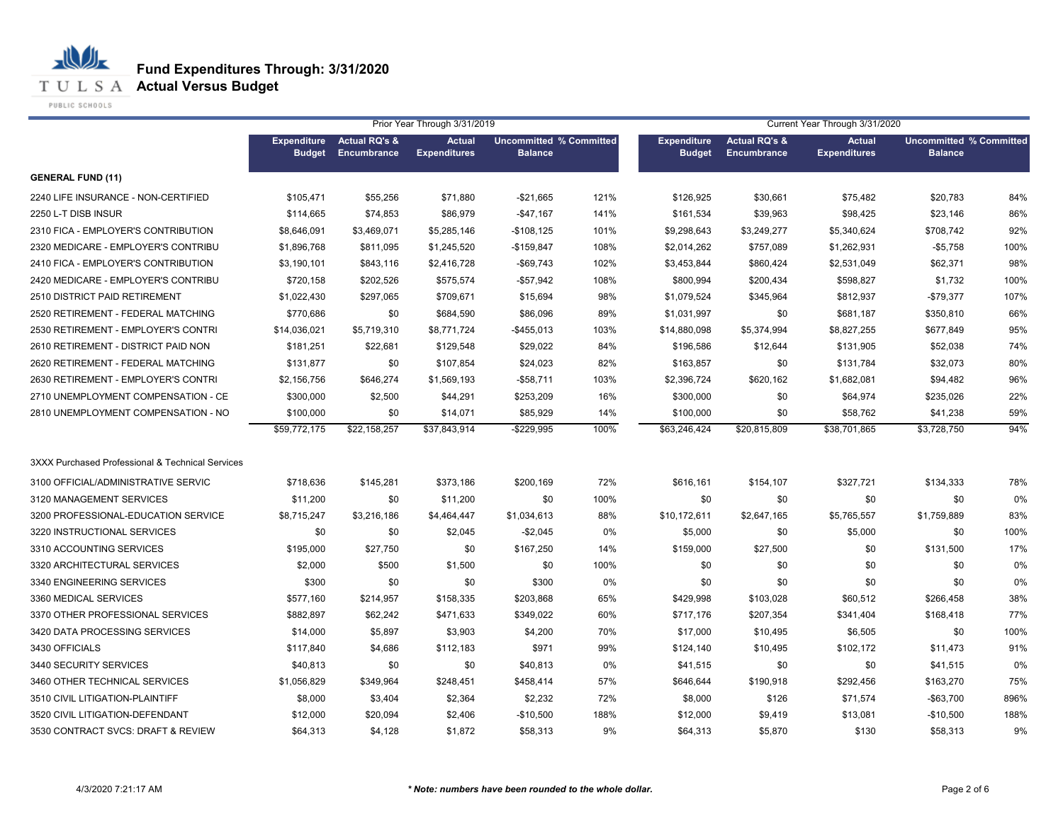**T U L S A Actual Versus Budget** 

PUBLIC SCHOOLS

|                                                  |                                     |                                                | Prior Year Through 3/31/2019         |                                                  |      |                                     |                                         | Current Year Through 3/31/2020       |                                                  |      |
|--------------------------------------------------|-------------------------------------|------------------------------------------------|--------------------------------------|--------------------------------------------------|------|-------------------------------------|-----------------------------------------|--------------------------------------|--------------------------------------------------|------|
|                                                  | <b>Expenditure</b><br><b>Budget</b> | <b>Actual RQ's &amp;</b><br><b>Encumbrance</b> | <b>Actual</b><br><b>Expenditures</b> | <b>Uncommitted % Committed</b><br><b>Balance</b> |      | <b>Expenditure</b><br><b>Budget</b> | <b>Actual RQ's &amp;</b><br>Encumbrance | <b>Actual</b><br><b>Expenditures</b> | <b>Uncommitted % Committed</b><br><b>Balance</b> |      |
| <b>GENERAL FUND (11)</b>                         |                                     |                                                |                                      |                                                  |      |                                     |                                         |                                      |                                                  |      |
| 2240 LIFE INSURANCE - NON-CERTIFIED              | \$105,471                           | \$55,256                                       | \$71,880                             | -\$21,665                                        | 121% | \$126,925                           | \$30,661                                | \$75,482                             | \$20,783                                         | 84%  |
| 2250 L-T DISB INSUR                              | \$114,665                           | \$74,853                                       | \$86,979                             | $-$ \$47,167                                     | 141% | \$161,534                           | \$39,963                                | \$98,425                             | \$23,146                                         | 86%  |
| 2310 FICA - EMPLOYER'S CONTRIBUTION              | \$8,646,091                         | \$3,469,071                                    | \$5,285,146                          | $-$108,125$                                      | 101% | \$9,298,643                         | \$3,249,277                             | \$5,340,624                          | \$708,742                                        | 92%  |
| 2320 MEDICARE - EMPLOYER'S CONTRIBU              | \$1,896,768                         | \$811,095                                      | \$1,245,520                          | $-$159,847$                                      | 108% | \$2,014,262                         | \$757,089                               | \$1,262,931                          | $-$5,758$                                        | 100% |
| 2410 FICA - EMPLOYER'S CONTRIBUTION              | \$3,190,101                         | \$843,116                                      | \$2,416,728                          | -\$69,743                                        | 102% | \$3,453,844                         | \$860,424                               | \$2,531,049                          | \$62,371                                         | 98%  |
| 2420 MEDICARE - EMPLOYER'S CONTRIBU              | \$720,158                           | \$202,526                                      | \$575,574                            | $-$ \$57,942                                     | 108% | \$800,994                           | \$200,434                               | \$598,827                            | \$1,732                                          | 100% |
| 2510 DISTRICT PAID RETIREMENT                    | \$1,022,430                         | \$297,065                                      | \$709,671                            | \$15,694                                         | 98%  | \$1,079,524                         | \$345,964                               | \$812,937                            | $-$79,377$                                       | 107% |
| 2520 RETIREMENT - FEDERAL MATCHING               | \$770,686                           | \$0                                            | \$684,590                            | \$86,096                                         | 89%  | \$1,031,997                         | \$0                                     | \$681,187                            | \$350,810                                        | 66%  |
| 2530 RETIREMENT - EMPLOYER'S CONTRI              | \$14,036,021                        | \$5,719,310                                    | \$8,771,724                          | $-$ \$455,013                                    | 103% | \$14,880,098                        | \$5,374,994                             | \$8,827,255                          | \$677,849                                        | 95%  |
| 2610 RETIREMENT - DISTRICT PAID NON              | \$181,251                           | \$22,681                                       | \$129,548                            | \$29,022                                         | 84%  | \$196,586                           | \$12,644                                | \$131,905                            | \$52,038                                         | 74%  |
| 2620 RETIREMENT - FEDERAL MATCHING               | \$131,877                           | \$0                                            | \$107,854                            | \$24,023                                         | 82%  | \$163,857                           | \$0                                     | \$131,784                            | \$32,073                                         | 80%  |
| 2630 RETIREMENT - EMPLOYER'S CONTRI              | \$2,156,756                         | \$646,274                                      | \$1,569,193                          | -\$58,711                                        | 103% | \$2,396,724                         | \$620,162                               | \$1,682,081                          | \$94,482                                         | 96%  |
| 2710 UNEMPLOYMENT COMPENSATION - CE              | \$300,000                           | \$2,500                                        | \$44,291                             | \$253,209                                        | 16%  | \$300,000                           | \$0                                     | \$64,974                             | \$235,026                                        | 22%  |
| 2810 UNEMPLOYMENT COMPENSATION - NO              | \$100,000                           | \$0                                            | \$14,071                             | \$85,929                                         | 14%  | \$100,000                           | \$0                                     | \$58,762                             | \$41,238                                         | 59%  |
|                                                  | \$59,772,175                        | \$22,158,257                                   | \$37,843,914                         | $-$ \$229,995                                    | 100% | \$63,246,424                        | \$20,815,809                            | \$38,701,865                         | \$3,728,750                                      | 94%  |
| 3XXX Purchased Professional & Technical Services |                                     |                                                |                                      |                                                  |      |                                     |                                         |                                      |                                                  |      |
| 3100 OFFICIAL/ADMINISTRATIVE SERVIC              | \$718,636                           | \$145,281                                      | \$373,186                            | \$200,169                                        | 72%  | \$616,161                           | \$154,107                               | \$327,721                            | \$134,333                                        | 78%  |
| 3120 MANAGEMENT SERVICES                         | \$11,200                            | \$0                                            | \$11,200                             | \$0                                              | 100% | \$0                                 | \$0                                     | \$0                                  | \$0                                              | 0%   |
| 3200 PROFESSIONAL-EDUCATION SERVICE              | \$8,715,247                         | \$3,216,186                                    | \$4,464,447                          | \$1,034,613                                      | 88%  | \$10,172,611                        | \$2,647,165                             | \$5,765,557                          | \$1,759,889                                      | 83%  |
| 3220 INSTRUCTIONAL SERVICES                      | \$0                                 | \$0                                            | \$2,045                              | $-$2,045$                                        | 0%   | \$5,000                             | \$0                                     | \$5,000                              | \$0                                              | 100% |
| 3310 ACCOUNTING SERVICES                         | \$195,000                           | \$27,750                                       | \$0                                  | \$167,250                                        | 14%  | \$159,000                           | \$27,500                                | \$0                                  | \$131,500                                        | 17%  |
| 3320 ARCHITECTURAL SERVICES                      | \$2,000                             | \$500                                          | \$1,500                              | \$0                                              | 100% | \$0                                 | \$0                                     | \$0                                  | \$0                                              | 0%   |
| 3340 ENGINEERING SERVICES                        | \$300                               | \$0                                            | \$0                                  | \$300                                            | 0%   | \$0                                 | \$0                                     | \$0                                  | \$0                                              | 0%   |
| 3360 MEDICAL SERVICES                            | \$577,160                           | \$214,957                                      | \$158,335                            | \$203,868                                        | 65%  | \$429,998                           | \$103,028                               | \$60,512                             | \$266,458                                        | 38%  |
| 3370 OTHER PROFESSIONAL SERVICES                 | \$882,897                           | \$62,242                                       | \$471,633                            | \$349,022                                        | 60%  | \$717,176                           | \$207,354                               | \$341,404                            | \$168,418                                        | 77%  |
| 3420 DATA PROCESSING SERVICES                    | \$14,000                            | \$5,897                                        | \$3,903                              | \$4,200                                          | 70%  | \$17,000                            | \$10,495                                | \$6,505                              | \$0                                              | 100% |
| 3430 OFFICIALS                                   | \$117,840                           | \$4,686                                        | \$112,183                            | \$971                                            | 99%  | \$124,140                           | \$10,495                                | \$102,172                            | \$11,473                                         | 91%  |
| 3440 SECURITY SERVICES                           | \$40,813                            | \$0                                            | \$0                                  | \$40,813                                         | 0%   | \$41,515                            | \$0                                     | \$0                                  | \$41,515                                         | 0%   |
| 3460 OTHER TECHNICAL SERVICES                    | \$1,056,829                         | \$349,964                                      | \$248,451                            | \$458,414                                        | 57%  | \$646,644                           | \$190,918                               | \$292,456                            | \$163,270                                        | 75%  |
| 3510 CIVIL LITIGATION-PLAINTIFF                  | \$8,000                             | \$3,404                                        | \$2,364                              | \$2,232                                          | 72%  | \$8,000                             | \$126                                   | \$71,574                             | $-$63,700$                                       | 896% |
| 3520 CIVIL LITIGATION-DEFENDANT                  | \$12,000                            | \$20,094                                       | \$2,406                              | -\$10,500                                        | 188% | \$12,000                            | \$9,419                                 | \$13,081                             | $-$10,500$                                       | 188% |
| 3530 CONTRACT SVCS: DRAFT & REVIEW               | \$64,313                            | \$4,128                                        | \$1,872                              | \$58,313                                         | 9%   | \$64,313                            | \$5,870                                 | \$130                                | \$58,313                                         | 9%   |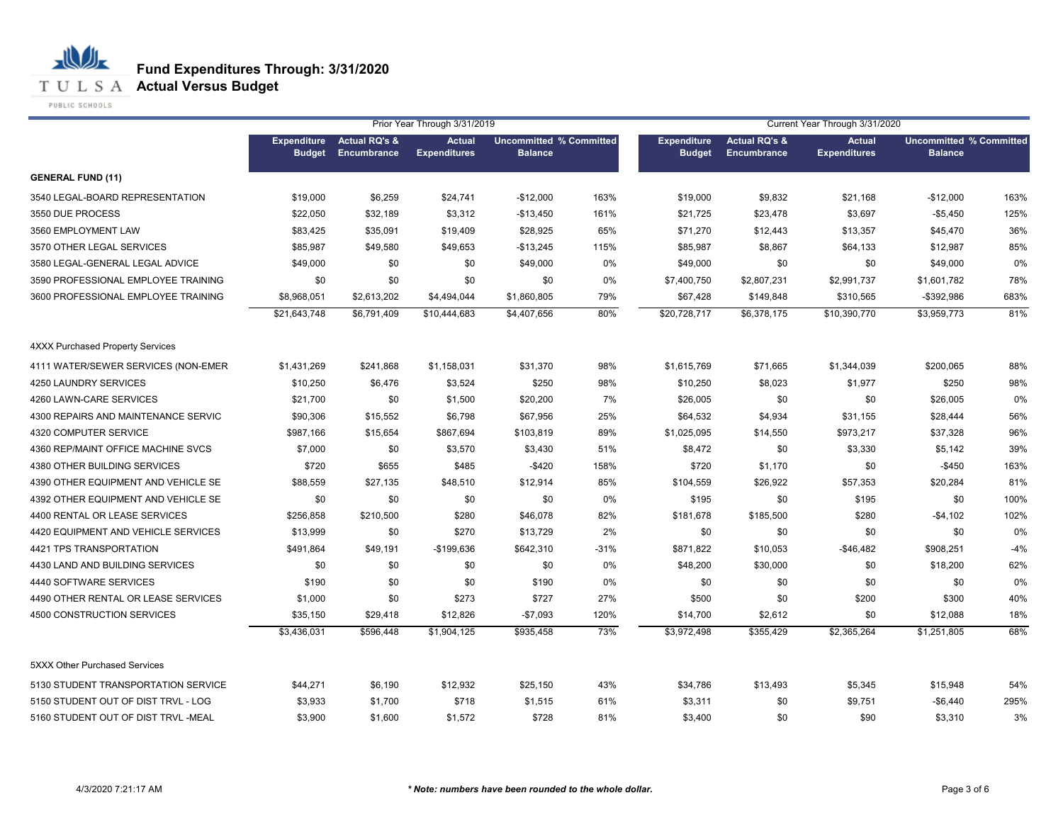**T U L S A Actual Versus Budget** 

PUBLIC SCHOOLS

|                                         |                                     |                                         | Prior Year Through 3/31/2019         |                                                  |        |                                     |                                         | Current Year Through 3/31/2020       |                                                  |       |
|-----------------------------------------|-------------------------------------|-----------------------------------------|--------------------------------------|--------------------------------------------------|--------|-------------------------------------|-----------------------------------------|--------------------------------------|--------------------------------------------------|-------|
|                                         | <b>Expenditure</b><br><b>Budget</b> | <b>Actual RQ's &amp;</b><br>Encumbrance | <b>Actual</b><br><b>Expenditures</b> | <b>Uncommitted % Committed</b><br><b>Balance</b> |        | <b>Expenditure</b><br><b>Budget</b> | <b>Actual RQ's &amp;</b><br>Encumbrance | <b>Actual</b><br><b>Expenditures</b> | <b>Uncommitted % Committed</b><br><b>Balance</b> |       |
| <b>GENERAL FUND (11)</b>                |                                     |                                         |                                      |                                                  |        |                                     |                                         |                                      |                                                  |       |
| 3540 LEGAL-BOARD REPRESENTATION         | \$19,000                            | \$6,259                                 | \$24,741                             | $-$12,000$                                       | 163%   | \$19,000                            | \$9,832                                 | \$21,168                             | $-$12,000$                                       | 163%  |
| 3550 DUE PROCESS                        | \$22,050                            | \$32,189                                | \$3,312                              | $-$13,450$                                       | 161%   | \$21,725                            | \$23,478                                | \$3,697                              | $-$5,450$                                        | 125%  |
| 3560 EMPLOYMENT LAW                     | \$83,425                            | \$35,091                                | \$19,409                             | \$28,925                                         | 65%    | \$71,270                            | \$12,443                                | \$13,357                             | \$45,470                                         | 36%   |
| 3570 OTHER LEGAL SERVICES               | \$85,987                            | \$49,580                                | \$49,653                             | $-$13,245$                                       | 115%   | \$85,987                            | \$8,867                                 | \$64,133                             | \$12,987                                         | 85%   |
| 3580 LEGAL-GENERAL LEGAL ADVICE         | \$49,000                            | \$0                                     | \$0                                  | \$49,000                                         | 0%     | \$49,000                            | \$0                                     | \$0                                  | \$49,000                                         | 0%    |
| 3590 PROFESSIONAL EMPLOYEE TRAINING     | \$0                                 | \$0                                     | \$0                                  | \$0                                              | 0%     | \$7,400,750                         | \$2,807,231                             | \$2,991,737                          | \$1,601,782                                      | 78%   |
| 3600 PROFESSIONAL EMPLOYEE TRAINING     | \$8,968,051                         | \$2,613,202                             | \$4,494,044                          | \$1,860,805                                      | 79%    | \$67,428                            | \$149,848                               | \$310,565                            | $-$392,986$                                      | 683%  |
|                                         | \$21,643,748                        | \$6,791,409                             | \$10,444,683                         | \$4,407,656                                      | 80%    | \$20,728,717                        | \$6,378,175                             | \$10,390,770                         | \$3,959,773                                      | 81%   |
| <b>4XXX Purchased Property Services</b> |                                     |                                         |                                      |                                                  |        |                                     |                                         |                                      |                                                  |       |
| 4111 WATER/SEWER SERVICES (NON-EMER     | \$1,431,269                         | \$241,868                               | \$1,158,031                          | \$31,370                                         | 98%    | \$1,615,769                         | \$71,665                                | \$1,344,039                          | \$200,065                                        | 88%   |
| 4250 LAUNDRY SERVICES                   | \$10,250                            | \$6,476                                 | \$3,524                              | \$250                                            | 98%    | \$10,250                            | \$8,023                                 | \$1,977                              | \$250                                            | 98%   |
| 4260 LAWN-CARE SERVICES                 | \$21,700                            | \$0                                     | \$1,500                              | \$20,200                                         | 7%     | \$26,005                            | \$0                                     | \$0                                  | \$26,005                                         | 0%    |
| 4300 REPAIRS AND MAINTENANCE SERVIC     | \$90,306                            | \$15,552                                | \$6,798                              | \$67,956                                         | 25%    | \$64,532                            | \$4,934                                 | \$31,155                             | \$28,444                                         | 56%   |
| 4320 COMPUTER SERVICE                   | \$987,166                           | \$15,654                                | \$867,694                            | \$103,819                                        | 89%    | \$1,025,095                         | \$14,550                                | \$973,217                            | \$37,328                                         | 96%   |
| 4360 REP/MAINT OFFICE MACHINE SVCS      | \$7,000                             | \$0                                     | \$3,570                              | \$3,430                                          | 51%    | \$8,472                             | \$0                                     | \$3,330                              | \$5,142                                          | 39%   |
| 4380 OTHER BUILDING SERVICES            | \$720                               | \$655                                   | \$485                                | $-$ \$420                                        | 158%   | \$720                               | \$1,170                                 | \$0                                  | $-$450$                                          | 163%  |
| 4390 OTHER EQUIPMENT AND VEHICLE SE     | \$88,559                            | \$27,135                                | \$48,510                             | \$12,914                                         | 85%    | \$104,559                           | \$26,922                                | \$57,353                             | \$20,284                                         | 81%   |
| 4392 OTHER EQUIPMENT AND VEHICLE SE     | \$0                                 | \$0                                     | \$0                                  | \$0                                              | 0%     | \$195                               | \$0                                     | \$195                                | \$0                                              | 100%  |
| 4400 RENTAL OR LEASE SERVICES           | \$256,858                           | \$210,500                               | \$280                                | \$46,078                                         | 82%    | \$181,678                           | \$185,500                               | \$280                                | $-$4,102$                                        | 102%  |
| 4420 EQUIPMENT AND VEHICLE SERVICES     | \$13,999                            | \$0                                     | \$270                                | \$13,729                                         | 2%     | \$0                                 | \$0                                     | \$0                                  | \$0                                              | 0%    |
| 4421 TPS TRANSPORTATION                 | \$491,864                           | \$49,191                                | -\$199,636                           | \$642,310                                        | $-31%$ | \$871,822                           | \$10,053                                | $-$46,482$                           | \$908,251                                        | $-4%$ |
| 4430 LAND AND BUILDING SERVICES         | \$0                                 | \$0                                     | \$0                                  | \$0                                              | 0%     | \$48,200                            | \$30,000                                | \$0                                  | \$18,200                                         | 62%   |
| 4440 SOFTWARE SERVICES                  | \$190                               | \$0                                     | \$0                                  | \$190                                            | 0%     | \$0                                 | \$0                                     | \$0                                  | \$0                                              | 0%    |
| 4490 OTHER RENTAL OR LEASE SERVICES     | \$1,000                             | \$0                                     | \$273                                | \$727                                            | 27%    | \$500                               | \$0                                     | \$200                                | \$300                                            | 40%   |
| 4500 CONSTRUCTION SERVICES              | \$35,150                            | \$29,418                                | \$12,826                             | $-$7,093$                                        | 120%   | \$14,700                            | \$2,612                                 | \$0                                  | \$12,088                                         | 18%   |
|                                         | \$3,436,031                         | \$596,448                               | \$1,904,125                          | \$935,458                                        | 73%    | \$3,972,498                         | \$355,429                               | \$2,365,264                          | \$1,251,805                                      | 68%   |
| 5XXX Other Purchased Services           |                                     |                                         |                                      |                                                  |        |                                     |                                         |                                      |                                                  |       |
| 5130 STUDENT TRANSPORTATION SERVICE     | \$44,271                            | \$6,190                                 | \$12,932                             | \$25,150                                         | 43%    | \$34,786                            | \$13,493                                | \$5,345                              | \$15,948                                         | 54%   |
| 5150 STUDENT OUT OF DIST TRVL - LOG     | \$3,933                             | \$1,700                                 | \$718                                | \$1,515                                          | 61%    | \$3,311                             | \$0                                     | \$9,751                              | $-$6,440$                                        | 295%  |
| 5160 STUDENT OUT OF DIST TRVL -MEAL     | \$3,900                             | \$1,600                                 | \$1,572                              | \$728                                            | 81%    | \$3,400                             | \$0                                     | \$90                                 | \$3,310                                          | 3%    |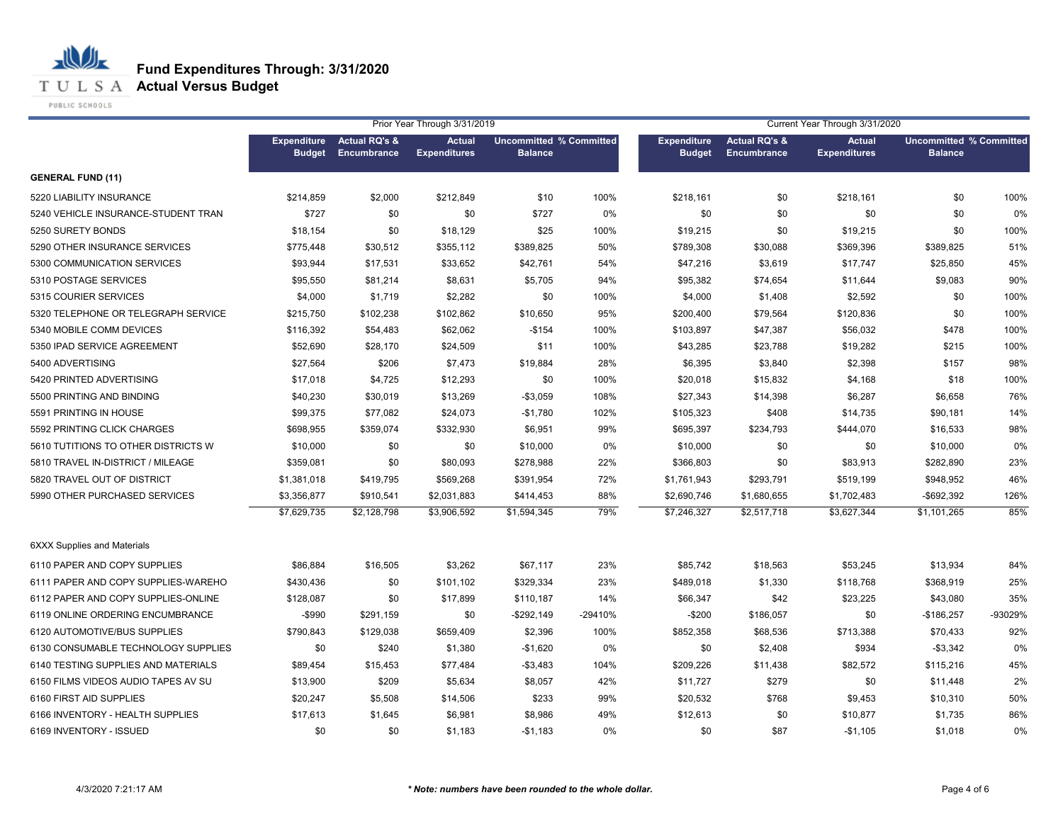**T U L S A Actual Versus Budget** 

PUBLIC SCHOOLS

|                                     |                                     |                                         | Prior Year Through 3/31/2019         |                                                  |         | Current Year Through 3/31/2020      |                                         |                                      |                                                  |         |
|-------------------------------------|-------------------------------------|-----------------------------------------|--------------------------------------|--------------------------------------------------|---------|-------------------------------------|-----------------------------------------|--------------------------------------|--------------------------------------------------|---------|
|                                     | <b>Expenditure</b><br><b>Budget</b> | <b>Actual RQ's &amp;</b><br>Encumbrance | <b>Actual</b><br><b>Expenditures</b> | <b>Uncommitted % Committed</b><br><b>Balance</b> |         | <b>Expenditure</b><br><b>Budget</b> | <b>Actual RQ's &amp;</b><br>Encumbrance | <b>Actual</b><br><b>Expenditures</b> | <b>Uncommitted % Committed</b><br><b>Balance</b> |         |
| <b>GENERAL FUND (11)</b>            |                                     |                                         |                                      |                                                  |         |                                     |                                         |                                      |                                                  |         |
| 5220 LIABILITY INSURANCE            | \$214,859                           | \$2,000                                 | \$212,849                            | \$10                                             | 100%    | \$218,161                           | \$0                                     | \$218,161                            | \$0                                              | 100%    |
| 5240 VEHICLE INSURANCE-STUDENT TRAN | \$727                               | \$0                                     | \$0                                  | \$727                                            | 0%      | \$0                                 | \$0                                     | \$0                                  | \$0                                              | 0%      |
| 5250 SURETY BONDS                   | \$18,154                            | \$0                                     | \$18,129                             | \$25                                             | 100%    | \$19,215                            | \$0                                     | \$19,215                             | \$0                                              | 100%    |
| 5290 OTHER INSURANCE SERVICES       | \$775,448                           | \$30,512                                | \$355,112                            | \$389,825                                        | 50%     | \$789,308                           | \$30,088                                | \$369,396                            | \$389,825                                        | 51%     |
| 5300 COMMUNICATION SERVICES         | \$93,944                            | \$17,531                                | \$33,652                             | \$42,761                                         | 54%     | \$47,216                            | \$3,619                                 | \$17,747                             | \$25,850                                         | 45%     |
| 5310 POSTAGE SERVICES               | \$95,550                            | \$81,214                                | \$8,631                              | \$5,705                                          | 94%     | \$95,382                            | \$74,654                                | \$11,644                             | \$9,083                                          | 90%     |
| 5315 COURIER SERVICES               | \$4,000                             | \$1,719                                 | \$2,282                              | \$0                                              | 100%    | \$4,000                             | \$1,408                                 | \$2,592                              | \$0                                              | 100%    |
| 5320 TELEPHONE OR TELEGRAPH SERVICE | \$215,750                           | \$102,238                               | \$102,862                            | \$10,650                                         | 95%     | \$200,400                           | \$79,564                                | \$120,836                            | \$0                                              | 100%    |
| 5340 MOBILE COMM DEVICES            | \$116,392                           | \$54,483                                | \$62,062                             | $-$154$                                          | 100%    | \$103,897                           | \$47,387                                | \$56,032                             | \$478                                            | 100%    |
| 5350 IPAD SERVICE AGREEMENT         | \$52,690                            | \$28,170                                | \$24,509                             | \$11                                             | 100%    | \$43,285                            | \$23,788                                | \$19,282                             | \$215                                            | 100%    |
| 5400 ADVERTISING                    | \$27,564                            | \$206                                   | \$7,473                              | \$19,884                                         | 28%     | \$6,395                             | \$3,840                                 | \$2,398                              | \$157                                            | 98%     |
| 5420 PRINTED ADVERTISING            | \$17,018                            | \$4,725                                 | \$12,293                             | \$0                                              | 100%    | \$20,018                            | \$15,832                                | \$4,168                              | \$18                                             | 100%    |
| 5500 PRINTING AND BINDING           | \$40,230                            | \$30,019                                | \$13,269                             | $-$3,059$                                        | 108%    | \$27,343                            | \$14,398                                | \$6,287                              | \$6,658                                          | 76%     |
| 5591 PRINTING IN HOUSE              | \$99,375                            | \$77,082                                | \$24,073                             | $-$1,780$                                        | 102%    | \$105,323                           | \$408                                   | \$14,735                             | \$90,181                                         | 14%     |
| 5592 PRINTING CLICK CHARGES         | \$698,955                           | \$359,074                               | \$332,930                            | \$6,951                                          | 99%     | \$695,397                           | \$234,793                               | \$444,070                            | \$16,533                                         | 98%     |
| 5610 TUTITIONS TO OTHER DISTRICTS W | \$10,000                            | \$0                                     | \$0                                  | \$10,000                                         | 0%      | \$10,000                            | \$0                                     | \$0                                  | \$10,000                                         | 0%      |
| 5810 TRAVEL IN-DISTRICT / MILEAGE   | \$359,081                           | \$0                                     | \$80,093                             | \$278,988                                        | 22%     | \$366,803                           | \$0                                     | \$83,913                             | \$282,890                                        | 23%     |
| 5820 TRAVEL OUT OF DISTRICT         | \$1,381,018                         | \$419,795                               | \$569,268                            | \$391,954                                        | 72%     | \$1,761,943                         | \$293,791                               | \$519,199                            | \$948,952                                        | 46%     |
| 5990 OTHER PURCHASED SERVICES       | \$3,356,877                         | \$910,541                               | \$2,031,883                          | \$414,453                                        | 88%     | \$2,690,746                         | \$1,680,655                             | \$1,702,483                          | -\$692,392                                       | 126%    |
|                                     | \$7,629,735                         | \$2,128,798                             | \$3,906,592                          | \$1,594,345                                      | 79%     | \$7,246,327                         | \$2,517,718                             | \$3,627,344                          | \$1,101,265                                      | 85%     |
| <b>6XXX Supplies and Materials</b>  |                                     |                                         |                                      |                                                  |         |                                     |                                         |                                      |                                                  |         |
| 6110 PAPER AND COPY SUPPLIES        | \$86,884                            | \$16,505                                | \$3,262                              | \$67,117                                         | 23%     | \$85,742                            | \$18,563                                | \$53,245                             | \$13,934                                         | 84%     |
| 6111 PAPER AND COPY SUPPLIES-WAREHO | \$430,436                           | \$0                                     | \$101,102                            | \$329,334                                        | 23%     | \$489,018                           | \$1,330                                 | \$118,768                            | \$368,919                                        | 25%     |
| 6112 PAPER AND COPY SUPPLIES-ONLINE | \$128,087                           | \$0                                     | \$17,899                             | \$110,187                                        | 14%     | \$66,347                            | \$42                                    | \$23,225                             | \$43,080                                         | 35%     |
| 6119 ONLINE ORDERING ENCUMBRANCE    | $-$ \$990                           | \$291,159                               | \$0                                  | $-$ \$292,149                                    | -29410% | $-$200$                             | \$186,057                               | \$0                                  | $-$186,257$                                      | -93029% |
| 6120 AUTOMOTIVE/BUS SUPPLIES        | \$790,843                           | \$129,038                               | \$659,409                            | \$2,396                                          | 100%    | \$852,358                           | \$68,536                                | \$713,388                            | \$70,433                                         | 92%     |
| 6130 CONSUMABLE TECHNOLOGY SUPPLIES | \$0                                 | \$240                                   | \$1,380                              | $-$1,620$                                        | 0%      | \$0                                 | \$2,408                                 | \$934                                | $-$ \$3,342                                      | 0%      |
| 6140 TESTING SUPPLIES AND MATERIALS | \$89,454                            | \$15,453                                | \$77,484                             | $-$ \$3,483                                      | 104%    | \$209,226                           | \$11,438                                | \$82,572                             | \$115,216                                        | 45%     |
| 6150 FILMS VIDEOS AUDIO TAPES AV SU | \$13,900                            | \$209                                   | \$5,634                              | \$8,057                                          | 42%     | \$11,727                            | \$279                                   | \$0                                  | \$11,448                                         | 2%      |
| 6160 FIRST AID SUPPLIES             | \$20,247                            | \$5,508                                 | \$14,506                             | \$233                                            | 99%     | \$20,532                            | \$768                                   | \$9,453                              | \$10,310                                         | 50%     |
| 6166 INVENTORY - HEALTH SUPPLIES    | \$17,613                            | \$1,645                                 | \$6,981                              | \$8,986                                          | 49%     | \$12,613                            | \$0                                     | \$10,877                             | \$1,735                                          | 86%     |
| 6169 INVENTORY - ISSUED             | \$0                                 | \$0                                     | \$1,183                              | $-$1,183$                                        | 0%      | \$0                                 | \$87                                    | $-$1,105$                            | \$1,018                                          | 0%      |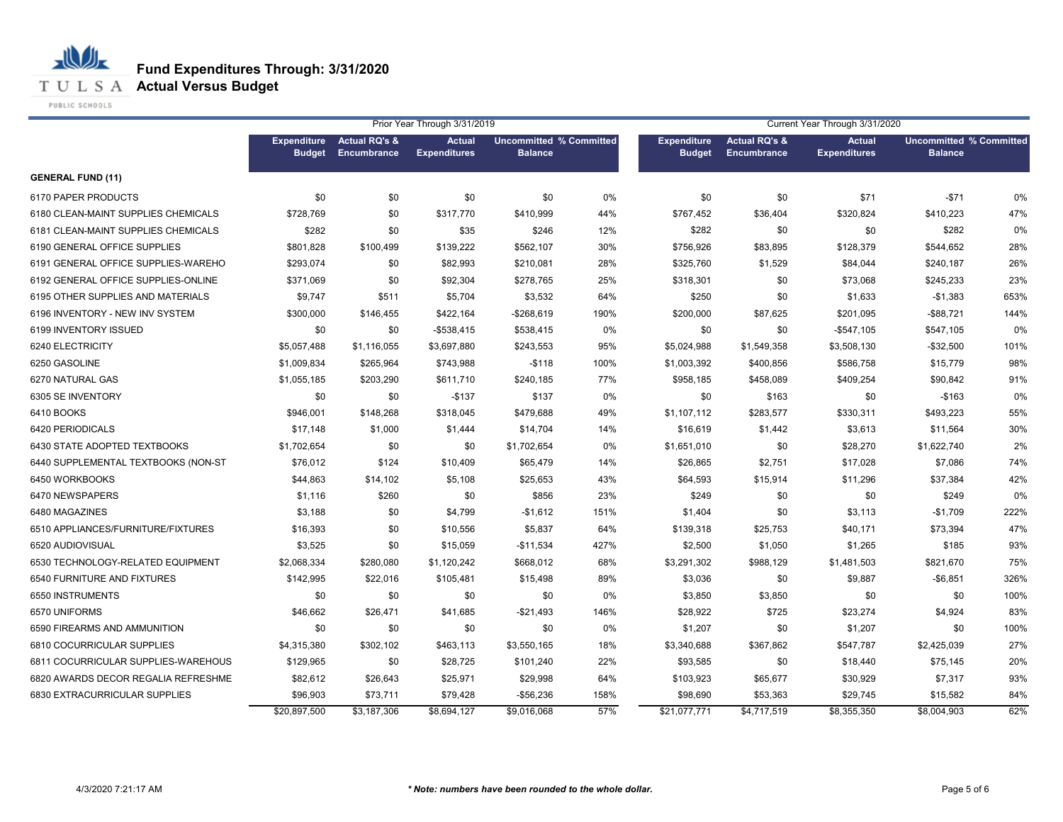**T U L S A Actual Versus Budget** 

PUBLIC SCHOOLS

|                                     |                                     |                                         | Prior Year Through 3/31/2019         |                                                  |      |                                     |                                         | Current Year Through 3/31/2020       |                                                  |      |
|-------------------------------------|-------------------------------------|-----------------------------------------|--------------------------------------|--------------------------------------------------|------|-------------------------------------|-----------------------------------------|--------------------------------------|--------------------------------------------------|------|
|                                     | <b>Expenditure</b><br><b>Budget</b> | <b>Actual RQ's &amp;</b><br>Encumbrance | <b>Actual</b><br><b>Expenditures</b> | <b>Uncommitted % Committed</b><br><b>Balance</b> |      | <b>Expenditure</b><br><b>Budget</b> | <b>Actual RQ's &amp;</b><br>Encumbrance | <b>Actual</b><br><b>Expenditures</b> | <b>Uncommitted % Committed</b><br><b>Balance</b> |      |
| <b>GENERAL FUND (11)</b>            |                                     |                                         |                                      |                                                  |      |                                     |                                         |                                      |                                                  |      |
| 6170 PAPER PRODUCTS                 | \$0                                 | \$0                                     | \$0                                  | \$0                                              | 0%   | \$0                                 | \$0                                     | \$71                                 | $-$71$                                           | 0%   |
| 6180 CLEAN-MAINT SUPPLIES CHEMICALS | \$728,769                           | \$0                                     | \$317,770                            | \$410,999                                        | 44%  | \$767,452                           | \$36,404                                | \$320,824                            | \$410,223                                        | 47%  |
| 6181 CLEAN-MAINT SUPPLIES CHEMICALS | \$282                               | \$0                                     | \$35                                 | \$246                                            | 12%  | \$282                               | \$0                                     | \$0                                  | \$282                                            | 0%   |
| 6190 GENERAL OFFICE SUPPLIES        | \$801,828                           | \$100,499                               | \$139,222                            | \$562,107                                        | 30%  | \$756,926                           | \$83,895                                | \$128,379                            | \$544,652                                        | 28%  |
| 6191 GENERAL OFFICE SUPPLIES-WAREHO | \$293,074                           | \$0                                     | \$82,993                             | \$210,081                                        | 28%  | \$325,760                           | \$1,529                                 | \$84,044                             | \$240,187                                        | 26%  |
| 6192 GENERAL OFFICE SUPPLIES-ONLINE | \$371,069                           | \$0                                     | \$92,304                             | \$278,765                                        | 25%  | \$318,301                           | \$0                                     | \$73,068                             | \$245,233                                        | 23%  |
| 6195 OTHER SUPPLIES AND MATERIALS   | \$9,747                             | \$511                                   | \$5,704                              | \$3,532                                          | 64%  | \$250                               | \$0                                     | \$1,633                              | $-$1,383$                                        | 653% |
| 6196 INVENTORY - NEW INV SYSTEM     | \$300,000                           | \$146,455                               | \$422,164                            | $-$ \$268,619                                    | 190% | \$200,000                           | \$87,625                                | \$201,095                            | $-$ \$88,721                                     | 144% |
| 6199 INVENTORY ISSUED               | \$0                                 | \$0                                     | $-$ \$538,415                        | \$538,415                                        | 0%   | \$0                                 | \$0                                     | $-$547,105$                          | \$547,105                                        | 0%   |
| 6240 ELECTRICITY                    | \$5,057,488                         | \$1,116,055                             | \$3,697,880                          | \$243,553                                        | 95%  | \$5,024,988                         | \$1,549,358                             | \$3,508,130                          | $-$32,500$                                       | 101% |
| 6250 GASOLINE                       | \$1,009,834                         | \$265,964                               | \$743,988                            | $-$118$                                          | 100% | \$1,003,392                         | \$400,856                               | \$586,758                            | \$15,779                                         | 98%  |
| 6270 NATURAL GAS                    | \$1,055,185                         | \$203,290                               | \$611,710                            | \$240,185                                        | 77%  | \$958,185                           | \$458,089                               | \$409,254                            | \$90,842                                         | 91%  |
| 6305 SE INVENTORY                   | \$0                                 | \$0                                     | $-$137$                              | \$137                                            | 0%   | \$0                                 | \$163                                   | \$0                                  | $-$163$                                          | 0%   |
| 6410 BOOKS                          | \$946,001                           | \$148,268                               | \$318,045                            | \$479,688                                        | 49%  | \$1,107,112                         | \$283,577                               | \$330,311                            | \$493,223                                        | 55%  |
| 6420 PERIODICALS                    | \$17,148                            | \$1,000                                 | \$1,444                              | \$14,704                                         | 14%  | \$16,619                            | \$1,442                                 | \$3,613                              | \$11,564                                         | 30%  |
| 6430 STATE ADOPTED TEXTBOOKS        | \$1,702,654                         | \$0                                     | \$0                                  | \$1,702,654                                      | 0%   | \$1,651,010                         | \$0                                     | \$28,270                             | \$1,622,740                                      | 2%   |
| 6440 SUPPLEMENTAL TEXTBOOKS (NON-ST | \$76,012                            | \$124                                   | \$10,409                             | \$65,479                                         | 14%  | \$26,865                            | \$2,751                                 | \$17,028                             | \$7,086                                          | 74%  |
| 6450 WORKBOOKS                      | \$44,863                            | \$14,102                                | \$5,108                              | \$25,653                                         | 43%  | \$64,593                            | \$15,914                                | \$11,296                             | \$37,384                                         | 42%  |
| 6470 NEWSPAPERS                     | \$1,116                             | \$260                                   | \$0                                  | \$856                                            | 23%  | \$249                               | \$0                                     | \$0                                  | \$249                                            | 0%   |
| 6480 MAGAZINES                      | \$3,188                             | \$0                                     | \$4,799                              | $-$1,612$                                        | 151% | \$1,404                             | \$0                                     | \$3,113                              | $-$1,709$                                        | 222% |
| 6510 APPLIANCES/FURNITURE/FIXTURES  | \$16,393                            | \$0                                     | \$10,556                             | \$5,837                                          | 64%  | \$139,318                           | \$25,753                                | \$40,171                             | \$73,394                                         | 47%  |
| 6520 AUDIOVISUAL                    | \$3,525                             | \$0                                     | \$15,059                             | $-$11,534$                                       | 427% | \$2,500                             | \$1,050                                 | \$1,265                              | \$185                                            | 93%  |
| 6530 TECHNOLOGY-RELATED EQUIPMENT   | \$2,068,334                         | \$280,080                               | \$1,120,242                          | \$668.012                                        | 68%  | \$3,291,302                         | \$988,129                               | \$1,481,503                          | \$821.670                                        | 75%  |
| 6540 FURNITURE AND FIXTURES         | \$142,995                           | \$22,016                                | \$105,481                            | \$15,498                                         | 89%  | \$3,036                             | \$0                                     | \$9,887                              | $-$6,851$                                        | 326% |
| 6550 INSTRUMENTS                    | \$0                                 | \$0                                     | \$0                                  | \$0                                              | 0%   | \$3,850                             | \$3,850                                 | \$0                                  | \$0                                              | 100% |
| 6570 UNIFORMS                       | \$46,662                            | \$26,471                                | \$41,685                             | $-$21,493$                                       | 146% | \$28,922                            | \$725                                   | \$23,274                             | \$4,924                                          | 83%  |
| 6590 FIREARMS AND AMMUNITION        | \$0                                 | \$0                                     | \$0                                  | \$0                                              | 0%   | \$1,207                             | \$0                                     | \$1,207                              | \$0                                              | 100% |
| 6810 COCURRICULAR SUPPLIES          | \$4,315,380                         | \$302,102                               | \$463,113                            | \$3,550,165                                      | 18%  | \$3,340,688                         | \$367,862                               | \$547,787                            | \$2,425,039                                      | 27%  |
| 6811 COCURRICULAR SUPPLIES-WAREHOUS | \$129,965                           | \$0                                     | \$28,725                             | \$101,240                                        | 22%  | \$93,585                            | \$0                                     | \$18,440                             | \$75,145                                         | 20%  |
| 6820 AWARDS DECOR REGALIA REFRESHME | \$82,612                            | \$26,643                                | \$25,971                             | \$29,998                                         | 64%  | \$103,923                           | \$65,677                                | \$30,929                             | \$7,317                                          | 93%  |
| 6830 EXTRACURRICULAR SUPPLIES       | \$96,903                            | \$73,711                                | \$79,428                             | -\$56,236                                        | 158% | \$98,690                            | \$53,363                                | \$29,745                             | \$15,582                                         | 84%  |
|                                     | \$20,897,500                        | \$3,187,306                             | \$8,694,127                          | \$9,016,068                                      | 57%  | \$21,077,771                        | \$4,717,519                             | \$8,355,350                          | \$8,004,903                                      | 62%  |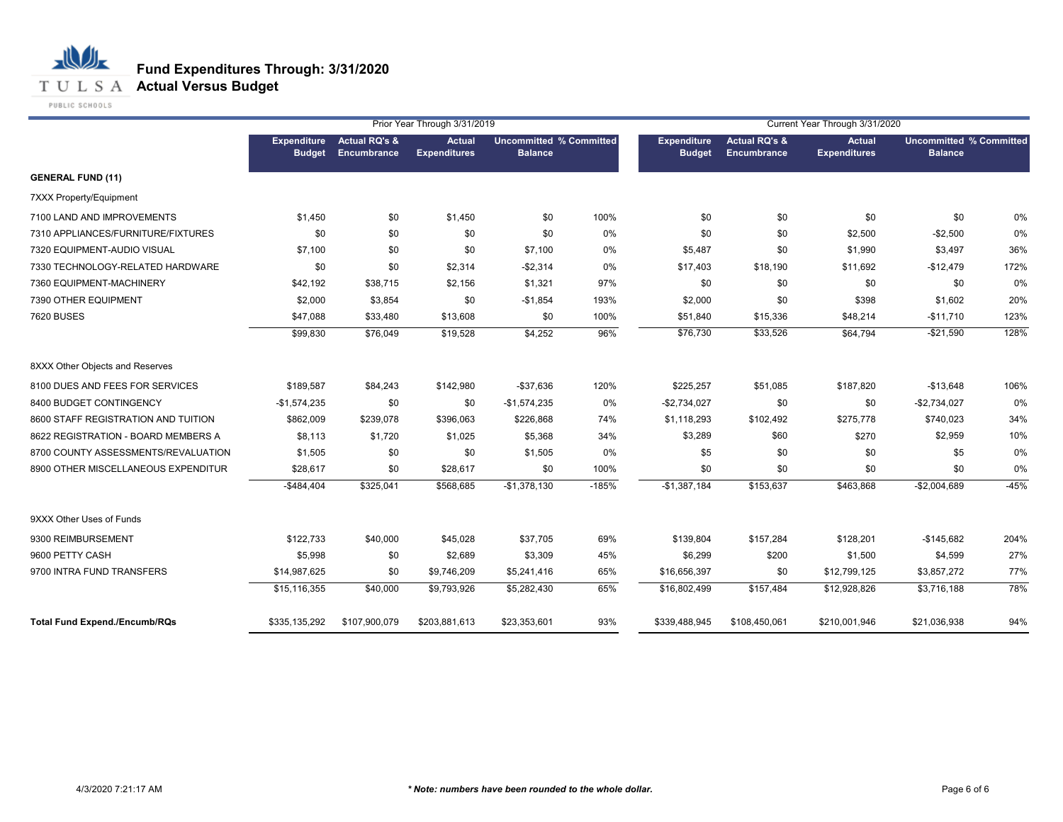**T U L S A Actual Versus Budget** 

PUBLIC SCHOOLS

|                                      |                                     |                                         | Prior Year Through 3/31/2019         |                                                  |         |                                     |                                         | Current Year Through 3/31/2020       |                                                  |        |
|--------------------------------------|-------------------------------------|-----------------------------------------|--------------------------------------|--------------------------------------------------|---------|-------------------------------------|-----------------------------------------|--------------------------------------|--------------------------------------------------|--------|
|                                      | <b>Expenditure</b><br><b>Budget</b> | <b>Actual RQ's &amp;</b><br>Encumbrance | <b>Actual</b><br><b>Expenditures</b> | <b>Uncommitted % Committed</b><br><b>Balance</b> |         | <b>Expenditure</b><br><b>Budget</b> | <b>Actual RQ's &amp;</b><br>Encumbrance | <b>Actual</b><br><b>Expenditures</b> | <b>Uncommitted % Committed</b><br><b>Balance</b> |        |
| <b>GENERAL FUND (11)</b>             |                                     |                                         |                                      |                                                  |         |                                     |                                         |                                      |                                                  |        |
| 7XXX Property/Equipment              |                                     |                                         |                                      |                                                  |         |                                     |                                         |                                      |                                                  |        |
| 7100 LAND AND IMPROVEMENTS           | \$1,450                             | \$0                                     | \$1,450                              | \$0                                              | 100%    | \$0                                 | \$0                                     | \$0                                  | \$0                                              | 0%     |
| 7310 APPLIANCES/FURNITURE/FIXTURES   | \$0                                 | \$0                                     | \$0                                  | \$0                                              | 0%      | \$0                                 | \$0                                     | \$2,500                              | $-$2,500$                                        | 0%     |
| 7320 EQUIPMENT-AUDIO VISUAL          | \$7,100                             | \$0                                     | \$0                                  | \$7,100                                          | 0%      | \$5,487                             | \$0                                     | \$1,990                              | \$3,497                                          | 36%    |
| 7330 TECHNOLOGY-RELATED HARDWARE     | \$0                                 | \$0                                     | \$2,314                              | $-$2,314$                                        | 0%      | \$17,403                            | \$18,190                                | \$11,692                             | $-$12,479$                                       | 172%   |
| 7360 EQUIPMENT-MACHINERY             | \$42,192                            | \$38,715                                | \$2,156                              | \$1,321                                          | 97%     | \$0                                 | \$0                                     | \$0                                  | \$0                                              | 0%     |
| 7390 OTHER EQUIPMENT                 | \$2,000                             | \$3,854                                 | \$0                                  | $-$1,854$                                        | 193%    | \$2,000                             | \$0                                     | \$398                                | \$1,602                                          | 20%    |
| 7620 BUSES                           | \$47,088                            | \$33,480                                | \$13,608                             | \$0                                              | 100%    | \$51,840                            | \$15,336                                | \$48,214                             | $-$11,710$                                       | 123%   |
|                                      | \$99,830                            | \$76,049                                | \$19,528                             | \$4,252                                          | 96%     | \$76,730                            | \$33,526                                | \$64,794                             | $-$21,590$                                       | 128%   |
| 8XXX Other Objects and Reserves      |                                     |                                         |                                      |                                                  |         |                                     |                                         |                                      |                                                  |        |
| 8100 DUES AND FEES FOR SERVICES      | \$189,587                           | \$84,243                                | \$142,980                            | $-$37,636$                                       | 120%    | \$225,257                           | \$51,085                                | \$187,820                            | $-$13,648$                                       | 106%   |
| 8400 BUDGET CONTINGENCY              | $-$1,574,235$                       | \$0                                     | \$0                                  | $-$1,574,235$                                    | 0%      | $-$2,734,027$                       | \$0                                     | \$0                                  | $-$2,734,027$                                    | 0%     |
| 8600 STAFF REGISTRATION AND TUITION  | \$862,009                           | \$239,078                               | \$396,063                            | \$226,868                                        | 74%     | \$1,118,293                         | \$102,492                               | \$275,778                            | \$740,023                                        | 34%    |
| 8622 REGISTRATION - BOARD MEMBERS A  | \$8,113                             | \$1,720                                 | \$1,025                              | \$5,368                                          | 34%     | \$3,289                             | \$60                                    | \$270                                | \$2,959                                          | 10%    |
| 8700 COUNTY ASSESSMENTS/REVALUATION  | \$1,505                             | \$0                                     | \$0                                  | \$1,505                                          | 0%      | \$5                                 | \$0                                     | \$0                                  | \$5                                              | 0%     |
| 8900 OTHER MISCELLANEOUS EXPENDITUR  | \$28,617                            | \$0                                     | \$28,617                             | \$0                                              | 100%    | \$0                                 | \$0                                     | \$0                                  | \$0                                              | 0%     |
|                                      | $-$484,404$                         | \$325,041                               | \$568,685                            | $-$1,378,130$                                    | $-185%$ | $-$1,387,184$                       | \$153,637                               | \$463,868                            | $-$2,004,689$                                    | $-45%$ |
| 9XXX Other Uses of Funds             |                                     |                                         |                                      |                                                  |         |                                     |                                         |                                      |                                                  |        |
| 9300 REIMBURSEMENT                   | \$122,733                           | \$40,000                                | \$45,028                             | \$37,705                                         | 69%     | \$139,804                           | \$157,284                               | \$128,201                            | $-$145,682$                                      | 204%   |
| 9600 PETTY CASH                      | \$5,998                             | \$0                                     | \$2,689                              | \$3,309                                          | 45%     | \$6,299                             | \$200                                   | \$1,500                              | \$4,599                                          | 27%    |
| 9700 INTRA FUND TRANSFERS            | \$14,987,625                        | \$0                                     | \$9,746,209                          | \$5,241,416                                      | 65%     | \$16,656,397                        | \$0                                     | \$12,799,125                         | \$3,857,272                                      | 77%    |
|                                      | \$15,116,355                        | \$40,000                                | \$9,793,926                          | \$5,282,430                                      | 65%     | \$16,802,499                        | \$157,484                               | \$12,928,826                         | \$3,716,188                                      | 78%    |
| <b>Total Fund Expend./Encumb/RQs</b> | \$335,135,292                       | \$107,900,079                           | \$203,881,613                        | \$23,353,601                                     | 93%     | \$339,488,945                       | \$108,450,061                           | \$210,001,946                        | \$21,036,938                                     | 94%    |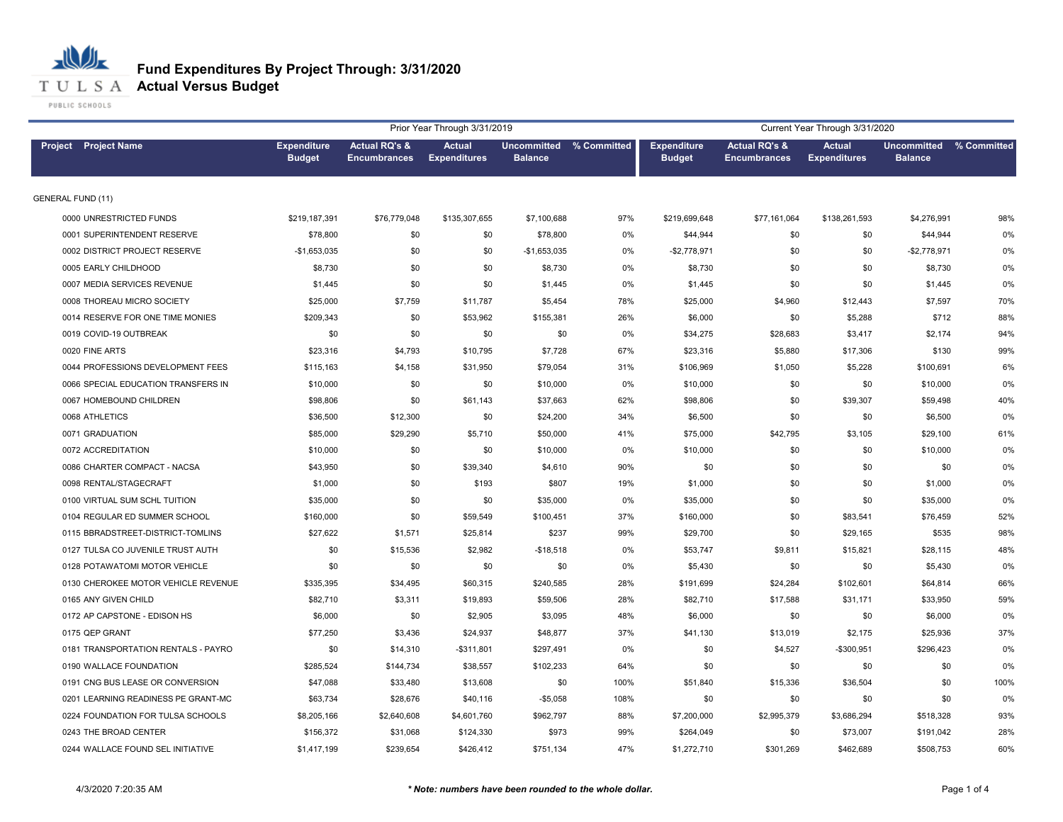

# **Fund Expenditures By Project Through: 3/31/2020**

|                                     |                                     |                                                 | Prior Year Through 3/31/2019         |                |                         |                                     |                                                 | Current Year Through 3/31/2020       |                               |             |
|-------------------------------------|-------------------------------------|-------------------------------------------------|--------------------------------------|----------------|-------------------------|-------------------------------------|-------------------------------------------------|--------------------------------------|-------------------------------|-------------|
| <b>Project</b> Project Name         | <b>Expenditure</b><br><b>Budget</b> | <b>Actual RQ's &amp;</b><br><b>Encumbrances</b> | <b>Actual</b><br><b>Expenditures</b> | <b>Balance</b> | Uncommitted % Committed | <b>Expenditure</b><br><b>Budget</b> | <b>Actual RQ's &amp;</b><br><b>Encumbrances</b> | <b>Actual</b><br><b>Expenditures</b> | Uncommitted<br><b>Balance</b> | % Committed |
| <b>GENERAL FUND (11)</b>            |                                     |                                                 |                                      |                |                         |                                     |                                                 |                                      |                               |             |
| 0000 UNRESTRICTED FUNDS             | \$219,187,391                       | \$76,779,048                                    | \$135,307,655                        | \$7,100,688    | 97%                     | \$219,699,648                       | \$77,161,064                                    | \$138,261,593                        | \$4,276,991                   | 98%         |
| 0001 SUPERINTENDENT RESERVE         | \$78,800                            | \$0                                             | \$0                                  | \$78,800       | 0%                      | \$44,944                            | \$0                                             | \$0                                  | \$44,944                      | 0%          |
| 0002 DISTRICT PROJECT RESERVE       | $-$1,653,035$                       | \$0                                             | \$0                                  | -\$1,653,035   | 0%                      | $-$2,778,971$                       | \$0                                             | \$0                                  | $-$2,778,971$                 | 0%          |
| 0005 EARLY CHILDHOOD                | \$8,730                             | \$0                                             | \$0                                  | \$8,730        | 0%                      | \$8,730                             | \$0                                             | \$0                                  | \$8,730                       | 0%          |
| 0007 MEDIA SERVICES REVENUE         | \$1,445                             | \$0                                             | \$0                                  | \$1,445        | 0%                      | \$1,445                             | \$0                                             | \$0                                  | \$1,445                       | 0%          |
| 0008 THOREAU MICRO SOCIETY          | \$25,000                            | \$7,759                                         | \$11,787                             | \$5,454        | 78%                     | \$25,000                            | \$4,960                                         | \$12,443                             | \$7,597                       | 70%         |
| 0014 RESERVE FOR ONE TIME MONIES    | \$209,343                           | \$0                                             | \$53,962                             | \$155,381      | 26%                     | \$6,000                             | \$0                                             | \$5,288                              | \$712                         | 88%         |
| 0019 COVID-19 OUTBREAK              | \$0                                 | \$0                                             | \$0                                  | \$0            | 0%                      | \$34,275                            | \$28,683                                        | \$3,417                              | \$2,174                       | 94%         |
| 0020 FINE ARTS                      | \$23,316                            | \$4,793                                         | \$10,795                             | \$7,728        | 67%                     | \$23,316                            | \$5,880                                         | \$17,306                             | \$130                         | 99%         |
| 0044 PROFESSIONS DEVELOPMENT FEES   | \$115,163                           | \$4,158                                         | \$31,950                             | \$79,054       | 31%                     | \$106,969                           | \$1,050                                         | \$5,228                              | \$100,691                     | 6%          |
| 0066 SPECIAL EDUCATION TRANSFERS IN | \$10,000                            | \$0                                             | \$0                                  | \$10,000       | 0%                      | \$10,000                            | \$0                                             | \$0                                  | \$10,000                      | 0%          |
| 0067 HOMEBOUND CHILDREN             | \$98,806                            | \$0                                             | \$61,143                             | \$37,663       | 62%                     | \$98,806                            | \$0                                             | \$39,307                             | \$59,498                      | 40%         |
| 0068 ATHLETICS                      | \$36,500                            | \$12,300                                        | \$0                                  | \$24,200       | 34%                     | \$6,500                             | \$0                                             | \$0                                  | \$6,500                       | 0%          |
| 0071 GRADUATION                     | \$85,000                            | \$29,290                                        | \$5,710                              | \$50,000       | 41%                     | \$75,000                            | \$42,795                                        | \$3,105                              | \$29,100                      | 61%         |
| 0072 ACCREDITATION                  | \$10,000                            | \$0                                             | \$0                                  | \$10,000       | 0%                      | \$10,000                            | \$0                                             | \$0                                  | \$10,000                      | 0%          |
| 0086 CHARTER COMPACT - NACSA        | \$43,950                            | \$0                                             | \$39,340                             | \$4,610        | 90%                     | \$0                                 | \$0                                             | \$0                                  | \$0                           | 0%          |
| 0098 RENTAL/STAGECRAFT              | \$1,000                             | \$0                                             | \$193                                | \$807          | 19%                     | \$1,000                             | \$0                                             | \$0                                  | \$1,000                       | 0%          |
| 0100 VIRTUAL SUM SCHL TUITION       | \$35,000                            | \$0                                             | \$0                                  | \$35,000       | 0%                      | \$35,000                            | \$0                                             | \$0                                  | \$35,000                      | 0%          |
| 0104 REGULAR ED SUMMER SCHOOL       | \$160,000                           | \$0                                             | \$59,549                             | \$100,451      | 37%                     | \$160,000                           | \$0                                             | \$83,541                             | \$76,459                      | 52%         |
| 0115 BBRADSTREET-DISTRICT-TOMLINS   | \$27,622                            | \$1,571                                         | \$25,814                             | \$237          | 99%                     | \$29,700                            | \$0                                             | \$29,165                             | \$535                         | 98%         |
| 0127 TULSA CO JUVENILE TRUST AUTH   | \$0                                 | \$15,536                                        | \$2,982                              | $-$18,518$     | 0%                      | \$53,747                            | \$9,811                                         | \$15,821                             | \$28,115                      | 48%         |
| 0128 POTAWATOMI MOTOR VEHICLE       | \$0                                 | \$0                                             | \$0                                  | \$0            | 0%                      | \$5,430                             | \$0                                             | \$0                                  | \$5,430                       | 0%          |
| 0130 CHEROKEE MOTOR VEHICLE REVENUE | \$335,395                           | \$34,495                                        | \$60,315                             | \$240,585      | 28%                     | \$191,699                           | \$24,284                                        | \$102,601                            | \$64,814                      | 66%         |
| 0165 ANY GIVEN CHILD                | \$82,710                            | \$3,311                                         | \$19,893                             | \$59,506       | 28%                     | \$82,710                            | \$17,588                                        | \$31,171                             | \$33,950                      | 59%         |
| 0172 AP CAPSTONE - EDISON HS        | \$6,000                             | \$0                                             | \$2,905                              | \$3,095        | 48%                     | \$6,000                             | \$0                                             | \$0                                  | \$6,000                       | 0%          |
| 0175 QEP GRANT                      | \$77,250                            | \$3,436                                         | \$24,937                             | \$48,877       | 37%                     | \$41,130                            | \$13,019                                        | \$2,175                              | \$25,936                      | 37%         |
| 0181 TRANSPORTATION RENTALS - PAYRO | \$0                                 | \$14,310                                        | $-$311,801$                          | \$297,491      | 0%                      | \$0                                 | \$4,527                                         | $-$300,951$                          | \$296,423                     | 0%          |
| 0190 WALLACE FOUNDATION             | \$285,524                           | \$144,734                                       | \$38,557                             | \$102,233      | 64%                     | \$0                                 | \$0                                             | \$0                                  | \$0                           | 0%          |
| 0191 CNG BUS LEASE OR CONVERSION    | \$47,088                            | \$33,480                                        | \$13,608                             | \$0            | 100%                    | \$51,840                            | \$15,336                                        | \$36,504                             | \$0                           | 100%        |
| 0201 LEARNING READINESS PE GRANT-MC | \$63,734                            | \$28,676                                        | \$40,116                             | $-$5,058$      | 108%                    | \$0                                 | \$0                                             | \$0                                  | \$0                           | 0%          |
| 0224 FOUNDATION FOR TULSA SCHOOLS   | \$8,205,166                         | \$2,640,608                                     | \$4,601,760                          | \$962,797      | 88%                     | \$7,200,000                         | \$2,995,379                                     | \$3,686,294                          | \$518,328                     | 93%         |
| 0243 THE BROAD CENTER               | \$156,372                           | \$31,068                                        | \$124,330                            | \$973          | 99%                     | \$264,049                           | \$0                                             | \$73,007                             | \$191,042                     | 28%         |
| 0244 WALLACE FOUND SEL INITIATIVE   | \$1,417,199                         | \$239,654                                       | \$426,412                            | \$751,134      | 47%                     | \$1,272,710                         | \$301,269                                       | \$462,689                            | \$508,753                     | 60%         |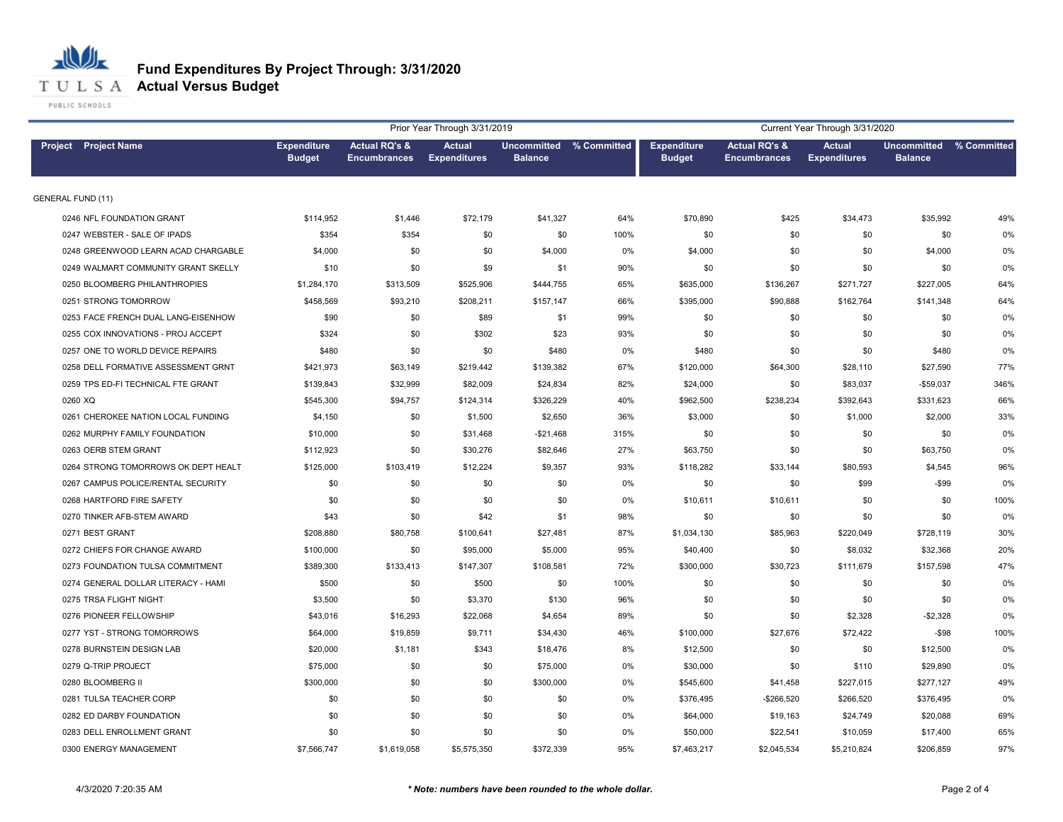

# **Fund Expenditures By Project Through: 3/31/2020**

|                                     |                                     |                                                 | Prior Year Through 3/31/2019         |                |                                |             | Current Year Through 3/31/2020<br><b>Actual RQ's &amp;</b><br><b>Actual</b><br><b>Expenditure</b><br>Uncommitted % Committed<br><b>Budget</b><br><b>Encumbrances</b><br><b>Expenditures</b><br><b>Balance</b><br>\$70,890<br>\$425<br>\$34,473<br>\$35,992<br>\$0<br>\$0<br>\$0<br>\$0<br>\$4,000<br>\$0<br>\$0<br>\$4,000<br>\$0<br>\$0<br>\$0<br>\$0<br>\$635,000<br>\$136,267<br>\$271,727<br>\$227,005<br>\$395,000<br>\$90,888<br>\$162,764<br>\$141,348<br>\$0<br>\$0<br>\$0<br>\$0<br>\$0<br>\$0<br>\$0<br>\$0<br>\$480<br>\$480<br>\$0<br>\$0<br>\$120,000<br>\$64,300<br>\$28,110<br>\$27,590<br>\$83,037<br>\$24,000<br>\$0<br>$-$59,037$<br>\$962,500<br>\$238,234<br>\$392,643<br>\$331,623<br>\$3,000<br>\$2,000<br>\$0<br>\$1,000<br>\$0<br>\$0<br>\$0<br>\$0<br>\$63,750<br>\$0<br>\$0<br>\$63,750<br>\$118,282<br>\$33,144<br>\$80,593<br>\$4,545<br>\$0<br>$-$ \$99<br>\$0<br>\$99<br>\$10,611<br>\$10,611<br>\$0<br>\$0<br>\$0<br>\$0<br>\$0<br>\$0<br>\$1,034,130<br>\$85,963<br>\$220,049<br>\$728,119<br>\$40,400<br>\$0<br>\$8,032<br>\$32,368<br>\$300,000<br>\$30,723<br>\$111,679<br>\$157,598<br>\$0<br>\$0<br>\$0<br>\$0<br>\$0<br>\$0<br>\$0<br>\$0<br>\$0<br>\$2,328<br>$-$2,328$<br>\$0<br>\$27,676<br>\$72,422<br>$-$ \$98<br>\$100,000<br>\$12,500<br>\$0<br>\$0<br>\$12,500<br>\$30,000<br>\$110<br>\$29,890<br>\$0<br>\$545,600<br>\$41,458<br>\$227,015<br>\$277,127<br>\$376,495<br>-\$266,520<br>\$266,520<br>\$376,495 |             |           |      |
|-------------------------------------|-------------------------------------|-------------------------------------------------|--------------------------------------|----------------|--------------------------------|-------------|--------------------------------------------------------------------------------------------------------------------------------------------------------------------------------------------------------------------------------------------------------------------------------------------------------------------------------------------------------------------------------------------------------------------------------------------------------------------------------------------------------------------------------------------------------------------------------------------------------------------------------------------------------------------------------------------------------------------------------------------------------------------------------------------------------------------------------------------------------------------------------------------------------------------------------------------------------------------------------------------------------------------------------------------------------------------------------------------------------------------------------------------------------------------------------------------------------------------------------------------------------------------------------------------------------------------------------------------------------------------------------------------------------------------------------------------------------------|-------------|-----------|------|
| <b>Project</b> Project Name         | <b>Expenditure</b><br><b>Budget</b> | <b>Actual RQ's &amp;</b><br><b>Encumbrances</b> | <b>Actual</b><br><b>Expenditures</b> | <b>Balance</b> | <b>Uncommitted % Committed</b> |             |                                                                                                                                                                                                                                                                                                                                                                                                                                                                                                                                                                                                                                                                                                                                                                                                                                                                                                                                                                                                                                                                                                                                                                                                                                                                                                                                                                                                                                                              |             |           |      |
| <b>GENERAL FUND (11)</b>            |                                     |                                                 |                                      |                |                                |             |                                                                                                                                                                                                                                                                                                                                                                                                                                                                                                                                                                                                                                                                                                                                                                                                                                                                                                                                                                                                                                                                                                                                                                                                                                                                                                                                                                                                                                                              |             |           |      |
| 0246 NFL FOUNDATION GRANT           | \$114,952                           | \$1,446                                         | \$72,179                             | \$41,327       | 64%                            |             |                                                                                                                                                                                                                                                                                                                                                                                                                                                                                                                                                                                                                                                                                                                                                                                                                                                                                                                                                                                                                                                                                                                                                                                                                                                                                                                                                                                                                                                              |             |           | 49%  |
| 0247 WEBSTER - SALE OF IPADS        | \$354                               | \$354                                           | \$0                                  | \$0            | 100%                           |             |                                                                                                                                                                                                                                                                                                                                                                                                                                                                                                                                                                                                                                                                                                                                                                                                                                                                                                                                                                                                                                                                                                                                                                                                                                                                                                                                                                                                                                                              |             |           | 0%   |
| 0248 GREENWOOD LEARN ACAD CHARGABLE | \$4,000                             | \$0                                             | \$0                                  | \$4,000        | 0%                             |             |                                                                                                                                                                                                                                                                                                                                                                                                                                                                                                                                                                                                                                                                                                                                                                                                                                                                                                                                                                                                                                                                                                                                                                                                                                                                                                                                                                                                                                                              |             |           | 0%   |
| 0249 WALMART COMMUNITY GRANT SKELLY | \$10                                | \$0                                             | \$9                                  | \$1            | 90%                            |             |                                                                                                                                                                                                                                                                                                                                                                                                                                                                                                                                                                                                                                                                                                                                                                                                                                                                                                                                                                                                                                                                                                                                                                                                                                                                                                                                                                                                                                                              |             |           | 0%   |
| 0250 BLOOMBERG PHILANTHROPIES       | \$1,284,170                         | \$313,509                                       | \$525,906                            | \$444,755      | 65%                            |             |                                                                                                                                                                                                                                                                                                                                                                                                                                                                                                                                                                                                                                                                                                                                                                                                                                                                                                                                                                                                                                                                                                                                                                                                                                                                                                                                                                                                                                                              |             |           | 64%  |
| 0251 STRONG TOMORROW                | \$458,569                           | \$93,210                                        | \$208,211                            | \$157,147      | 66%                            |             |                                                                                                                                                                                                                                                                                                                                                                                                                                                                                                                                                                                                                                                                                                                                                                                                                                                                                                                                                                                                                                                                                                                                                                                                                                                                                                                                                                                                                                                              |             |           | 64%  |
| 0253 FACE FRENCH DUAL LANG-EISENHOW | \$90                                | \$0                                             | \$89                                 | \$1            | 99%                            |             |                                                                                                                                                                                                                                                                                                                                                                                                                                                                                                                                                                                                                                                                                                                                                                                                                                                                                                                                                                                                                                                                                                                                                                                                                                                                                                                                                                                                                                                              |             |           | 0%   |
| 0255 COX INNOVATIONS - PROJ ACCEPT  | \$324                               | \$0                                             | \$302                                | \$23           | 93%                            |             |                                                                                                                                                                                                                                                                                                                                                                                                                                                                                                                                                                                                                                                                                                                                                                                                                                                                                                                                                                                                                                                                                                                                                                                                                                                                                                                                                                                                                                                              |             |           | 0%   |
| 0257 ONE TO WORLD DEVICE REPAIRS    | \$480                               | \$0                                             | \$0                                  | \$480          | 0%                             |             |                                                                                                                                                                                                                                                                                                                                                                                                                                                                                                                                                                                                                                                                                                                                                                                                                                                                                                                                                                                                                                                                                                                                                                                                                                                                                                                                                                                                                                                              |             |           | 0%   |
| 0258 DELL FORMATIVE ASSESSMENT GRNT | \$421,973                           | \$63,149                                        | \$219,442                            | \$139,382      | 67%                            |             |                                                                                                                                                                                                                                                                                                                                                                                                                                                                                                                                                                                                                                                                                                                                                                                                                                                                                                                                                                                                                                                                                                                                                                                                                                                                                                                                                                                                                                                              |             |           | 77%  |
| 0259 TPS ED-FI TECHNICAL FTE GRANT  | \$139,843                           | \$32,999                                        | \$82,009                             | \$24,834       | 82%                            |             |                                                                                                                                                                                                                                                                                                                                                                                                                                                                                                                                                                                                                                                                                                                                                                                                                                                                                                                                                                                                                                                                                                                                                                                                                                                                                                                                                                                                                                                              |             |           | 346% |
| 0260 XQ                             | \$545,300                           | \$94,757                                        | \$124,314                            | \$326,229      | 40%                            |             |                                                                                                                                                                                                                                                                                                                                                                                                                                                                                                                                                                                                                                                                                                                                                                                                                                                                                                                                                                                                                                                                                                                                                                                                                                                                                                                                                                                                                                                              |             |           | 66%  |
| 0261 CHEROKEE NATION LOCAL FUNDING  | \$4,150                             | \$0                                             | \$1,500                              | \$2,650        | 36%                            |             |                                                                                                                                                                                                                                                                                                                                                                                                                                                                                                                                                                                                                                                                                                                                                                                                                                                                                                                                                                                                                                                                                                                                                                                                                                                                                                                                                                                                                                                              |             |           | 33%  |
| 0262 MURPHY FAMILY FOUNDATION       | \$10,000                            | \$0                                             | \$31,468                             | $-$21,468$     | 315%                           |             |                                                                                                                                                                                                                                                                                                                                                                                                                                                                                                                                                                                                                                                                                                                                                                                                                                                                                                                                                                                                                                                                                                                                                                                                                                                                                                                                                                                                                                                              |             |           | 0%   |
| 0263 OERB STEM GRANT                | \$112,923                           | \$0                                             | \$30,276                             | \$82,646       | 27%                            |             |                                                                                                                                                                                                                                                                                                                                                                                                                                                                                                                                                                                                                                                                                                                                                                                                                                                                                                                                                                                                                                                                                                                                                                                                                                                                                                                                                                                                                                                              |             |           | 0%   |
| 0264 STRONG TOMORROWS OK DEPT HEALT | \$125,000                           | \$103,419                                       | \$12,224                             | \$9,357        | 93%                            |             |                                                                                                                                                                                                                                                                                                                                                                                                                                                                                                                                                                                                                                                                                                                                                                                                                                                                                                                                                                                                                                                                                                                                                                                                                                                                                                                                                                                                                                                              |             |           | 96%  |
| 0267 CAMPUS POLICE/RENTAL SECURITY  | \$0                                 | \$0                                             | \$0                                  | \$0            | 0%                             |             |                                                                                                                                                                                                                                                                                                                                                                                                                                                                                                                                                                                                                                                                                                                                                                                                                                                                                                                                                                                                                                                                                                                                                                                                                                                                                                                                                                                                                                                              |             |           | 0%   |
| 0268 HARTFORD FIRE SAFETY           | \$0                                 | \$0                                             | \$0                                  | \$0            | 0%                             |             |                                                                                                                                                                                                                                                                                                                                                                                                                                                                                                                                                                                                                                                                                                                                                                                                                                                                                                                                                                                                                                                                                                                                                                                                                                                                                                                                                                                                                                                              |             |           | 100% |
| 0270 TINKER AFB-STEM AWARD          | \$43                                | \$0                                             | \$42                                 | \$1            | 98%                            |             |                                                                                                                                                                                                                                                                                                                                                                                                                                                                                                                                                                                                                                                                                                                                                                                                                                                                                                                                                                                                                                                                                                                                                                                                                                                                                                                                                                                                                                                              |             |           | 0%   |
| 0271 BEST GRANT                     | \$208,880                           | \$80,758                                        | \$100,641                            | \$27,481       | 87%                            |             |                                                                                                                                                                                                                                                                                                                                                                                                                                                                                                                                                                                                                                                                                                                                                                                                                                                                                                                                                                                                                                                                                                                                                                                                                                                                                                                                                                                                                                                              |             |           | 30%  |
| 0272 CHIEFS FOR CHANGE AWARD        | \$100,000                           | \$0                                             | \$95,000                             | \$5,000        | 95%                            |             |                                                                                                                                                                                                                                                                                                                                                                                                                                                                                                                                                                                                                                                                                                                                                                                                                                                                                                                                                                                                                                                                                                                                                                                                                                                                                                                                                                                                                                                              |             |           | 20%  |
| 0273 FOUNDATION TULSA COMMITMENT    | \$389,300                           | \$133,413                                       | \$147,307                            | \$108,581      | 72%                            |             |                                                                                                                                                                                                                                                                                                                                                                                                                                                                                                                                                                                                                                                                                                                                                                                                                                                                                                                                                                                                                                                                                                                                                                                                                                                                                                                                                                                                                                                              |             |           | 47%  |
| 0274 GENERAL DOLLAR LITERACY - HAMI | \$500                               | \$0                                             | \$500                                | \$0            | 100%                           |             |                                                                                                                                                                                                                                                                                                                                                                                                                                                                                                                                                                                                                                                                                                                                                                                                                                                                                                                                                                                                                                                                                                                                                                                                                                                                                                                                                                                                                                                              |             |           | 0%   |
| 0275 TRSA FLIGHT NIGHT              | \$3,500                             | \$0                                             | \$3,370                              | \$130          | 96%                            |             |                                                                                                                                                                                                                                                                                                                                                                                                                                                                                                                                                                                                                                                                                                                                                                                                                                                                                                                                                                                                                                                                                                                                                                                                                                                                                                                                                                                                                                                              |             |           | 0%   |
| 0276 PIONEER FELLOWSHIP             | \$43,016                            | \$16,293                                        | \$22,068                             | \$4,654        | 89%                            |             |                                                                                                                                                                                                                                                                                                                                                                                                                                                                                                                                                                                                                                                                                                                                                                                                                                                                                                                                                                                                                                                                                                                                                                                                                                                                                                                                                                                                                                                              |             |           | 0%   |
| 0277 YST - STRONG TOMORROWS         | \$64,000                            | \$19,859                                        | \$9,711                              | \$34,430       | 46%                            |             |                                                                                                                                                                                                                                                                                                                                                                                                                                                                                                                                                                                                                                                                                                                                                                                                                                                                                                                                                                                                                                                                                                                                                                                                                                                                                                                                                                                                                                                              |             |           | 100% |
| 0278 BURNSTEIN DESIGN LAB           | \$20,000                            | \$1,181                                         | \$343                                | \$18,476       | 8%                             |             |                                                                                                                                                                                                                                                                                                                                                                                                                                                                                                                                                                                                                                                                                                                                                                                                                                                                                                                                                                                                                                                                                                                                                                                                                                                                                                                                                                                                                                                              |             |           | 0%   |
| 0279 Q-TRIP PROJECT                 | \$75,000                            | \$0                                             | \$0                                  | \$75,000       | 0%                             |             |                                                                                                                                                                                                                                                                                                                                                                                                                                                                                                                                                                                                                                                                                                                                                                                                                                                                                                                                                                                                                                                                                                                                                                                                                                                                                                                                                                                                                                                              |             |           | 0%   |
| 0280 BLOOMBERG II                   | \$300,000                           | \$0                                             | \$0                                  | \$300,000      | 0%                             |             |                                                                                                                                                                                                                                                                                                                                                                                                                                                                                                                                                                                                                                                                                                                                                                                                                                                                                                                                                                                                                                                                                                                                                                                                                                                                                                                                                                                                                                                              |             |           | 49%  |
| 0281 TULSA TEACHER CORP             | \$0                                 | \$0                                             | \$0                                  | \$0            | 0%                             |             |                                                                                                                                                                                                                                                                                                                                                                                                                                                                                                                                                                                                                                                                                                                                                                                                                                                                                                                                                                                                                                                                                                                                                                                                                                                                                                                                                                                                                                                              |             |           | 0%   |
| 0282 ED DARBY FOUNDATION            | \$0                                 | \$0                                             | \$0                                  | \$0            | 0%                             | \$64,000    | \$19,163                                                                                                                                                                                                                                                                                                                                                                                                                                                                                                                                                                                                                                                                                                                                                                                                                                                                                                                                                                                                                                                                                                                                                                                                                                                                                                                                                                                                                                                     | \$24,749    | \$20,088  | 69%  |
| 0283 DELL ENROLLMENT GRANT          | \$0                                 | \$0                                             | \$0                                  | \$0            | 0%                             | \$50,000    | \$22,541                                                                                                                                                                                                                                                                                                                                                                                                                                                                                                                                                                                                                                                                                                                                                                                                                                                                                                                                                                                                                                                                                                                                                                                                                                                                                                                                                                                                                                                     | \$10,059    | \$17,400  | 65%  |
| 0300 ENERGY MANAGEMENT              | \$7,566,747                         | \$1,619,058                                     | \$5,575,350                          | \$372,339      | 95%                            | \$7,463,217 | \$2,045,534                                                                                                                                                                                                                                                                                                                                                                                                                                                                                                                                                                                                                                                                                                                                                                                                                                                                                                                                                                                                                                                                                                                                                                                                                                                                                                                                                                                                                                                  | \$5,210,824 | \$206,859 | 97%  |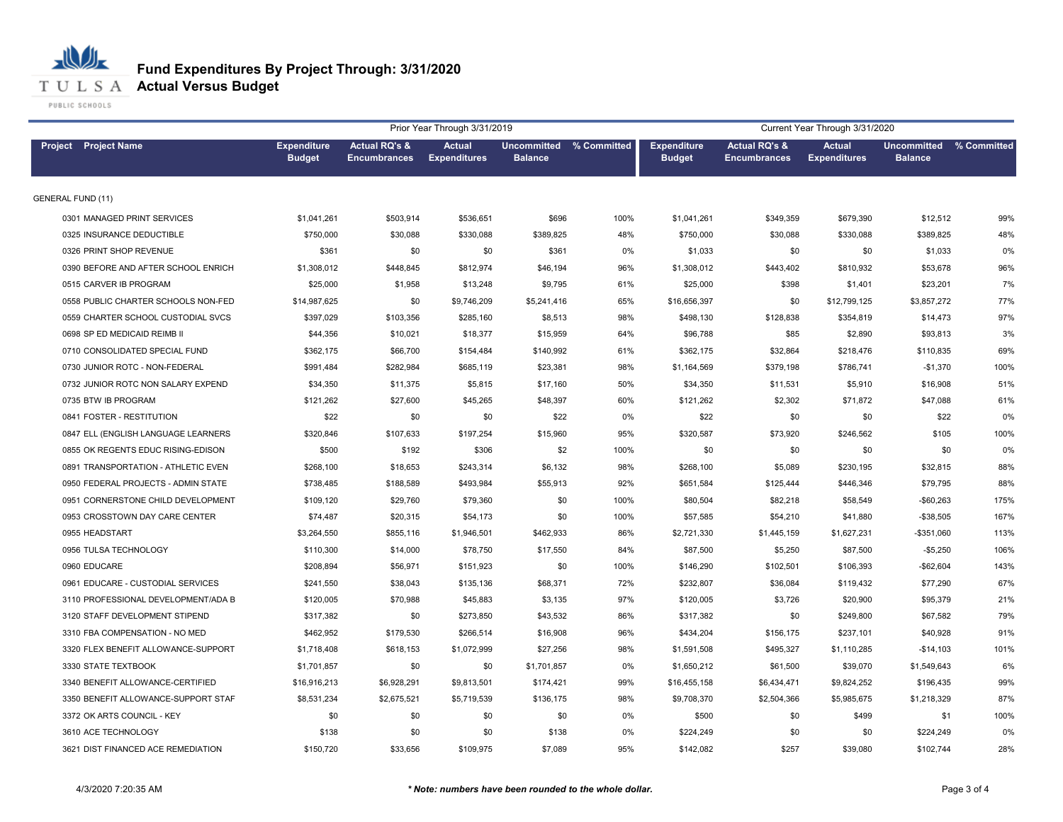

# **Fund Expenditures By Project Through: 3/31/2020**

|                                     |                                     |                                                 | Prior Year Through 3/31/2019         |                |                                |                                     |                                                 | Current Year Through 3/31/2020       |                                           |      |
|-------------------------------------|-------------------------------------|-------------------------------------------------|--------------------------------------|----------------|--------------------------------|-------------------------------------|-------------------------------------------------|--------------------------------------|-------------------------------------------|------|
| <b>Project</b> Project Name         | <b>Expenditure</b><br><b>Budget</b> | <b>Actual RQ's &amp;</b><br><b>Encumbrances</b> | <b>Actual</b><br><b>Expenditures</b> | <b>Balance</b> | <b>Uncommitted % Committed</b> | <b>Expenditure</b><br><b>Budget</b> | <b>Actual RQ's &amp;</b><br><b>Encumbrances</b> | <b>Actual</b><br><b>Expenditures</b> | Uncommitted % Committed<br><b>Balance</b> |      |
| <b>GENERAL FUND (11)</b>            |                                     |                                                 |                                      |                |                                |                                     |                                                 |                                      |                                           |      |
| 0301 MANAGED PRINT SERVICES         | \$1,041,261                         | \$503,914                                       | \$536,651                            | \$696          | 100%                           | \$1,041,261                         | \$349,359                                       | \$679,390                            | \$12,512                                  | 99%  |
| 0325 INSURANCE DEDUCTIBLE           | \$750,000                           | \$30,088                                        | \$330,088                            | \$389,825      | 48%                            | \$750,000                           | \$30,088                                        | \$330,088                            | \$389,825                                 | 48%  |
| 0326 PRINT SHOP REVENUE             | \$361                               | \$0                                             | \$0                                  | \$361          | 0%                             | \$1,033                             | \$0                                             | \$0                                  | \$1,033                                   | 0%   |
| 0390 BEFORE AND AFTER SCHOOL ENRICH | \$1,308,012                         | \$448,845                                       | \$812,974                            | \$46,194       | 96%                            | \$1,308,012                         | \$443,402                                       | \$810,932                            | \$53,678                                  | 96%  |
| 0515 CARVER IB PROGRAM              | \$25,000                            | \$1,958                                         | \$13,248                             | \$9,795        | 61%                            | \$25,000                            | \$398                                           | \$1,401                              | \$23,201                                  | 7%   |
| 0558 PUBLIC CHARTER SCHOOLS NON-FED | \$14,987,625                        | \$0                                             | \$9,746,209                          | \$5,241,416    | 65%                            | \$16,656,397                        | \$0                                             | \$12,799,125                         | \$3,857,272                               | 77%  |
| 0559 CHARTER SCHOOL CUSTODIAL SVCS  | \$397,029                           | \$103,356                                       | \$285,160                            | \$8,513        | 98%                            | \$498,130                           | \$128,838                                       | \$354,819                            | \$14,473                                  | 97%  |
| 0698 SP ED MEDICAID REIMB II        | \$44,356                            | \$10,021                                        | \$18,377                             | \$15,959       | 64%                            | \$96,788                            | \$85                                            | \$2,890                              | \$93,813                                  | 3%   |
| 0710 CONSOLIDATED SPECIAL FUND      | \$362,175                           | \$66,700                                        | \$154,484                            | \$140,992      | 61%                            | \$362,175                           | \$32,864                                        | \$218,476                            | \$110,835                                 | 69%  |
| 0730 JUNIOR ROTC - NON-FEDERAL      | \$991,484                           | \$282,984                                       | \$685,119                            | \$23,381       | 98%                            | \$1,164,569                         | \$379,198                                       | \$786,741                            | $-$1,370$                                 | 100% |
| 0732 JUNIOR ROTC NON SALARY EXPEND  | \$34,350                            | \$11,375                                        | \$5,815                              | \$17,160       | 50%                            | \$34,350                            | \$11,531                                        | \$5,910                              | \$16,908                                  | 51%  |
| 0735 BTW IB PROGRAM                 | \$121,262                           | \$27,600                                        | \$45,265                             | \$48,397       | 60%                            | \$121,262                           | \$2,302                                         | \$71,872                             | \$47,088                                  | 61%  |
| 0841 FOSTER - RESTITUTION           | \$22                                | \$0                                             | \$0                                  | \$22           | 0%                             | \$22                                | \$0                                             | \$0                                  | \$22                                      | 0%   |
| 0847 ELL (ENGLISH LANGUAGE LEARNERS | \$320,846                           | \$107,633                                       | \$197,254                            | \$15,960       | 95%                            | \$320,587                           | \$73,920                                        | \$246,562                            | \$105                                     | 100% |
| 0855 OK REGENTS EDUC RISING-EDISON  | \$500                               | \$192                                           | \$306                                | \$2            | 100%                           | \$0                                 | \$0                                             | \$0                                  | \$0                                       | 0%   |
| 0891 TRANSPORTATION - ATHLETIC EVEN | \$268,100                           | \$18,653                                        | \$243,314                            | \$6,132        | 98%                            | \$268,100                           | \$5,089                                         | \$230,195                            | \$32,815                                  | 88%  |
| 0950 FEDERAL PROJECTS - ADMIN STATE | \$738,485                           | \$188,589                                       | \$493,984                            | \$55,913       | 92%                            | \$651,584                           | \$125,444                                       | \$446,346                            | \$79,795                                  | 88%  |
| 0951 CORNERSTONE CHILD DEVELOPMENT  | \$109,120                           | \$29,760                                        | \$79,360                             | \$0            | 100%                           | \$80,504                            | \$82,218                                        | \$58,549                             | $-$60,263$                                | 175% |
| 0953 CROSSTOWN DAY CARE CENTER      | \$74,487                            | \$20,315                                        | \$54,173                             | \$0            | 100%                           | \$57,585                            | \$54,210                                        | \$41,880                             | $-$38,505$                                | 167% |
| 0955 HEADSTART                      | \$3,264,550                         | \$855,116                                       | \$1,946,501                          | \$462,933      | 86%                            | \$2,721,330                         | \$1,445,159                                     | \$1,627,231                          | -\$351,060                                | 113% |
| 0956 TULSA TECHNOLOGY               | \$110,300                           | \$14,000                                        | \$78,750                             | \$17,550       | 84%                            | \$87,500                            | \$5,250                                         | \$87,500                             | $-$5,250$                                 | 106% |
| 0960 EDUCARE                        | \$208.894                           | \$56,971                                        | \$151,923                            | \$0            | 100%                           | \$146,290                           | \$102,501                                       | \$106,393                            | $-$62,604$                                | 143% |
| 0961 EDUCARE - CUSTODIAL SERVICES   | \$241,550                           | \$38,043                                        | \$135,136                            | \$68,371       | 72%                            | \$232,807                           | \$36,084                                        | \$119,432                            | \$77,290                                  | 67%  |
| 3110 PROFESSIONAL DEVELOPMENT/ADA B | \$120,005                           | \$70,988                                        | \$45,883                             | \$3,135        | 97%                            | \$120,005                           | \$3,726                                         | \$20,900                             | \$95,379                                  | 21%  |
| 3120 STAFF DEVELOPMENT STIPEND      | \$317,382                           | \$0                                             | \$273,850                            | \$43,532       | 86%                            | \$317,382                           | \$0                                             | \$249,800                            | \$67,582                                  | 79%  |
| 3310 FBA COMPENSATION - NO MED      | \$462,952                           | \$179,530                                       | \$266,514                            | \$16,908       | 96%                            | \$434,204                           | \$156,175                                       | \$237,101                            | \$40,928                                  | 91%  |
| 3320 FLEX BENEFIT ALLOWANCE-SUPPORT | \$1,718,408                         | \$618,153                                       | \$1,072,999                          | \$27,256       | 98%                            | \$1,591,508                         | \$495,327                                       | \$1,110,285                          | $-$14,103$                                | 101% |
| 3330 STATE TEXTBOOK                 | \$1,701,857                         | \$0                                             | \$0                                  | \$1,701,857    | 0%                             | \$1,650,212                         | \$61,500                                        | \$39,070                             | \$1,549,643                               | 6%   |
| 3340 BENEFIT ALLOWANCE-CERTIFIED    | \$16,916,213                        | \$6,928,291                                     | \$9,813,501                          | \$174,421      | 99%                            | \$16,455,158                        | \$6,434,471                                     | \$9,824,252                          | \$196,435                                 | 99%  |
| 3350 BENEFIT ALLOWANCE-SUPPORT STAF | \$8,531,234                         | \$2,675,521                                     | \$5,719,539                          | \$136,175      | 98%                            | \$9,708,370                         | \$2,504,366                                     | \$5,985,675                          | \$1,218,329                               | 87%  |
| 3372 OK ARTS COUNCIL - KEY          | \$0                                 | \$0                                             | \$0                                  | \$0            | 0%                             | \$500                               | \$0                                             | \$499                                | \$1                                       | 100% |
| 3610 ACE TECHNOLOGY                 | \$138                               | \$0                                             | \$0                                  | \$138          | 0%                             | \$224,249                           | \$0                                             | \$0                                  | \$224,249                                 | 0%   |
| 3621 DIST FINANCED ACE REMEDIATION  | \$150,720                           | \$33,656                                        | \$109,975                            | \$7,089        | 95%                            | \$142,082                           | \$257                                           | \$39,080                             | \$102,744                                 | 28%  |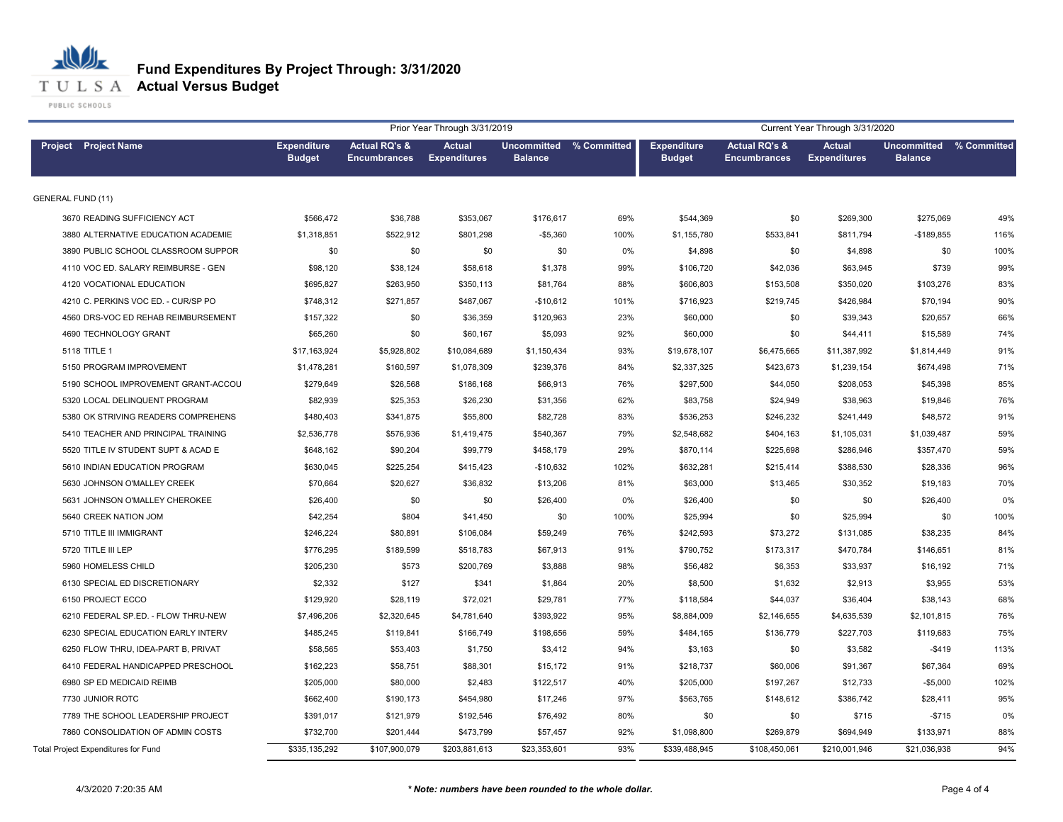

|                                     |                                     |                                                 | Prior Year Through 3/31/2019         |                |                         |                                     |                                                 | Current Year Through 3/31/2020       |                                      |             |
|-------------------------------------|-------------------------------------|-------------------------------------------------|--------------------------------------|----------------|-------------------------|-------------------------------------|-------------------------------------------------|--------------------------------------|--------------------------------------|-------------|
| <b>Project</b> Project Name         | <b>Expenditure</b><br><b>Budget</b> | <b>Actual RQ's &amp;</b><br><b>Encumbrances</b> | <b>Actual</b><br><b>Expenditures</b> | <b>Balance</b> | Uncommitted % Committed | <b>Expenditure</b><br><b>Budget</b> | <b>Actual RQ's &amp;</b><br><b>Encumbrances</b> | <b>Actual</b><br><b>Expenditures</b> | <b>Uncommitted</b><br><b>Balance</b> | % Committed |
| <b>GENERAL FUND (11)</b>            |                                     |                                                 |                                      |                |                         |                                     |                                                 |                                      |                                      |             |
| 3670 READING SUFFICIENCY ACT        | \$566,472                           | \$36,788                                        | \$353,067                            | \$176,617      | 69%                     | \$544,369                           | \$0                                             | \$269,300                            | \$275,069                            | 49%         |
| 3880 ALTERNATIVE EDUCATION ACADEMIE | \$1,318,851                         | \$522,912                                       | \$801,298                            | $-$5,360$      | 100%                    | \$1,155,780                         | \$533,841                                       | \$811,794                            | $-$189,855$                          | 116%        |
| 3890 PUBLIC SCHOOL CLASSROOM SUPPOR | \$0                                 | \$0                                             | \$0                                  | \$0            | 0%                      | \$4,898                             | \$0                                             | \$4,898                              | \$0                                  | 100%        |
| 4110 VOC ED. SALARY REIMBURSE - GEN | \$98,120                            | \$38,124                                        | \$58,618                             | \$1,378        | 99%                     | \$106,720                           | \$42,036                                        | \$63,945                             | \$739                                | 99%         |
| 4120 VOCATIONAL EDUCATION           | \$695,827                           | \$263,950                                       | \$350,113                            | \$81,764       | 88%                     | \$606,803                           | \$153,508                                       | \$350,020                            | \$103,276                            | 83%         |
| 4210 C. PERKINS VOC ED. - CUR/SP PO | \$748,312                           | \$271,857                                       | \$487,067                            | $-$10,612$     | 101%                    | \$716,923                           | \$219,745                                       | \$426,984                            | \$70,194                             | 90%         |
| 4560 DRS-VOC ED REHAB REIMBURSEMENT | \$157,322                           | \$0                                             | \$36,359                             | \$120,963      | 23%                     | \$60,000                            | \$0                                             | \$39,343                             | \$20,657                             | 66%         |
| 4690 TECHNOLOGY GRANT               | \$65,260                            | \$0                                             | \$60,167                             | \$5,093        | 92%                     | \$60,000                            | \$0                                             | \$44,411                             | \$15,589                             | 74%         |
| 5118 TITLE 1                        | \$17,163,924                        | \$5,928,802                                     | \$10,084,689                         | \$1,150,434    | 93%                     | \$19,678,107                        | \$6,475,665                                     | \$11,387,992                         | \$1,814,449                          | 91%         |
| 5150 PROGRAM IMPROVEMENT            | \$1,478,281                         | \$160,597                                       | \$1,078,309                          | \$239,376      | 84%                     | \$2,337,325                         | \$423,673                                       | \$1,239,154                          | \$674,498                            | 71%         |
| 5190 SCHOOL IMPROVEMENT GRANT-ACCOU | \$279,649                           | \$26,568                                        | \$186,168                            | \$66,913       | 76%                     | \$297,500                           | \$44,050                                        | \$208,053                            | \$45,398                             | 85%         |
| 5320 LOCAL DELINQUENT PROGRAM       | \$82,939                            | \$25,353                                        | \$26,230                             | \$31,356       | 62%                     | \$83,758                            | \$24,949                                        | \$38,963                             | \$19,846                             | 76%         |
| 5380 OK STRIVING READERS COMPREHENS | \$480,403                           | \$341,875                                       | \$55,800                             | \$82,728       | 83%                     | \$536,253                           | \$246,232                                       | \$241,449                            | \$48,572                             | 91%         |
| 5410 TEACHER AND PRINCIPAL TRAINING | \$2,536,778                         | \$576,936                                       | \$1,419,475                          | \$540,367      | 79%                     | \$2,548,682                         | \$404,163                                       | \$1,105,031                          | \$1,039,487                          | 59%         |
| 5520 TITLE IV STUDENT SUPT & ACAD E | \$648,162                           | \$90,204                                        | \$99,779                             | \$458,179      | 29%                     | \$870,114                           | \$225,698                                       | \$286,946                            | \$357,470                            | 59%         |
| 5610 INDIAN EDUCATION PROGRAM       | \$630,045                           | \$225,254                                       | \$415,423                            | $-$10,632$     | 102%                    | \$632,281                           | \$215,414                                       | \$388,530                            | \$28,336                             | 96%         |
| 5630 JOHNSON O'MALLEY CREEK         | \$70,664                            | \$20,627                                        | \$36,832                             | \$13,206       | 81%                     | \$63,000                            | \$13,465                                        | \$30,352                             | \$19,183                             | 70%         |
| 5631 JOHNSON O'MALLEY CHEROKEE      | \$26,400                            | \$0                                             | \$0                                  | \$26,400       | 0%                      | \$26,400                            | \$0                                             | \$0                                  | \$26,400                             | 0%          |
| 5640 CREEK NATION JOM               | \$42,254                            | \$804                                           | \$41,450                             | \$0            | 100%                    | \$25,994                            | \$0                                             | \$25,994                             | \$0                                  | 100%        |
| 5710 TITLE III IMMIGRANT            | \$246,224                           | \$80,891                                        | \$106,084                            | \$59,249       | 76%                     | \$242,593                           | \$73,272                                        | \$131,085                            | \$38,235                             | 84%         |
| 5720 TITLE III LEP                  | \$776,295                           | \$189,599                                       | \$518,783                            | \$67,913       | 91%                     | \$790,752                           | \$173,317                                       | \$470,784                            | \$146,651                            | 81%         |
| 5960 HOMELESS CHILD                 | \$205,230                           | \$573                                           | \$200,769                            | \$3,888        | 98%                     | \$56,482                            | \$6,353                                         | \$33,937                             | \$16,192                             | 71%         |
| 6130 SPECIAL ED DISCRETIONARY       | \$2,332                             | \$127                                           | \$341                                | \$1,864        | 20%                     | \$8,500                             | \$1,632                                         | \$2,913                              | \$3,955                              | 53%         |
| 6150 PROJECT ECCO                   | \$129,920                           | \$28,119                                        | \$72,021                             | \$29,781       | 77%                     | \$118,584                           | \$44,037                                        | \$36,404                             | \$38,143                             | 68%         |
| 6210 FEDERAL SP.ED. - FLOW THRU-NEW | \$7,496,206                         | \$2,320,645                                     | \$4,781,640                          | \$393,922      | 95%                     | \$8,884,009                         | \$2,146,655                                     | \$4,635,539                          | \$2,101,815                          | 76%         |
| 6230 SPECIAL EDUCATION EARLY INTERV | \$485,245                           | \$119,841                                       | \$166,749                            | \$198,656      | 59%                     | \$484,165                           | \$136,779                                       | \$227,703                            | \$119,683                            | 75%         |
| 6250 FLOW THRU, IDEA-PART B, PRIVAT | \$58,565                            | \$53,403                                        | \$1,750                              | \$3,412        | 94%                     | \$3,163                             | \$0                                             | \$3,582                              | $-$419$                              | 113%        |
| 6410 FEDERAL HANDICAPPED PRESCHOOL  | \$162,223                           | \$58,751                                        | \$88,301                             | \$15,172       | 91%                     | \$218,737                           | \$60,006                                        | \$91,367                             | \$67,364                             | 69%         |
| 6980 SP ED MEDICAID REIMB           | \$205,000                           | \$80,000                                        | \$2,483                              | \$122,517      | 40%                     | \$205,000                           | \$197,267                                       | \$12,733                             | $-$5,000$                            | 102%        |
| 7730 JUNIOR ROTC                    | \$662,400                           | \$190,173                                       | \$454,980                            | \$17,246       | 97%                     | \$563,765                           | \$148,612                                       | \$386,742                            | \$28,411                             | 95%         |
| 7789 THE SCHOOL LEADERSHIP PROJECT  | \$391,017                           | \$121,979                                       | \$192,546                            | \$76,492       | 80%                     | \$0                                 | \$0                                             | \$715                                | $-$715$                              | 0%          |
| 7860 CONSOLIDATION OF ADMIN COSTS   | \$732,700                           | \$201,444                                       | \$473,799                            | \$57,457       | 92%                     | \$1,098,800                         | \$269,879                                       | \$694,949                            | \$133,971                            | 88%         |
| Total Project Expenditures for Fund | \$335,135,292                       | \$107,900,079                                   | \$203,881,613                        | \$23,353,601   | 93%                     | \$339,488,945                       | \$108,450,061                                   | \$210,001,946                        | \$21,036,938                         | 94%         |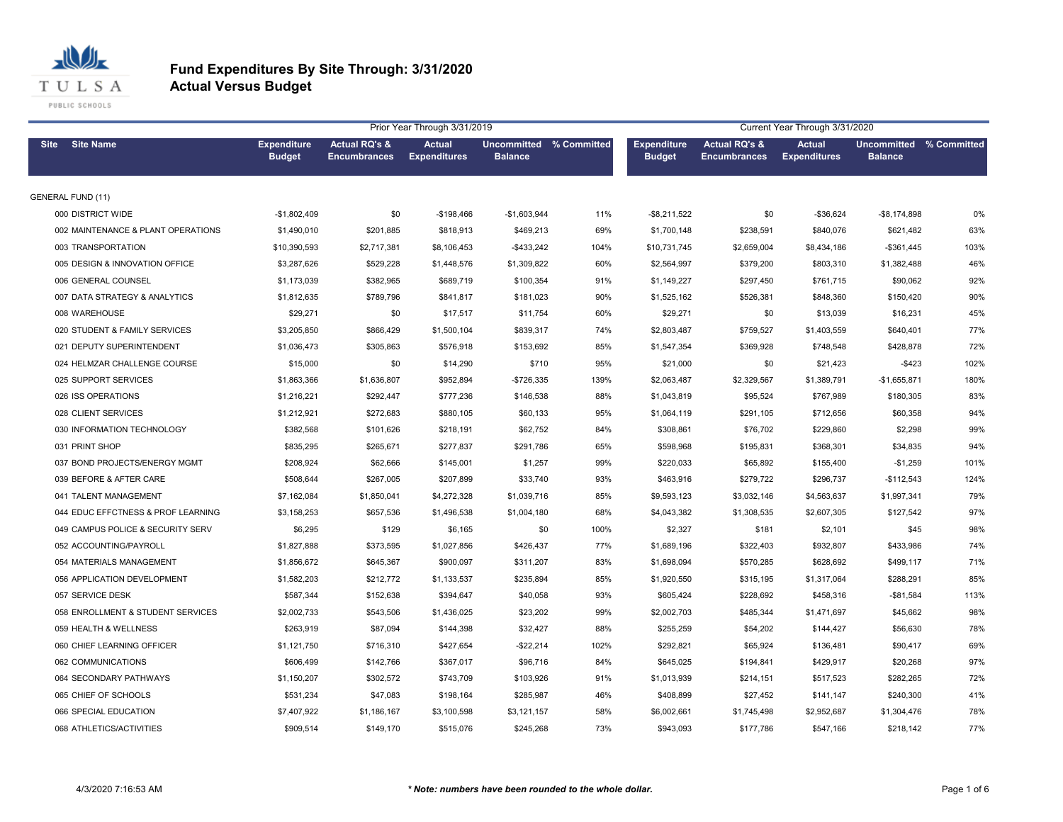

| Prior Year Through 3/31/2019       |                                     |                                                 |                                      |                                           |      |                                     |                                                 | Current Year Through 3/31/2020       |                                           |      |
|------------------------------------|-------------------------------------|-------------------------------------------------|--------------------------------------|-------------------------------------------|------|-------------------------------------|-------------------------------------------------|--------------------------------------|-------------------------------------------|------|
| <b>Site Name</b><br><b>Site</b>    | <b>Expenditure</b><br><b>Budget</b> | <b>Actual RQ's &amp;</b><br><b>Encumbrances</b> | <b>Actual</b><br><b>Expenditures</b> | Uncommitted % Committed<br><b>Balance</b> |      | <b>Expenditure</b><br><b>Budget</b> | <b>Actual RQ's &amp;</b><br><b>Encumbrances</b> | <b>Actual</b><br><b>Expenditures</b> | Uncommitted % Committed<br><b>Balance</b> |      |
| <b>GENERAL FUND (11)</b>           |                                     |                                                 |                                      |                                           |      |                                     |                                                 |                                      |                                           |      |
| 000 DISTRICT WIDE                  | $-$1,802,409$                       | \$0                                             | -\$198,466                           | $-$1,603,944$                             | 11%  | $-$ \$8,211,522                     | \$0                                             | $-$36,624$                           | $-$ \$8,174,898                           | 0%   |
| 002 MAINTENANCE & PLANT OPERATIONS | \$1,490,010                         | \$201,885                                       | \$818,913                            | \$469,213                                 | 69%  | \$1,700,148                         | \$238,591                                       | \$840,076                            | \$621,482                                 | 63%  |
| 003 TRANSPORTATION                 | \$10,390,593                        | \$2,717,381                                     | \$8,106,453                          | $-$ \$433,242                             | 104% | \$10,731,745                        | \$2,659,004                                     | \$8,434,186                          | $-$361,445$                               | 103% |
| 005 DESIGN & INNOVATION OFFICE     | \$3,287,626                         | \$529,228                                       | \$1,448,576                          | \$1,309,822                               | 60%  | \$2,564,997                         | \$379,200                                       | \$803,310                            | \$1,382,488                               | 46%  |
| 006 GENERAL COUNSEL                | \$1,173,039                         | \$382,965                                       | \$689,719                            | \$100,354                                 | 91%  | \$1,149,227                         | \$297,450                                       | \$761,715                            | \$90,062                                  | 92%  |
| 007 DATA STRATEGY & ANALYTICS      | \$1,812,635                         | \$789,796                                       | \$841,817                            | \$181,023                                 | 90%  | \$1,525,162                         | \$526,381                                       | \$848,360                            | \$150,420                                 | 90%  |
| 008 WAREHOUSE                      | \$29,271                            | \$0                                             | \$17,517                             | \$11,754                                  | 60%  | \$29,271                            | \$0                                             | \$13,039                             | \$16,231                                  | 45%  |
| 020 STUDENT & FAMILY SERVICES      | \$3,205,850                         | \$866,429                                       | \$1,500,104                          | \$839,317                                 | 74%  | \$2,803,487                         | \$759,527                                       | \$1,403,559                          | \$640,401                                 | 77%  |
| 021 DEPUTY SUPERINTENDENT          | \$1,036,473                         | \$305,863                                       | \$576,918                            | \$153,692                                 | 85%  | \$1,547,354                         | \$369,928                                       | \$748,548                            | \$428,878                                 | 72%  |
| 024 HELMZAR CHALLENGE COURSE       | \$15,000                            | \$0                                             | \$14,290                             | \$710                                     | 95%  | \$21,000                            | \$0                                             | \$21,423                             | $-$ \$423                                 | 102% |
| 025 SUPPORT SERVICES               | \$1,863,366                         | \$1,636,807                                     | \$952,894                            | $-$726,335$                               | 139% | \$2,063,487                         | \$2,329,567                                     | \$1,389,791                          | $-$1,655,871$                             | 180% |
| 026 ISS OPERATIONS                 | \$1,216,221                         | \$292,447                                       | \$777,236                            | \$146,538                                 | 88%  | \$1,043,819                         | \$95,524                                        | \$767,989                            | \$180,305                                 | 83%  |
| 028 CLIENT SERVICES                | \$1,212,921                         | \$272,683                                       | \$880,105                            | \$60,133                                  | 95%  | \$1,064,119                         | \$291,105                                       | \$712,656                            | \$60,358                                  | 94%  |
| 030 INFORMATION TECHNOLOGY         | \$382,568                           | \$101,626                                       | \$218,191                            | \$62,752                                  | 84%  | \$308,861                           | \$76,702                                        | \$229,860                            | \$2,298                                   | 99%  |
| 031 PRINT SHOP                     | \$835,295                           | \$265,671                                       | \$277,837                            | \$291,786                                 | 65%  | \$598,968                           | \$195,831                                       | \$368,301                            | \$34,835                                  | 94%  |
| 037 BOND PROJECTS/ENERGY MGMT      | \$208,924                           | \$62,666                                        | \$145,001                            | \$1,257                                   | 99%  | \$220,033                           | \$65,892                                        | \$155,400                            | $-$1,259$                                 | 101% |
| 039 BEFORE & AFTER CARE            | \$508,644                           | \$267,005                                       | \$207,899                            | \$33,740                                  | 93%  | \$463,916                           | \$279,722                                       | \$296,737                            | $-$112,543$                               | 124% |
| 041 TALENT MANAGEMENT              | \$7,162,084                         | \$1,850,041                                     | \$4,272,328                          | \$1,039,716                               | 85%  | \$9,593,123                         | \$3,032,146                                     | \$4,563,637                          | \$1,997,341                               | 79%  |
| 044 EDUC EFFCTNESS & PROF LEARNING | \$3,158,253                         | \$657,536                                       | \$1,496,538                          | \$1,004,180                               | 68%  | \$4,043,382                         | \$1,308,535                                     | \$2,607,305                          | \$127,542                                 | 97%  |
| 049 CAMPUS POLICE & SECURITY SERV  | \$6,295                             | \$129                                           | \$6,165                              | \$0                                       | 100% | \$2,327                             | \$181                                           | \$2,101                              | \$45                                      | 98%  |
| 052 ACCOUNTING/PAYROLL             | \$1,827,888                         | \$373,595                                       | \$1,027,856                          | \$426,437                                 | 77%  | \$1,689,196                         | \$322,403                                       | \$932,807                            | \$433,986                                 | 74%  |
| 054 MATERIALS MANAGEMENT           | \$1,856,672                         | \$645,367                                       | \$900,097                            | \$311,207                                 | 83%  | \$1,698,094                         | \$570,285                                       | \$628,692                            | \$499,117                                 | 71%  |
| 056 APPLICATION DEVELOPMENT        | \$1,582,203                         | \$212,772                                       | \$1,133,537                          | \$235,894                                 | 85%  | \$1,920,550                         | \$315,195                                       | \$1,317,064                          | \$288,291                                 | 85%  |
| 057 SERVICE DESK                   | \$587,344                           | \$152,638                                       | \$394,647                            | \$40,058                                  | 93%  | \$605,424                           | \$228,692                                       | \$458,316                            | $-$81,584$                                | 113% |
| 058 ENROLLMENT & STUDENT SERVICES  | \$2,002,733                         | \$543,506                                       | \$1,436,025                          | \$23,202                                  | 99%  | \$2,002,703                         | \$485,344                                       | \$1,471,697                          | \$45,662                                  | 98%  |
| 059 HEALTH & WELLNESS              | \$263,919                           | \$87,094                                        | \$144,398                            | \$32,427                                  | 88%  | \$255,259                           | \$54,202                                        | \$144,427                            | \$56,630                                  | 78%  |
| 060 CHIEF LEARNING OFFICER         | \$1,121,750                         | \$716,310                                       | \$427,654                            | $-$22,214$                                | 102% | \$292,821                           | \$65,924                                        | \$136,481                            | \$90,417                                  | 69%  |
| 062 COMMUNICATIONS                 | \$606,499                           | \$142,766                                       | \$367,017                            | \$96,716                                  | 84%  | \$645,025                           | \$194,841                                       | \$429,917                            | \$20,268                                  | 97%  |
| 064 SECONDARY PATHWAYS             | \$1,150,207                         | \$302,572                                       | \$743,709                            | \$103,926                                 | 91%  | \$1,013,939                         | \$214,151                                       | \$517,523                            | \$282,265                                 | 72%  |
| 065 CHIEF OF SCHOOLS               | \$531,234                           | \$47,083                                        | \$198,164                            | \$285,987                                 | 46%  | \$408,899                           | \$27,452                                        | \$141,147                            | \$240,300                                 | 41%  |
| 066 SPECIAL EDUCATION              | \$7,407,922                         | \$1,186,167                                     | \$3,100,598                          | \$3,121,157                               | 58%  | \$6,002,661                         | \$1,745,498                                     | \$2,952,687                          | \$1,304,476                               | 78%  |
| 068 ATHLETICS/ACTIVITIES           | \$909,514                           | \$149,170                                       | \$515,076                            | \$245,268                                 | 73%  | \$943,093                           | \$177,786                                       | \$547,166                            | \$218,142                                 | 77%  |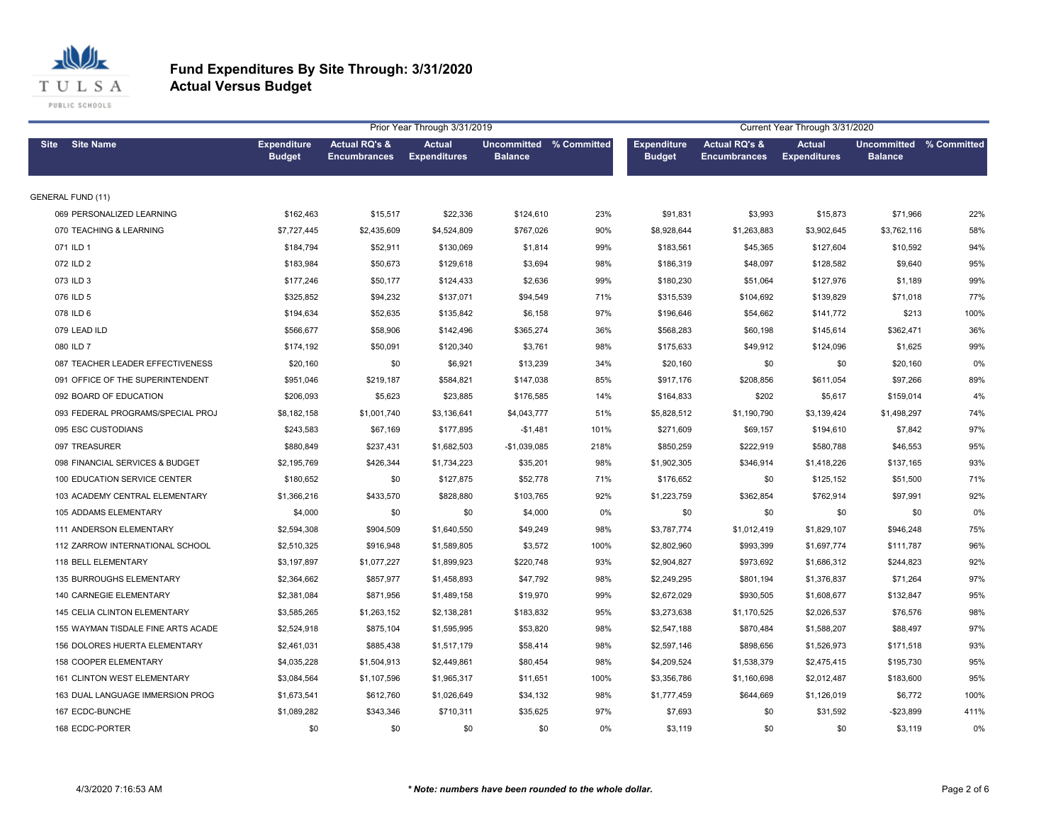

|                                      |                                     |                                                 | Prior Year Through 3/31/2019         |                                           |      |                                     |                                                 | Current Year Through 3/31/2020       |                                                  |      |
|--------------------------------------|-------------------------------------|-------------------------------------------------|--------------------------------------|-------------------------------------------|------|-------------------------------------|-------------------------------------------------|--------------------------------------|--------------------------------------------------|------|
| Site Site Name                       | <b>Expenditure</b><br><b>Budget</b> | <b>Actual RQ's &amp;</b><br><b>Encumbrances</b> | <b>Actual</b><br><b>Expenditures</b> | Uncommitted % Committed<br><b>Balance</b> |      | <b>Expenditure</b><br><b>Budget</b> | <b>Actual RQ's &amp;</b><br><b>Encumbrances</b> | <b>Actual</b><br><b>Expenditures</b> | <b>Uncommitted % Committed</b><br><b>Balance</b> |      |
| <b>GENERAL FUND (11)</b>             |                                     |                                                 |                                      |                                           |      |                                     |                                                 |                                      |                                                  |      |
| 069 PERSONALIZED LEARNING            | \$162,463                           | \$15,517                                        | \$22,336                             | \$124,610                                 | 23%  | \$91,831                            | \$3,993                                         | \$15,873                             | \$71,966                                         | 22%  |
| 070 TEACHING & LEARNING              | \$7,727,445                         | \$2,435,609                                     | \$4,524,809                          | \$767,026                                 | 90%  | \$8,928,644                         | \$1,263,883                                     | \$3,902,645                          | \$3,762,116                                      | 58%  |
| 071 ILD 1                            | \$184,794                           | \$52,911                                        | \$130,069                            | \$1,814                                   | 99%  | \$183,561                           | \$45,365                                        | \$127,604                            | \$10,592                                         | 94%  |
| 072 ILD 2                            | \$183,984                           | \$50,673                                        | \$129,618                            | \$3,694                                   | 98%  | \$186,319                           | \$48,097                                        | \$128,582                            | \$9,640                                          | 95%  |
| 073 ILD 3                            | \$177,246                           | \$50,177                                        | \$124,433                            | \$2,636                                   | 99%  | \$180,230                           | \$51,064                                        | \$127,976                            | \$1,189                                          | 99%  |
| 076 ILD 5                            | \$325,852                           | \$94,232                                        | \$137,071                            | \$94,549                                  | 71%  | \$315,539                           | \$104,692                                       | \$139,829                            | \$71,018                                         | 77%  |
| 078 ILD 6                            | \$194,634                           | \$52,635                                        | \$135,842                            | \$6,158                                   | 97%  | \$196,646                           | \$54,662                                        | \$141,772                            | \$213                                            | 100% |
| 079 LEAD ILD                         | \$566,677                           | \$58,906                                        | \$142,496                            | \$365,274                                 | 36%  | \$568,283                           | \$60,198                                        | \$145,614                            | \$362,471                                        | 36%  |
| 080 ILD 7                            | \$174,192                           | \$50,091                                        | \$120,340                            | \$3,761                                   | 98%  | \$175,633                           | \$49,912                                        | \$124,096                            | \$1,625                                          | 99%  |
| 087 TEACHER LEADER EFFECTIVENESS     | \$20,160                            | \$0                                             | \$6,921                              | \$13,239                                  | 34%  | \$20,160                            | \$0                                             | \$0                                  | \$20,160                                         | 0%   |
| 091 OFFICE OF THE SUPERINTENDENT     | \$951,046                           | \$219,187                                       | \$584,821                            | \$147,038                                 | 85%  | \$917,176                           | \$208,856                                       | \$611,054                            | \$97,266                                         | 89%  |
| 092 BOARD OF EDUCATION               | \$206,093                           | \$5,623                                         | \$23,885                             | \$176,585                                 | 14%  | \$164,833                           | \$202                                           | \$5,617                              | \$159,014                                        | 4%   |
| 093 FEDERAL PROGRAMS/SPECIAL PROJ    | \$8,182,158                         | \$1,001,740                                     | \$3,136,641                          | \$4,043,777                               | 51%  | \$5,828,512                         | \$1,190,790                                     | \$3,139,424                          | \$1,498,297                                      | 74%  |
| 095 ESC CUSTODIANS                   | \$243,583                           | \$67,169                                        | \$177,895                            | $-$1,481$                                 | 101% | \$271,609                           | \$69,157                                        | \$194,610                            | \$7,842                                          | 97%  |
| 097 TREASURER                        | \$880,849                           | \$237,431                                       | \$1,682,503                          | $-$1,039,085$                             | 218% | \$850,259                           | \$222,919                                       | \$580,788                            | \$46,553                                         | 95%  |
| 098 FINANCIAL SERVICES & BUDGET      | \$2,195,769                         | \$426,344                                       | \$1,734,223                          | \$35,201                                  | 98%  | \$1,902,305                         | \$346,914                                       | \$1,418,226                          | \$137,165                                        | 93%  |
| 100 EDUCATION SERVICE CENTER         | \$180,652                           | \$0                                             | \$127,875                            | \$52,778                                  | 71%  | \$176,652                           | \$0                                             | \$125,152                            | \$51,500                                         | 71%  |
| 103 ACADEMY CENTRAL ELEMENTARY       | \$1,366,216                         | \$433,570                                       | \$828,880                            | \$103,765                                 | 92%  | \$1,223,759                         | \$362,854                                       | \$762,914                            | \$97,991                                         | 92%  |
| 105 ADDAMS ELEMENTARY                | \$4,000                             | \$0                                             | \$0                                  | \$4,000                                   | 0%   | \$0                                 | \$0                                             | \$0                                  | \$0                                              | 0%   |
| 111 ANDERSON ELEMENTARY              | \$2,594,308                         | \$904,509                                       | \$1,640,550                          | \$49,249                                  | 98%  | \$3,787,774                         | \$1,012,419                                     | \$1,829,107                          | \$946,248                                        | 75%  |
| 112 ZARROW INTERNATIONAL SCHOOL      | \$2,510,325                         | \$916,948                                       | \$1,589,805                          | \$3,572                                   | 100% | \$2,802,960                         | \$993,399                                       | \$1,697,774                          | \$111,787                                        | 96%  |
| 118 BELL ELEMENTARY                  | \$3,197,897                         | \$1,077,227                                     | \$1,899,923                          | \$220,748                                 | 93%  | \$2,904,827                         | \$973,692                                       | \$1,686,312                          | \$244,823                                        | 92%  |
| 135 BURROUGHS ELEMENTARY             | \$2,364,662                         | \$857,977                                       | \$1,458,893                          | \$47,792                                  | 98%  | \$2,249,295                         | \$801,194                                       | \$1,376,837                          | \$71,264                                         | 97%  |
| 140 CARNEGIE ELEMENTARY              | \$2,381,084                         | \$871,956                                       | \$1,489,158                          | \$19,970                                  | 99%  | \$2,672,029                         | \$930,505                                       | \$1,608,677                          | \$132,847                                        | 95%  |
| 145 CELIA CLINTON ELEMENTARY         | \$3,585,265                         | \$1,263,152                                     | \$2,138,281                          | \$183,832                                 | 95%  | \$3,273,638                         | \$1,170,525                                     | \$2,026,537                          | \$76,576                                         | 98%  |
| 155 WAYMAN TISDALE FINE ARTS ACADE   | \$2,524,918                         | \$875,104                                       | \$1,595,995                          | \$53,820                                  | 98%  | \$2,547,188                         | \$870,484                                       | \$1,588,207                          | \$88,497                                         | 97%  |
| <b>156 DOLORES HUERTA ELEMENTARY</b> | \$2,461,031                         | \$885,438                                       | \$1,517,179                          | \$58,414                                  | 98%  | \$2,597,146                         | \$898,656                                       | \$1,526,973                          | \$171,518                                        | 93%  |
| 158 COOPER ELEMENTARY                | \$4,035,228                         | \$1,504,913                                     | \$2,449,861                          | \$80,454                                  | 98%  | \$4,209,524                         | \$1,538,379                                     | \$2,475,415                          | \$195,730                                        | 95%  |
| 161 CLINTON WEST ELEMENTARY          | \$3,084,564                         | \$1,107,596                                     | \$1,965,317                          | \$11,651                                  | 100% | \$3,356,786                         | \$1,160,698                                     | \$2,012,487                          | \$183,600                                        | 95%  |
| 163 DUAL LANGUAGE IMMERSION PROG     | \$1,673,541                         | \$612,760                                       | \$1,026,649                          | \$34,132                                  | 98%  | \$1,777,459                         | \$644,669                                       | \$1,126,019                          | \$6,772                                          | 100% |
| 167 ECDC-BUNCHE                      | \$1,089,282                         | \$343,346                                       | \$710,311                            | \$35,625                                  | 97%  | \$7,693                             | \$0                                             | \$31,592                             | $-$23,899$                                       | 411% |
| 168 ECDC-PORTER                      | \$0                                 | \$0                                             | \$0                                  | \$0                                       | 0%   | \$3.119                             | \$0                                             | \$0                                  | \$3.119                                          | 0%   |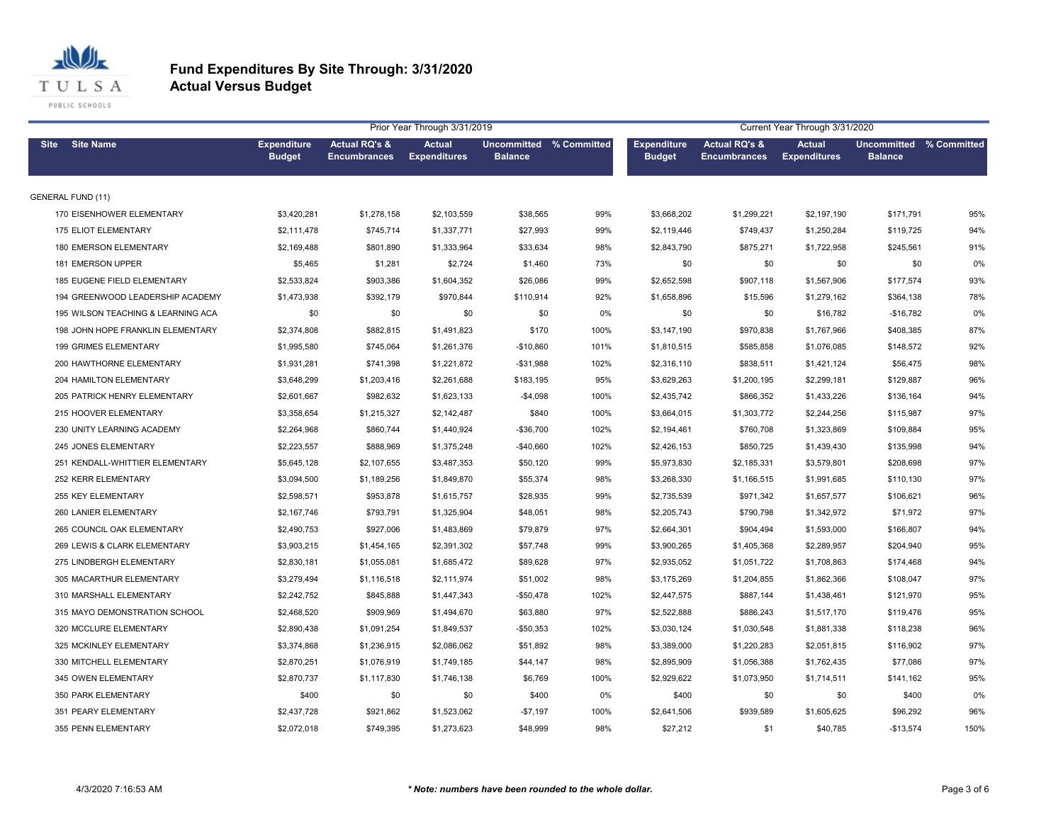

| Prior Year Through 3/31/2019       |                                     |                                                 |                                      |                                                  |      |                                     | Current Year Through 3/31/2020                  |                                      |                                           |       |  |  |
|------------------------------------|-------------------------------------|-------------------------------------------------|--------------------------------------|--------------------------------------------------|------|-------------------------------------|-------------------------------------------------|--------------------------------------|-------------------------------------------|-------|--|--|
| Site Site Name                     | <b>Expenditure</b><br><b>Budget</b> | <b>Actual RQ's &amp;</b><br><b>Encumbrances</b> | <b>Actual</b><br><b>Expenditures</b> | <b>Uncommitted % Committed</b><br><b>Balance</b> |      | <b>Expenditure</b><br><b>Budget</b> | <b>Actual RQ's &amp;</b><br><b>Encumbrances</b> | <b>Actual</b><br><b>Expenditures</b> | Uncommitted % Committed<br><b>Balance</b> |       |  |  |
| <b>GENERAL FUND (11)</b>           |                                     |                                                 |                                      |                                                  |      |                                     |                                                 |                                      |                                           |       |  |  |
| 170 EISENHOWER ELEMENTARY          | \$3,420,281                         | \$1,278,158                                     | \$2,103,559                          | \$38,565                                         | 99%  | \$3,668,202                         | \$1,299,221                                     | \$2,197,190                          | \$171,791                                 | 95%   |  |  |
| 175 ELIOT ELEMENTARY               | \$2,111,478                         | \$745,714                                       | \$1,337,771                          | \$27,993                                         | 99%  | \$2,119,446                         | \$749,437                                       | \$1,250,284                          | \$119,725                                 | 94%   |  |  |
| 180 EMERSON ELEMENTARY             | \$2,169,488                         | \$801,890                                       | \$1,333,964                          | \$33,634                                         | 98%  | \$2,843,790                         | \$875,271                                       | \$1,722,958                          | \$245,561                                 | 91%   |  |  |
| <b>181 EMERSON UPPER</b>           | \$5,465                             | \$1,281                                         | \$2,724                              | \$1,460                                          | 73%  | \$0                                 | \$0                                             | \$0                                  | \$0                                       | $0\%$ |  |  |
| 185 EUGENE FIELD ELEMENTARY        | \$2,533,824                         | \$903,386                                       | \$1,604,352                          | \$26,086                                         | 99%  | \$2,652,598                         | \$907,118                                       | \$1,567,906                          | \$177,574                                 | 93%   |  |  |
| 194 GREENWOOD LEADERSHIP ACADEMY   | \$1,473,938                         | \$392,179                                       | \$970,844                            | \$110,914                                        | 92%  | \$1,658,896                         | \$15,596                                        | \$1,279,162                          | \$364,138                                 | 78%   |  |  |
| 195 WILSON TEACHING & LEARNING ACA | \$0                                 | \$0                                             | \$0                                  | \$0                                              | 0%   | \$0                                 | \$0                                             | \$16,782                             | -\$16,782                                 | 0%    |  |  |
| 198 JOHN HOPE FRANKLIN ELEMENTARY  | \$2,374,808                         | \$882,815                                       | \$1,491,823                          | \$170                                            | 100% | \$3,147,190                         | \$970,838                                       | \$1,767,966                          | \$408,385                                 | 87%   |  |  |
| 199 GRIMES ELEMENTARY              | \$1,995,580                         | \$745,064                                       | \$1,261,376                          | $-$10,860$                                       | 101% | \$1,810,515                         | \$585,858                                       | \$1,076,085                          | \$148,572                                 | 92%   |  |  |
| 200 HAWTHORNE ELEMENTARY           | \$1,931,281                         | \$741,398                                       | \$1,221,872                          | $- $31,988$                                      | 102% | \$2,316,110                         | \$838,511                                       | \$1,421,124                          | \$56,475                                  | 98%   |  |  |
| 204 HAMILTON ELEMENTARY            | \$3,648,299                         | \$1,203,416                                     | \$2,261,688                          | \$183,195                                        | 95%  | \$3,629,263                         | \$1,200,195                                     | \$2,299,181                          | \$129,887                                 | 96%   |  |  |
| 205 PATRICK HENRY ELEMENTARY       | \$2,601,667                         | \$982,632                                       | \$1,623,133                          | $-$4,098$                                        | 100% | \$2,435,742                         | \$866,352                                       | \$1,433,226                          | \$136,164                                 | 94%   |  |  |
| 215 HOOVER ELEMENTARY              | \$3,358,654                         | \$1,215,327                                     | \$2,142,487                          | \$840                                            | 100% | \$3,664,015                         | \$1,303,772                                     | \$2,244,256                          | \$115,987                                 | 97%   |  |  |
| 230 UNITY LEARNING ACADEMY         | \$2,264,968                         | \$860,744                                       | \$1,440,924                          | $-$36,700$                                       | 102% | \$2,194,461                         | \$760,708                                       | \$1,323,869                          | \$109,884                                 | 95%   |  |  |
| 245 JONES ELEMENTARY               | \$2,223,557                         | \$888,969                                       | \$1,375,248                          | $-$40,660$                                       | 102% | \$2,426,153                         | \$850,725                                       | \$1,439,430                          | \$135,998                                 | 94%   |  |  |
| 251 KENDALL-WHITTIER ELEMENTARY    | \$5,645,128                         | \$2,107,655                                     | \$3,487,353                          | \$50,120                                         | 99%  | \$5,973,830                         | \$2,185,331                                     | \$3,579,801                          | \$208,698                                 | 97%   |  |  |
| 252 KERR ELEMENTARY                | \$3,094,500                         | \$1,189,256                                     | \$1,849,870                          | \$55,374                                         | 98%  | \$3,268,330                         | \$1,166,515                                     | \$1,991,685                          | \$110,130                                 | 97%   |  |  |
| 255 KEY ELEMENTARY                 | \$2,598,571                         | \$953,878                                       | \$1,615,757                          | \$28,935                                         | 99%  | \$2,735,539                         | \$971,342                                       | \$1,657,577                          | \$106,621                                 | 96%   |  |  |
| 260 LANIER ELEMENTARY              | \$2,167,746                         | \$793,791                                       | \$1,325,904                          | \$48,051                                         | 98%  | \$2,205,743                         | \$790,798                                       | \$1,342,972                          | \$71,972                                  | 97%   |  |  |
| 265 COUNCIL OAK ELEMENTARY         | \$2,490,753                         | \$927,006                                       | \$1,483,869                          | \$79,879                                         | 97%  | \$2,664,301                         | \$904,494                                       | \$1,593,000                          | \$166,807                                 | 94%   |  |  |
| 269 LEWIS & CLARK ELEMENTARY       | \$3,903,215                         | \$1,454,165                                     | \$2,391,302                          | \$57,748                                         | 99%  | \$3,900,265                         | \$1,405,368                                     | \$2,289,957                          | \$204,940                                 | 95%   |  |  |
| 275 LINDBERGH ELEMENTARY           | \$2,830,181                         | \$1,055,081                                     | \$1,685,472                          | \$89,628                                         | 97%  | \$2,935,052                         | \$1,051,722                                     | \$1,708,863                          | \$174,468                                 | 94%   |  |  |
| 305 MACARTHUR ELEMENTARY           | \$3,279,494                         | \$1,116,518                                     | \$2,111,974                          | \$51,002                                         | 98%  | \$3,175,269                         | \$1,204,855                                     | \$1,862,366                          | \$108,047                                 | 97%   |  |  |
| 310 MARSHALL ELEMENTARY            | \$2,242,752                         | \$845,888                                       | \$1,447,343                          | $-$50,478$                                       | 102% | \$2,447,575                         | \$887,144                                       | \$1,438,461                          | \$121,970                                 | 95%   |  |  |
| 315 MAYO DEMONSTRATION SCHOOL      | \$2,468,520                         | \$909,969                                       | \$1,494,670                          | \$63,880                                         | 97%  | \$2,522,888                         | \$886,243                                       | \$1,517,170                          | \$119,476                                 | 95%   |  |  |
| 320 MCCLURE ELEMENTARY             | \$2,890,438                         | \$1,091,254                                     | \$1,849,537                          | $-$50,353$                                       | 102% | \$3,030,124                         | \$1,030,548                                     | \$1,881,338                          | \$118,238                                 | 96%   |  |  |
| 325 MCKINLEY ELEMENTARY            | \$3,374,868                         | \$1,236,915                                     | \$2,086,062                          | \$51,892                                         | 98%  | \$3,389,000                         | \$1,220,283                                     | \$2,051,815                          | \$116,902                                 | 97%   |  |  |
| 330 MITCHELL ELEMENTARY            | \$2,870,251                         | \$1,076,919                                     | \$1,749,185                          | \$44,147                                         | 98%  | \$2,895,909                         | \$1,056,388                                     | \$1,762,435                          | \$77,086                                  | 97%   |  |  |
| 345 OWEN ELEMENTARY                | \$2,870,737                         | \$1,117,830                                     | \$1,746,138                          | \$6,769                                          | 100% | \$2,929,622                         | \$1,073,950                                     | \$1,714,511                          | \$141,162                                 | 95%   |  |  |
| 350 PARK ELEMENTARY                | \$400                               | \$0                                             | \$0                                  | \$400                                            | 0%   | \$400                               | \$0                                             | \$0                                  | \$400                                     | 0%    |  |  |
| 351 PEARY ELEMENTARY               | \$2,437,728                         | \$921,862                                       | \$1,523,062                          | $-$7,197$                                        | 100% | \$2,641,506                         | \$939,589                                       | \$1,605,625                          | \$96,292                                  | 96%   |  |  |
| 355 PENN ELEMENTARY                | \$2.072.018                         | \$749.395                                       | \$1,273,623                          | \$48,999                                         | 98%  | \$27.212                            | \$1                                             | \$40.785                             | $-$13.574$                                | 150%  |  |  |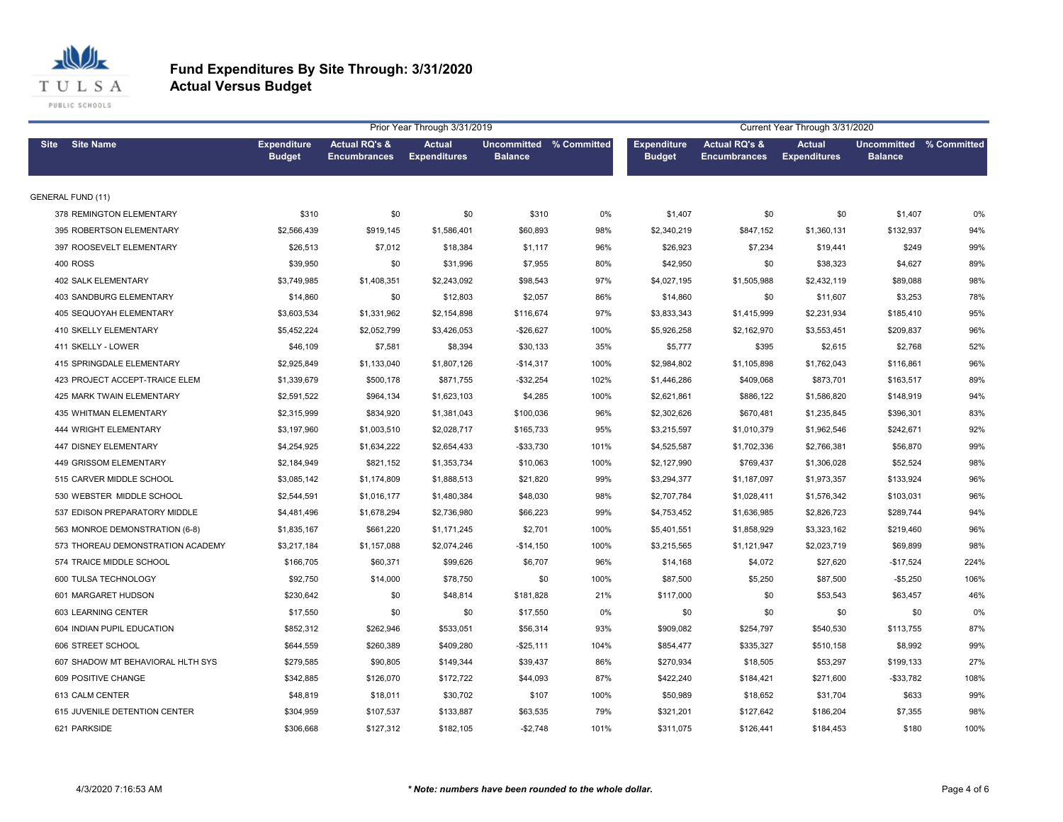

| Prior Year Through 3/31/2019      |                                     |                                                 |                                      |                                                  |      | Current Year Through 3/31/2020      |                                                 |                                      |                                           |      |  |
|-----------------------------------|-------------------------------------|-------------------------------------------------|--------------------------------------|--------------------------------------------------|------|-------------------------------------|-------------------------------------------------|--------------------------------------|-------------------------------------------|------|--|
| Site Site Name                    | <b>Expenditure</b><br><b>Budget</b> | <b>Actual RQ's &amp;</b><br><b>Encumbrances</b> | <b>Actual</b><br><b>Expenditures</b> | <b>Uncommitted % Committed</b><br><b>Balance</b> |      | <b>Expenditure</b><br><b>Budget</b> | <b>Actual RQ's &amp;</b><br><b>Encumbrances</b> | <b>Actual</b><br><b>Expenditures</b> | Uncommitted % Committed<br><b>Balance</b> |      |  |
| <b>GENERAL FUND (11)</b>          |                                     |                                                 |                                      |                                                  |      |                                     |                                                 |                                      |                                           |      |  |
| 378 REMINGTON ELEMENTARY          | \$310                               | \$0                                             | \$0                                  | \$310                                            | 0%   | \$1,407                             | \$0                                             | \$0                                  | \$1,407                                   | 0%   |  |
| 395 ROBERTSON ELEMENTARY          | \$2,566,439                         | \$919,145                                       | \$1,586,401                          | \$60,893                                         | 98%  | \$2,340,219                         | \$847,152                                       | \$1,360,131                          | \$132,937                                 | 94%  |  |
| 397 ROOSEVELT ELEMENTARY          | \$26,513                            | \$7,012                                         | \$18,384                             | \$1,117                                          | 96%  | \$26,923                            | \$7,234                                         | \$19,441                             | \$249                                     | 99%  |  |
| <b>400 ROSS</b>                   | \$39,950                            | \$0                                             | \$31,996                             | \$7,955                                          | 80%  | \$42,950                            | \$0                                             | \$38,323                             | \$4,627                                   | 89%  |  |
| <b>402 SALK ELEMENTARY</b>        | \$3,749,985                         | \$1,408,351                                     | \$2,243,092                          | \$98,543                                         | 97%  | \$4,027,195                         | \$1,505,988                                     | \$2,432,119                          | \$89,088                                  | 98%  |  |
| <b>403 SANDBURG ELEMENTARY</b>    | \$14,860                            | \$0                                             | \$12,803                             | \$2,057                                          | 86%  | \$14,860                            | \$0                                             | \$11,607                             | \$3,253                                   | 78%  |  |
| <b>405 SEQUOYAH ELEMENTARY</b>    | \$3,603,534                         | \$1,331,962                                     | \$2,154,898                          | \$116,674                                        | 97%  | \$3,833,343                         | \$1,415,999                                     | \$2,231,934                          | \$185,410                                 | 95%  |  |
| 410 SKELLY ELEMENTARY             | \$5,452,224                         | \$2,052,799                                     | \$3,426,053                          | $-$26,627$                                       | 100% | \$5,926,258                         | \$2,162,970                                     | \$3,553,451                          | \$209,837                                 | 96%  |  |
| 411 SKELLY - LOWER                | \$46,109                            | \$7,581                                         | \$8,394                              | \$30,133                                         | 35%  | \$5,777                             | \$395                                           | \$2,615                              | \$2,768                                   | 52%  |  |
| 415 SPRINGDALE ELEMENTARY         | \$2,925,849                         | \$1,133,040                                     | \$1,807,126                          | $-$14,317$                                       | 100% | \$2,984,802                         | \$1,105,898                                     | \$1,762,043                          | \$116,861                                 | 96%  |  |
| 423 PROJECT ACCEPT-TRAICE ELEM    | \$1,339,679                         | \$500,178                                       | \$871,755                            | $-$32,254$                                       | 102% | \$1,446,286                         | \$409,068                                       | \$873,701                            | \$163,517                                 | 89%  |  |
| 425 MARK TWAIN ELEMENTARY         | \$2,591,522                         | \$964,134                                       | \$1,623,103                          | \$4,285                                          | 100% | \$2,621,861                         | \$886,122                                       | \$1,586,820                          | \$148,919                                 | 94%  |  |
| 435 WHITMAN ELEMENTARY            | \$2,315,999                         | \$834,920                                       | \$1,381,043                          | \$100,036                                        | 96%  | \$2,302,626                         | \$670,481                                       | \$1,235,845                          | \$396,301                                 | 83%  |  |
| 444 WRIGHT ELEMENTARY             | \$3,197,960                         | \$1,003,510                                     | \$2,028,717                          | \$165,733                                        | 95%  | \$3,215,597                         | \$1,010,379                                     | \$1,962,546                          | \$242,671                                 | 92%  |  |
| 447 DISNEY ELEMENTARY             | \$4,254,925                         | \$1,634,222                                     | \$2,654,433                          | $-$33,730$                                       | 101% | \$4,525,587                         | \$1,702,336                                     | \$2,766,381                          | \$56,870                                  | 99%  |  |
| 449 GRISSOM ELEMENTARY            | \$2,184,949                         | \$821,152                                       | \$1,353,734                          | \$10,063                                         | 100% | \$2,127,990                         | \$769,437                                       | \$1,306,028                          | \$52,524                                  | 98%  |  |
| 515 CARVER MIDDLE SCHOOL          | \$3,085,142                         | \$1,174,809                                     | \$1,888,513                          | \$21,820                                         | 99%  | \$3,294,377                         | \$1,187,097                                     | \$1,973,357                          | \$133,924                                 | 96%  |  |
| 530 WEBSTER MIDDLE SCHOOL         | \$2,544,591                         | \$1,016,177                                     | \$1,480,384                          | \$48,030                                         | 98%  | \$2,707,784                         | \$1,028,411                                     | \$1,576,342                          | \$103,031                                 | 96%  |  |
| 537 EDISON PREPARATORY MIDDLE     | \$4,481,496                         | \$1,678,294                                     | \$2,736,980                          | \$66,223                                         | 99%  | \$4,753,452                         | \$1,636,985                                     | \$2,826,723                          | \$289,744                                 | 94%  |  |
| 563 MONROE DEMONSTRATION (6-8)    | \$1,835,167                         | \$661,220                                       | \$1,171,245                          | \$2,701                                          | 100% | \$5,401,551                         | \$1,858,929                                     | \$3,323,162                          | \$219,460                                 | 96%  |  |
| 573 THOREAU DEMONSTRATION ACADEMY | \$3,217,184                         | \$1,157,088                                     | \$2,074,246                          | $-$14,150$                                       | 100% | \$3,215,565                         | \$1,121,947                                     | \$2,023,719                          | \$69,899                                  | 98%  |  |
| 574 TRAICE MIDDLE SCHOOL          | \$166,705                           | \$60,371                                        | \$99,626                             | \$6,707                                          | 96%  | \$14,168                            | \$4,072                                         | \$27,620                             | $-$17,524$                                | 224% |  |
| 600 TULSA TECHNOLOGY              | \$92,750                            | \$14,000                                        | \$78,750                             | \$0                                              | 100% | \$87,500                            | \$5,250                                         | \$87,500                             | $-$5,250$                                 | 106% |  |
| 601 MARGARET HUDSON               | \$230,642                           | \$0                                             | \$48,814                             | \$181,828                                        | 21%  | \$117,000                           | \$0                                             | \$53,543                             | \$63,457                                  | 46%  |  |
| 603 LEARNING CENTER               | \$17,550                            | \$0                                             | \$0                                  | \$17,550                                         | 0%   | \$0                                 | \$0                                             | \$0                                  | \$0                                       | 0%   |  |
| 604 INDIAN PUPIL EDUCATION        | \$852,312                           | \$262,946                                       | \$533,051                            | \$56,314                                         | 93%  | \$909,082                           | \$254,797                                       | \$540,530                            | \$113,755                                 | 87%  |  |
| 606 STREET SCHOOL                 | \$644,559                           | \$260,389                                       | \$409,280                            | $-$25,111$                                       | 104% | \$854,477                           | \$335,327                                       | \$510,158                            | \$8,992                                   | 99%  |  |
| 607 SHADOW MT BEHAVIORAL HLTH SYS | \$279,585                           | \$90,805                                        | \$149,344                            | \$39,437                                         | 86%  | \$270,934                           | \$18,505                                        | \$53,297                             | \$199,133                                 | 27%  |  |
| 609 POSITIVE CHANGE               | \$342,885                           | \$126,070                                       | \$172,722                            | \$44,093                                         | 87%  | \$422,240                           | \$184,421                                       | \$271,600                            | $-$ \$33,782                              | 108% |  |
| 613 CALM CENTER                   | \$48,819                            | \$18,011                                        | \$30,702                             | \$107                                            | 100% | \$50,989                            | \$18,652                                        | \$31,704                             | \$633                                     | 99%  |  |
| 615 JUVENILE DETENTION CENTER     | \$304,959                           | \$107,537                                       | \$133,887                            | \$63,535                                         | 79%  | \$321,201                           | \$127,642                                       | \$186,204                            | \$7,355                                   | 98%  |  |
| 621 PARKSIDE                      | \$306.668                           | \$127.312                                       | \$182,105                            | $-$2,748$                                        | 101% | \$311,075                           | \$126.441                                       | \$184.453                            | \$180                                     | 100% |  |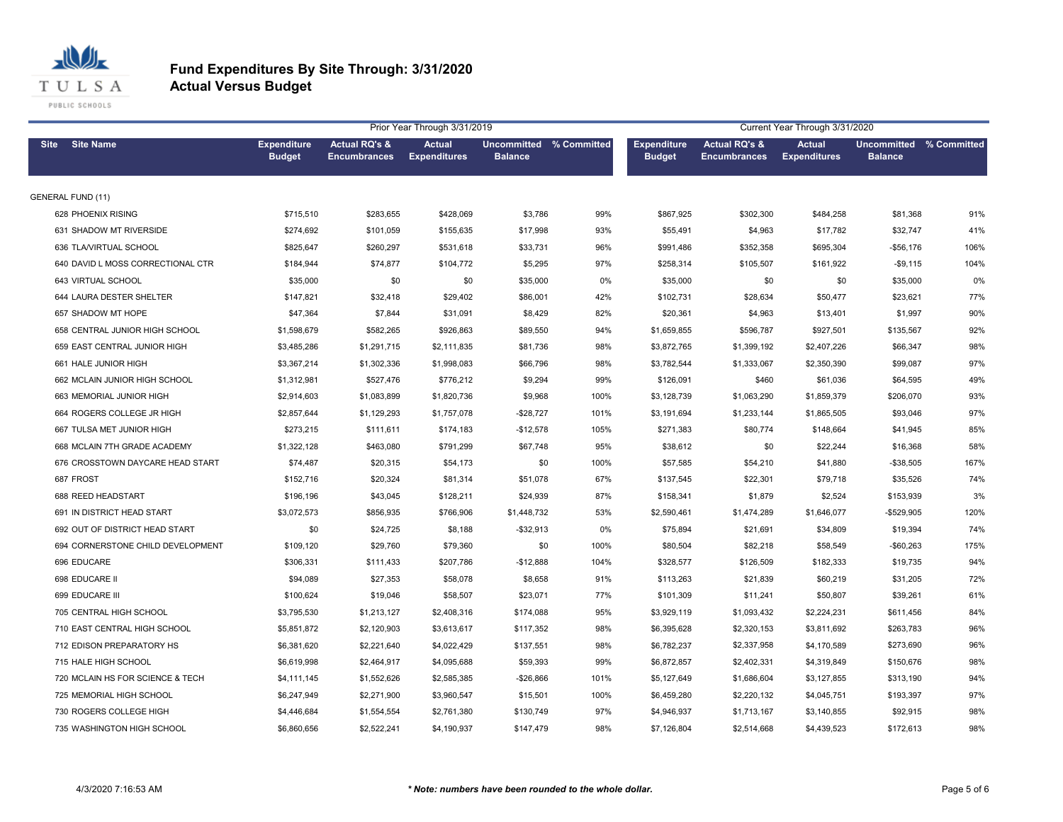

|             |                                   |                                     |                                                 | Prior Year Through 3/31/2019         |                                                  |       | Current Year Through 3/31/2020      |                                                 |                                      |                                           |      |  |
|-------------|-----------------------------------|-------------------------------------|-------------------------------------------------|--------------------------------------|--------------------------------------------------|-------|-------------------------------------|-------------------------------------------------|--------------------------------------|-------------------------------------------|------|--|
| <b>Site</b> | <b>Site Name</b>                  | <b>Expenditure</b><br><b>Budget</b> | <b>Actual RQ's &amp;</b><br><b>Encumbrances</b> | <b>Actual</b><br><b>Expenditures</b> | <b>Uncommitted % Committed</b><br><b>Balance</b> |       | <b>Expenditure</b><br><b>Budget</b> | <b>Actual RQ's &amp;</b><br><b>Encumbrances</b> | <b>Actual</b><br><b>Expenditures</b> | Uncommitted % Committed<br><b>Balance</b> |      |  |
|             | <b>GENERAL FUND (11)</b>          |                                     |                                                 |                                      |                                                  |       |                                     |                                                 |                                      |                                           |      |  |
|             | 628 PHOENIX RISING                | \$715,510                           | \$283,655                                       | \$428,069                            | \$3,786                                          | 99%   | \$867,925                           | \$302,300                                       | \$484,258                            | \$81,368                                  | 91%  |  |
|             | 631 SHADOW MT RIVERSIDE           | \$274,692                           | \$101,059                                       | \$155,635                            | \$17,998                                         | 93%   | \$55,491                            | \$4,963                                         | \$17,782                             | \$32,747                                  | 41%  |  |
|             | 636 TLA/VIRTUAL SCHOOL            | \$825,647                           | \$260,297                                       | \$531,618                            | \$33,731                                         | 96%   | \$991,486                           | \$352,358                                       | \$695,304                            | $-$56,176$                                | 106% |  |
|             | 640 DAVID L MOSS CORRECTIONAL CTR | \$184,944                           | \$74,877                                        | \$104,772                            | \$5,295                                          | 97%   | \$258,314                           | \$105,507                                       | \$161,922                            | $-$9,115$                                 | 104% |  |
|             | 643 VIRTUAL SCHOOL                | \$35,000                            | \$0                                             | \$0                                  | \$35,000                                         | $0\%$ | \$35,000                            | \$0                                             | \$0                                  | \$35,000                                  | 0%   |  |
|             | 644 LAURA DESTER SHELTER          | \$147,821                           | \$32,418                                        | \$29,402                             | \$86,001                                         | 42%   | \$102,731                           | \$28,634                                        | \$50,477                             | \$23,621                                  | 77%  |  |
|             | 657 SHADOW MT HOPE                | \$47,364                            | \$7,844                                         | \$31,091                             | \$8,429                                          | 82%   | \$20,361                            | \$4,963                                         | \$13,401                             | \$1,997                                   | 90%  |  |
|             | 658 CENTRAL JUNIOR HIGH SCHOOL    | \$1,598,679                         | \$582,265                                       | \$926,863                            | \$89,550                                         | 94%   | \$1,659,855                         | \$596,787                                       | \$927,501                            | \$135,567                                 | 92%  |  |
|             | 659 EAST CENTRAL JUNIOR HIGH      | \$3,485,286                         | \$1,291,715                                     | \$2,111,835                          | \$81,736                                         | 98%   | \$3,872,765                         | \$1,399,192                                     | \$2,407,226                          | \$66,347                                  | 98%  |  |
|             | 661 HALE JUNIOR HIGH              | \$3,367,214                         | \$1,302,336                                     | \$1,998,083                          | \$66,796                                         | 98%   | \$3,782,544                         | \$1,333,067                                     | \$2,350,390                          | \$99,087                                  | 97%  |  |
|             | 662 MCLAIN JUNIOR HIGH SCHOOL     | \$1,312,981                         | \$527,476                                       | \$776,212                            | \$9,294                                          | 99%   | \$126,091                           | \$460                                           | \$61,036                             | \$64,595                                  | 49%  |  |
|             | 663 MEMORIAL JUNIOR HIGH          | \$2,914,603                         | \$1,083,899                                     | \$1,820,736                          | \$9,968                                          | 100%  | \$3,128,739                         | \$1,063,290                                     | \$1,859,379                          | \$206,070                                 | 93%  |  |
|             | 664 ROGERS COLLEGE JR HIGH        | \$2,857,644                         | \$1,129,293                                     | \$1,757,078                          | $-$28,727$                                       | 101%  | \$3,191,694                         | \$1,233,144                                     | \$1,865,505                          | \$93,046                                  | 97%  |  |
|             | 667 TULSA MET JUNIOR HIGH         | \$273,215                           | \$111,611                                       | \$174,183                            | $-$12,578$                                       | 105%  | \$271,383                           | \$80,774                                        | \$148,664                            | \$41,945                                  | 85%  |  |
|             | 668 MCLAIN 7TH GRADE ACADEMY      | \$1,322,128                         | \$463,080                                       | \$791,299                            | \$67,748                                         | 95%   | \$38,612                            | \$0                                             | \$22,244                             | \$16,368                                  | 58%  |  |
|             | 676 CROSSTOWN DAYCARE HEAD START  | \$74,487                            | \$20,315                                        | \$54,173                             | \$0                                              | 100%  | \$57,585                            | \$54,210                                        | \$41,880                             | $-$38,505$                                | 167% |  |
|             | 687 FROST                         | \$152,716                           | \$20,324                                        | \$81,314                             | \$51,078                                         | 67%   | \$137,545                           | \$22,301                                        | \$79,718                             | \$35,526                                  | 74%  |  |
|             | 688 REED HEADSTART                | \$196,196                           | \$43,045                                        | \$128,211                            | \$24,939                                         | 87%   | \$158,341                           | \$1,879                                         | \$2,524                              | \$153,939                                 | 3%   |  |
|             | 691 IN DISTRICT HEAD START        | \$3,072,573                         | \$856,935                                       | \$766,906                            | \$1,448,732                                      | 53%   | \$2,590,461                         | \$1,474,289                                     | \$1,646,077                          | $-$529,905$                               | 120% |  |
|             | 692 OUT OF DISTRICT HEAD START    | \$0                                 | \$24,725                                        | \$8,188                              | $-$32,913$                                       | 0%    | \$75,894                            | \$21,691                                        | \$34,809                             | \$19,394                                  | 74%  |  |
|             | 694 CORNERSTONE CHILD DEVELOPMENT | \$109,120                           | \$29,760                                        | \$79,360                             | \$0                                              | 100%  | \$80,504                            | \$82,218                                        | \$58,549                             | $-$60,263$                                | 175% |  |
|             | 696 EDUCARE                       | \$306,331                           | \$111,433                                       | \$207,786                            | $-$12,888$                                       | 104%  | \$328,577                           | \$126,509                                       | \$182,333                            | \$19,735                                  | 94%  |  |
|             | 698 EDUCARE II                    | \$94,089                            | \$27,353                                        | \$58,078                             | \$8,658                                          | 91%   | \$113,263                           | \$21,839                                        | \$60,219                             | \$31,205                                  | 72%  |  |
|             | 699 EDUCARE III                   | \$100,624                           | \$19,046                                        | \$58,507                             | \$23,071                                         | 77%   | \$101,309                           | \$11,241                                        | \$50,807                             | \$39,261                                  | 61%  |  |
|             | 705 CENTRAL HIGH SCHOOL           | \$3,795,530                         | \$1,213,127                                     | \$2,408,316                          | \$174,088                                        | 95%   | \$3,929,119                         | \$1,093,432                                     | \$2,224,231                          | \$611,456                                 | 84%  |  |
|             | 710 EAST CENTRAL HIGH SCHOOL      | \$5,851,872                         | \$2,120,903                                     | \$3,613,617                          | \$117,352                                        | 98%   | \$6,395,628                         | \$2,320,153                                     | \$3,811,692                          | \$263,783                                 | 96%  |  |
|             | 712 EDISON PREPARATORY HS         | \$6,381,620                         | \$2,221,640                                     | \$4,022,429                          | \$137,551                                        | 98%   | \$6,782,237                         | \$2,337,958                                     | \$4,170,589                          | \$273,690                                 | 96%  |  |
|             | 715 HALE HIGH SCHOOL              | \$6,619,998                         | \$2,464,917                                     | \$4,095,688                          | \$59,393                                         | 99%   | \$6,872,857                         | \$2,402,331                                     | \$4,319,849                          | \$150,676                                 | 98%  |  |
|             | 720 MCLAIN HS FOR SCIENCE & TECH  | \$4,111,145                         | \$1,552,626                                     | \$2,585,385                          | $-$26,866$                                       | 101%  | \$5,127,649                         | \$1,686,604                                     | \$3,127,855                          | \$313,190                                 | 94%  |  |
|             | 725 MEMORIAL HIGH SCHOOL          | \$6,247,949                         | \$2,271,900                                     | \$3,960,547                          | \$15,501                                         | 100%  | \$6,459,280                         | \$2,220,132                                     | \$4,045,751                          | \$193,397                                 | 97%  |  |
|             | 730 ROGERS COLLEGE HIGH           | \$4,446,684                         | \$1,554,554                                     | \$2,761,380                          | \$130,749                                        | 97%   | \$4,946,937                         | \$1,713,167                                     | \$3,140,855                          | \$92,915                                  | 98%  |  |
|             | 735 WASHINGTON HIGH SCHOOL        | \$6,860,656                         | \$2,522,241                                     | \$4,190,937                          | \$147,479                                        | 98%   | \$7,126,804                         | \$2,514,668                                     | \$4,439,523                          | \$172,613                                 | 98%  |  |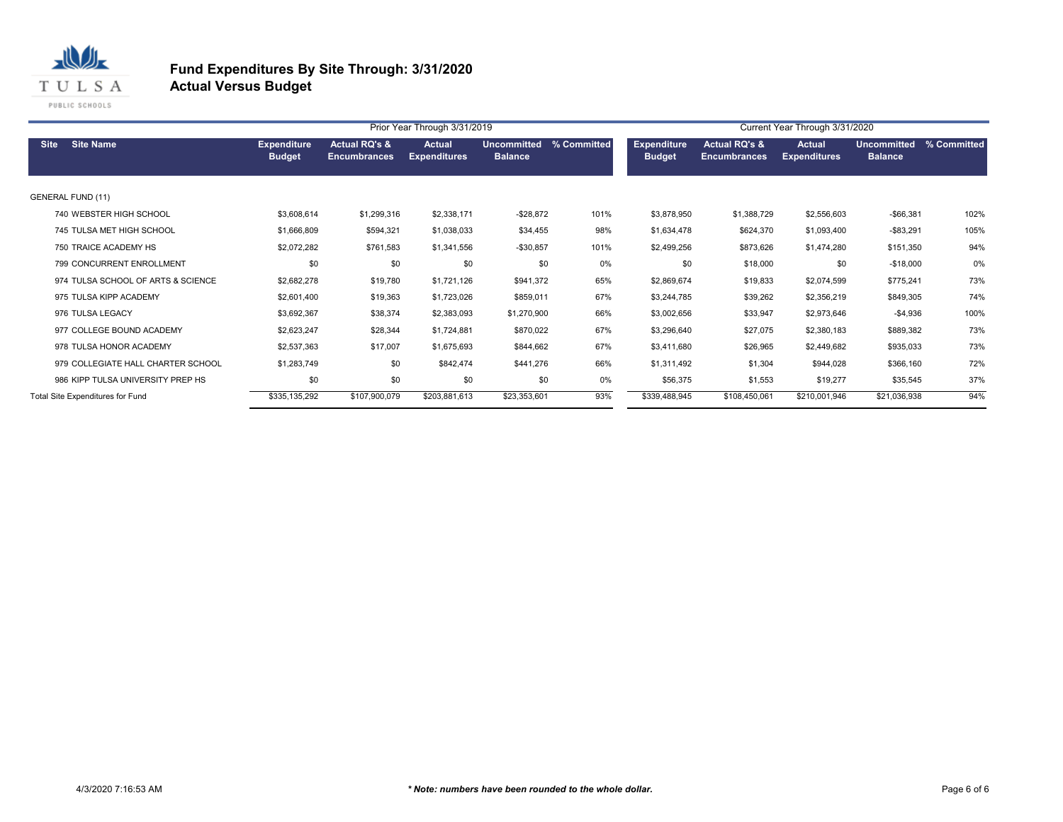

|                                    |                                     |                                      | Prior Year Through 3/31/2019         |                               | Current Year Through 3/31/2020 |                                     |                                                 |                               |                                      |             |
|------------------------------------|-------------------------------------|--------------------------------------|--------------------------------------|-------------------------------|--------------------------------|-------------------------------------|-------------------------------------------------|-------------------------------|--------------------------------------|-------------|
| <b>Site Name</b><br><b>Site</b>    | <b>Expenditure</b><br><b>Budget</b> | Actual RQ's &<br><b>Encumbrances</b> | <b>Actual</b><br><b>Expenditures</b> | Uncommitted<br><b>Balance</b> | % Committed                    | <b>Expenditure</b><br><b>Budget</b> | <b>Actual RQ's &amp;</b><br><b>Encumbrances</b> | Actual<br><b>Expenditures</b> | <b>Uncommitted</b><br><b>Balance</b> | % Committed |
| <b>GENERAL FUND (11)</b>           |                                     |                                      |                                      |                               |                                |                                     |                                                 |                               |                                      |             |
| 740 WEBSTER HIGH SCHOOL            | \$3,608,614                         | \$1,299,316                          | \$2,338,171                          | $-$ \$28,872                  | 101%                           | \$3,878,950                         | \$1,388,729                                     | \$2,556,603                   | $-$66,381$                           | 102%        |
| 745 TULSA MET HIGH SCHOOL          | \$1,666,809                         | \$594,321                            | \$1,038,033                          | \$34,455                      | 98%                            | \$1,634,478                         | \$624,370                                       | \$1,093,400                   | $-$83,291$                           | 105%        |
| 750 TRAICE ACADEMY HS              | \$2,072,282                         | \$761,583                            | \$1,341,556                          | $-$30,857$                    | 101%                           | \$2,499,256                         | \$873,626                                       | \$1,474,280                   | \$151,350                            | 94%         |
| 799 CONCURRENT ENROLLMENT          | \$0                                 | \$0                                  | \$0                                  | \$0                           | 0%                             | \$0                                 | \$18,000                                        | \$0                           | $-$18,000$                           | 0%          |
| 974 TULSA SCHOOL OF ARTS & SCIENCE | \$2,682,278                         | \$19,780                             | \$1,721,126                          | \$941,372                     | 65%                            | \$2,869,674                         | \$19,833                                        | \$2,074,599                   | \$775,241                            | 73%         |
| 975 TULSA KIPP ACADEMY             | \$2,601,400                         | \$19,363                             | \$1,723,026                          | \$859,011                     | 67%                            | \$3,244,785                         | \$39,262                                        | \$2,356,219                   | \$849,305                            | 74%         |
| 976 TULSA LEGACY                   | \$3,692,367                         | \$38,374                             | \$2,383,093                          | \$1,270,900                   | 66%                            | \$3,002,656                         | \$33,947                                        | \$2,973,646                   | $-$4,936$                            | 100%        |
| 977 COLLEGE BOUND ACADEMY          | \$2,623,247                         | \$28,344                             | \$1,724,881                          | \$870,022                     | 67%                            | \$3,296,640                         | \$27,075                                        | \$2,380,183                   | \$889,382                            | 73%         |
| 978 TULSA HONOR ACADEMY            | \$2,537,363                         | \$17,007                             | \$1,675,693                          | \$844,662                     | 67%                            | \$3,411,680                         | \$26,965                                        | \$2,449,682                   | \$935,033                            | 73%         |
| 979 COLLEGIATE HALL CHARTER SCHOOL | \$1,283,749                         | \$0                                  | \$842,474                            | \$441,276                     | 66%                            | \$1,311,492                         | \$1,304                                         | \$944,028                     | \$366,160                            | 72%         |
| 986 KIPP TULSA UNIVERSITY PREP HS  | \$0                                 | \$0                                  | \$0                                  | \$0                           | 0%                             | \$56,375                            | \$1,553                                         | \$19,277                      | \$35,545                             | 37%         |
| Total Site Expenditures for Fund   | \$335,135,292                       | \$107,900,079                        | \$203,881,613                        | \$23,353,601                  | 93%                            | \$339,488,945                       | \$108,450,061                                   | \$210,001,946                 | \$21,036,938                         | 94%         |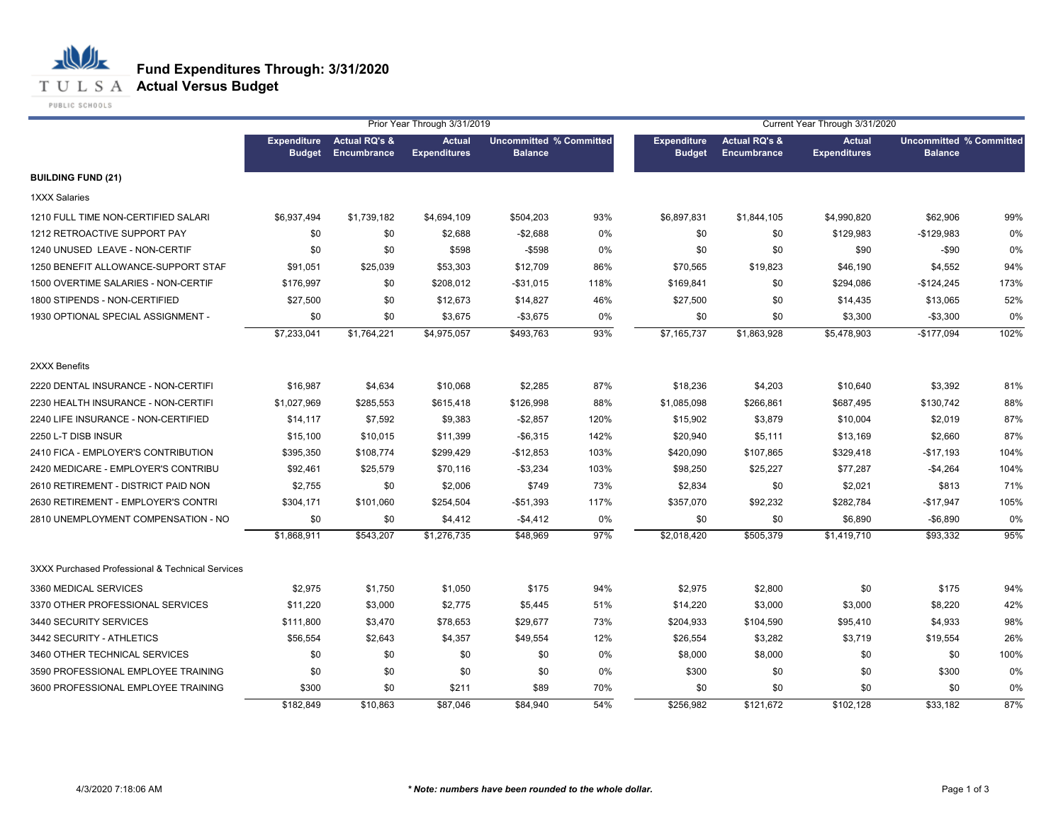

|                                                  |                                     | Prior Year Through 3/31/2019            |                                      |                |                                |                                     | Current Year Through 3/31/2020                 |                                      |                                                  |      |  |
|--------------------------------------------------|-------------------------------------|-----------------------------------------|--------------------------------------|----------------|--------------------------------|-------------------------------------|------------------------------------------------|--------------------------------------|--------------------------------------------------|------|--|
|                                                  | <b>Expenditure</b><br><b>Budget</b> | <b>Actual RQ's &amp;</b><br>Encumbrance | <b>Actual</b><br><b>Expenditures</b> | <b>Balance</b> | <b>Uncommitted % Committed</b> | <b>Expenditure</b><br><b>Budget</b> | <b>Actual RQ's &amp;</b><br><b>Encumbrance</b> | <b>Actual</b><br><b>Expenditures</b> | <b>Uncommitted % Committed</b><br><b>Balance</b> |      |  |
| <b>BUILDING FUND (21)</b>                        |                                     |                                         |                                      |                |                                |                                     |                                                |                                      |                                                  |      |  |
| <b>1XXX Salaries</b>                             |                                     |                                         |                                      |                |                                |                                     |                                                |                                      |                                                  |      |  |
| 1210 FULL TIME NON-CERTIFIED SALARI              | \$6,937,494                         | \$1,739,182                             | \$4,694,109                          | \$504,203      | 93%                            | \$6,897,831                         | \$1,844,105                                    | \$4,990,820                          | \$62,906                                         | 99%  |  |
| 1212 RETROACTIVE SUPPORT PAY                     | \$0                                 | \$0                                     | \$2,688                              | $-$2,688$      | 0%                             | \$0                                 | \$0                                            | \$129,983                            | $-$129,983$                                      | 0%   |  |
| 1240 UNUSED LEAVE - NON-CERTIF                   | \$0                                 | \$0                                     | \$598                                | $-$ \$598      | 0%                             | \$0                                 | \$0                                            | \$90                                 | $-$ \$90                                         | 0%   |  |
| 1250 BENEFIT ALLOWANCE-SUPPORT STAF              | \$91,051                            | \$25,039                                | \$53,303                             | \$12,709       | 86%                            | \$70,565                            | \$19,823                                       | \$46,190                             | \$4,552                                          | 94%  |  |
| 1500 OVERTIME SALARIES - NON-CERTIF              | \$176,997                           | \$0                                     | \$208,012                            | -\$31,015      | 118%                           | \$169,841                           | \$0                                            | \$294,086                            | $-$124,245$                                      | 173% |  |
| 1800 STIPENDS - NON-CERTIFIED                    | \$27,500                            | \$0                                     | \$12,673                             | \$14,827       | 46%                            | \$27,500                            | \$0                                            | \$14,435                             | \$13,065                                         | 52%  |  |
| 1930 OPTIONAL SPECIAL ASSIGNMENT -               | \$0                                 | \$0                                     | \$3,675                              | $-$3,675$      | 0%                             | \$0                                 | \$0                                            | \$3,300                              | $-$3,300$                                        | 0%   |  |
|                                                  | \$7,233,041                         | \$1,764,221                             | \$4,975,057                          | \$493,763      | 93%                            | \$7,165,737                         | \$1,863,928                                    | \$5,478,903                          | $-$177,094$                                      | 102% |  |
| 2XXX Benefits                                    |                                     |                                         |                                      |                |                                |                                     |                                                |                                      |                                                  |      |  |
| 2220 DENTAL INSURANCE - NON-CERTIFI              | \$16,987                            | \$4,634                                 | \$10,068                             | \$2,285        | 87%                            | \$18,236                            | \$4,203                                        | \$10,640                             | \$3,392                                          | 81%  |  |
| 2230 HEALTH INSURANCE - NON-CERTIFI              | \$1,027,969                         | \$285,553                               | \$615,418                            | \$126,998      | 88%                            | \$1,085,098                         | \$266,861                                      | \$687,495                            | \$130,742                                        | 88%  |  |
| 2240 LIFE INSURANCE - NON-CERTIFIED              | \$14,117                            | \$7,592                                 | \$9,383                              | $-$2,857$      | 120%                           | \$15,902                            | \$3,879                                        | \$10,004                             | \$2,019                                          | 87%  |  |
| 2250 L-T DISB INSUR                              | \$15,100                            | \$10,015                                | \$11,399                             | $-$6,315$      | 142%                           | \$20,940                            | \$5,111                                        | \$13,169                             | \$2,660                                          | 87%  |  |
| 2410 FICA - EMPLOYER'S CONTRIBUTION              | \$395,350                           | \$108,774                               | \$299,429                            | $-$12,853$     | 103%                           | \$420,090                           | \$107,865                                      | \$329,418                            | -\$17,193                                        | 104% |  |
| 2420 MEDICARE - EMPLOYER'S CONTRIBU              | \$92,461                            | \$25,579                                | \$70,116                             | $-$3,234$      | 103%                           | \$98,250                            | \$25,227                                       | \$77,287                             | $-$4,264$                                        | 104% |  |
| 2610 RETIREMENT - DISTRICT PAID NON              | \$2,755                             | \$0                                     | \$2,006                              | \$749          | 73%                            | \$2,834                             | \$0                                            | \$2,021                              | \$813                                            | 71%  |  |
| 2630 RETIREMENT - EMPLOYER'S CONTRI              | \$304,171                           | \$101,060                               | \$254,504                            | $-$51,393$     | 117%                           | \$357,070                           | \$92,232                                       | \$282,784                            | -\$17,947                                        | 105% |  |
| 2810 UNEMPLOYMENT COMPENSATION - NO              | \$0                                 | \$0                                     | \$4,412                              | $-$4,412$      | 0%                             | \$0                                 | \$0                                            | \$6,890                              | $-$6,890$                                        | 0%   |  |
|                                                  | \$1,868,911                         | \$543,207                               | \$1,276,735                          | \$48,969       | 97%                            | \$2,018,420                         | \$505,379                                      | \$1,419,710                          | \$93,332                                         | 95%  |  |
| 3XXX Purchased Professional & Technical Services |                                     |                                         |                                      |                |                                |                                     |                                                |                                      |                                                  |      |  |
| 3360 MEDICAL SERVICES                            | \$2,975                             | \$1,750                                 | \$1,050                              | \$175          | 94%                            | \$2,975                             | \$2,800                                        | \$0                                  | \$175                                            | 94%  |  |
| 3370 OTHER PROFESSIONAL SERVICES                 | \$11,220                            | \$3,000                                 | \$2,775                              | \$5,445        | 51%                            | \$14,220                            | \$3,000                                        | \$3,000                              | \$8,220                                          | 42%  |  |
| 3440 SECURITY SERVICES                           | \$111,800                           | \$3,470                                 | \$78,653                             | \$29,677       | 73%                            | \$204,933                           | \$104,590                                      | \$95,410                             | \$4,933                                          | 98%  |  |
| 3442 SECURITY - ATHLETICS                        | \$56,554                            | \$2,643                                 | \$4,357                              | \$49,554       | 12%                            | \$26,554                            | \$3,282                                        | \$3,719                              | \$19,554                                         | 26%  |  |
| 3460 OTHER TECHNICAL SERVICES                    | \$0                                 | \$0                                     | \$0                                  | \$0            | 0%                             | \$8,000                             | \$8,000                                        | \$0                                  | \$0                                              | 100% |  |
| 3590 PROFESSIONAL EMPLOYEE TRAINING              | \$0                                 | \$0                                     | \$0                                  | \$0            | 0%                             | \$300                               | \$0                                            | \$0                                  | \$300                                            | 0%   |  |
| 3600 PROFESSIONAL EMPLOYEE TRAINING              | \$300                               | \$0                                     | \$211                                | \$89           | 70%                            | \$0                                 | \$0                                            | \$0                                  | \$0                                              | 0%   |  |
|                                                  | \$182,849                           | \$10,863                                | \$87,046                             | \$84,940       | 54%                            | $\sqrt{$256,982}$                   | \$121,672                                      | \$102,128                            | \$33,182                                         | 87%  |  |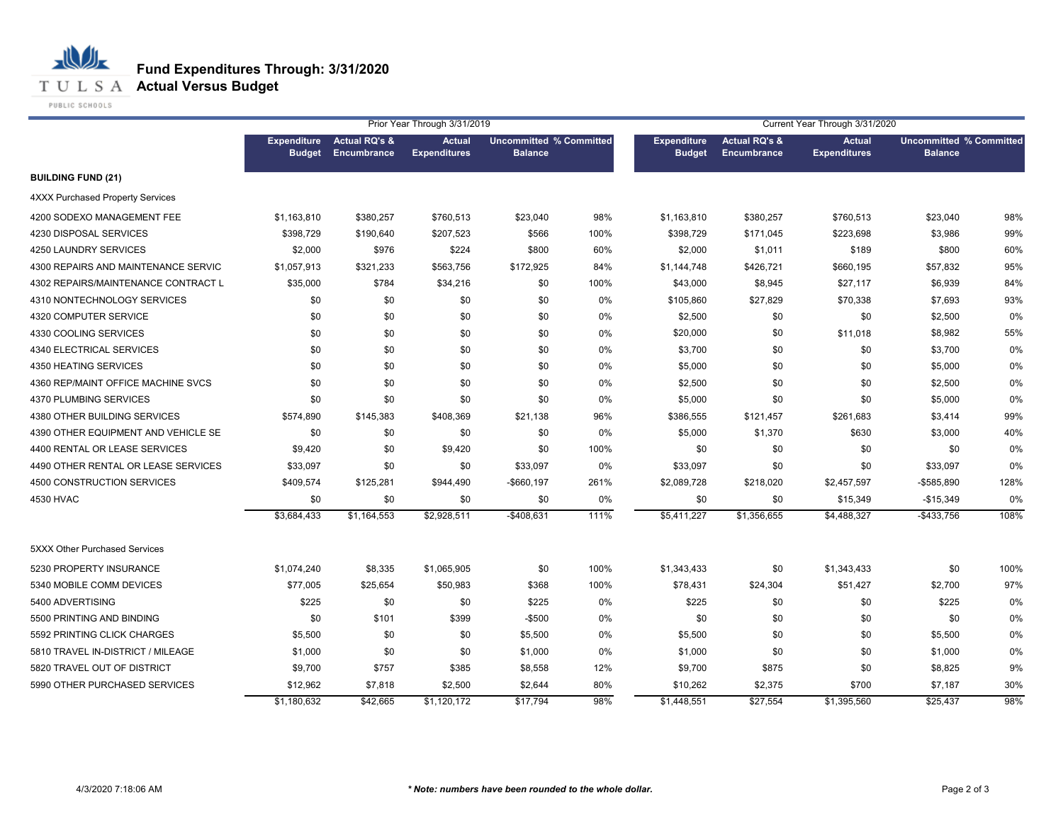

**T U L S A Actual Versus Budget** 

PUBLIC SCHOOLS

|                                         |                                     | Prior Year Through 3/31/2019            |                                      |                                                  |       | Current Year Through 3/31/2020      |                                         |                                      |                                                  |      |
|-----------------------------------------|-------------------------------------|-----------------------------------------|--------------------------------------|--------------------------------------------------|-------|-------------------------------------|-----------------------------------------|--------------------------------------|--------------------------------------------------|------|
|                                         | <b>Expenditure</b><br><b>Budget</b> | <b>Actual RQ's &amp;</b><br>Encumbrance | <b>Actual</b><br><b>Expenditures</b> | <b>Uncommitted % Committed</b><br><b>Balance</b> |       | <b>Expenditure</b><br><b>Budget</b> | <b>Actual RQ's &amp;</b><br>Encumbrance | <b>Actual</b><br><b>Expenditures</b> | <b>Uncommitted % Committed</b><br><b>Balance</b> |      |
| <b>BUILDING FUND (21)</b>               |                                     |                                         |                                      |                                                  |       |                                     |                                         |                                      |                                                  |      |
| <b>4XXX Purchased Property Services</b> |                                     |                                         |                                      |                                                  |       |                                     |                                         |                                      |                                                  |      |
| 4200 SODEXO MANAGEMENT FEE              | \$1,163,810                         | \$380,257                               | \$760,513                            | \$23,040                                         | 98%   | \$1,163,810                         | \$380,257                               | \$760,513                            | \$23,040                                         | 98%  |
| 4230 DISPOSAL SERVICES                  | \$398,729                           | \$190,640                               | \$207,523                            | \$566                                            | 100%  | \$398,729                           | \$171,045                               | \$223,698                            | \$3,986                                          | 99%  |
| 4250 LAUNDRY SERVICES                   | \$2,000                             | \$976                                   | \$224                                | \$800                                            | 60%   | \$2,000                             | \$1,011                                 | \$189                                | \$800                                            | 60%  |
| 4300 REPAIRS AND MAINTENANCE SERVIC     | \$1,057,913                         | \$321,233                               | \$563,756                            | \$172,925                                        | 84%   | \$1,144,748                         | \$426,721                               | \$660,195                            | \$57,832                                         | 95%  |
| 4302 REPAIRS/MAINTENANCE CONTRACT L     | \$35,000                            | \$784                                   | \$34,216                             | \$0                                              | 100%  | \$43,000                            | \$8,945                                 | \$27,117                             | \$6,939                                          | 84%  |
| 4310 NONTECHNOLOGY SERVICES             | \$0                                 | \$0                                     | \$0                                  | \$0                                              | 0%    | \$105,860                           | \$27,829                                | \$70,338                             | \$7,693                                          | 93%  |
| 4320 COMPUTER SERVICE                   | \$0                                 | \$0                                     | \$0                                  | \$0                                              | 0%    | \$2,500                             | \$0                                     | \$0                                  | \$2,500                                          | 0%   |
| 4330 COOLING SERVICES                   | \$0                                 | \$0                                     | \$0                                  | \$0                                              | 0%    | \$20,000                            | \$0                                     | \$11,018                             | \$8,982                                          | 55%  |
| 4340 ELECTRICAL SERVICES                | \$0                                 | \$0                                     | \$0                                  | \$0                                              | 0%    | \$3,700                             | \$0                                     | \$0                                  | \$3,700                                          | 0%   |
| 4350 HEATING SERVICES                   | \$0                                 | \$0                                     | \$0                                  | \$0                                              | 0%    | \$5,000                             | \$0                                     | \$0                                  | \$5,000                                          | 0%   |
| 4360 REP/MAINT OFFICE MACHINE SVCS      | \$0                                 | \$0                                     | \$0                                  | \$0                                              | 0%    | \$2,500                             | \$0                                     | \$0                                  | \$2,500                                          | 0%   |
| 4370 PLUMBING SERVICES                  | \$0                                 | \$0                                     | \$0                                  | \$0                                              | 0%    | \$5,000                             | \$0                                     | \$0                                  | \$5,000                                          | 0%   |
| 4380 OTHER BUILDING SERVICES            | \$574,890                           | \$145,383                               | \$408,369                            | \$21,138                                         | 96%   | \$386,555                           | \$121,457                               | \$261,683                            | \$3,414                                          | 99%  |
| 4390 OTHER EQUIPMENT AND VEHICLE SE     | \$0                                 | \$0                                     | \$0                                  | \$0                                              | 0%    | \$5,000                             | \$1,370                                 | \$630                                | \$3,000                                          | 40%  |
| 4400 RENTAL OR LEASE SERVICES           | \$9,420                             | \$0                                     | \$9,420                              | \$0                                              | 100%  | \$0                                 | \$0                                     | \$0                                  | \$0                                              | 0%   |
| 4490 OTHER RENTAL OR LEASE SERVICES     | \$33,097                            | \$0                                     | \$0                                  | \$33,097                                         | 0%    | \$33,097                            | \$0                                     | \$0                                  | \$33,097                                         | 0%   |
| 4500 CONSTRUCTION SERVICES              | \$409,574                           | \$125,281                               | \$944,490                            | $-$660,197$                                      | 261%  | \$2,089,728                         | \$218,020                               | \$2,457,597                          | $-$585,890$                                      | 128% |
| 4530 HVAC                               | \$0                                 | \$0                                     | \$0                                  | \$0                                              | 0%    | \$0                                 | \$0                                     | \$15,349                             | $-$15,349$                                       | 0%   |
|                                         | \$3,684,433                         | \$1,164,553                             | \$2,928,511                          | $-$408,631$                                      | 111%  | \$5,411,227                         | \$1,356,655                             | \$4,488,327                          | $-$433,756$                                      | 108% |
| <b>5XXX Other Purchased Services</b>    |                                     |                                         |                                      |                                                  |       |                                     |                                         |                                      |                                                  |      |
| 5230 PROPERTY INSURANCE                 | \$1,074,240                         | \$8,335                                 | \$1,065,905                          | \$0                                              | 100%  | \$1,343,433                         | \$0                                     | \$1,343,433                          | \$0                                              | 100% |
| 5340 MOBILE COMM DEVICES                | \$77,005                            | \$25,654                                | \$50,983                             | \$368                                            | 100%  | \$78,431                            | \$24,304                                | \$51,427                             | \$2,700                                          | 97%  |
| 5400 ADVERTISING                        | \$225                               | \$0                                     | \$0                                  | \$225                                            | $0\%$ | \$225                               | \$0                                     | \$0                                  | \$225                                            | 0%   |
| 5500 PRINTING AND BINDING               | \$0                                 | \$101                                   | \$399                                | $-$500$                                          | 0%    | \$0                                 | \$0                                     | \$0                                  | \$0                                              | 0%   |
| 5592 PRINTING CLICK CHARGES             | \$5,500                             | \$0                                     | \$0                                  | \$5,500                                          | 0%    | \$5,500                             | \$0                                     | \$0                                  | \$5,500                                          | 0%   |
| 5810 TRAVEL IN-DISTRICT / MILEAGE       | \$1,000                             | \$0                                     | \$0                                  | \$1,000                                          | 0%    | \$1,000                             | \$0                                     | \$0                                  | \$1,000                                          | 0%   |
| 5820 TRAVEL OUT OF DISTRICT             | \$9,700                             | \$757                                   | \$385                                | \$8,558                                          | 12%   | \$9,700                             | \$875                                   | \$0                                  | \$8,825                                          | 9%   |
| 5990 OTHER PURCHASED SERVICES           | \$12,962                            | \$7,818                                 | \$2,500                              | \$2,644                                          | 80%   | \$10,262                            | \$2,375                                 | \$700                                | \$7,187                                          | 30%  |
|                                         | \$1,180,632                         | \$42,665                                | \$1,120,172                          | \$17,794                                         | 98%   | \$1,448,551                         | \$27,554                                | \$1,395,560                          | \$25,437                                         | 98%  |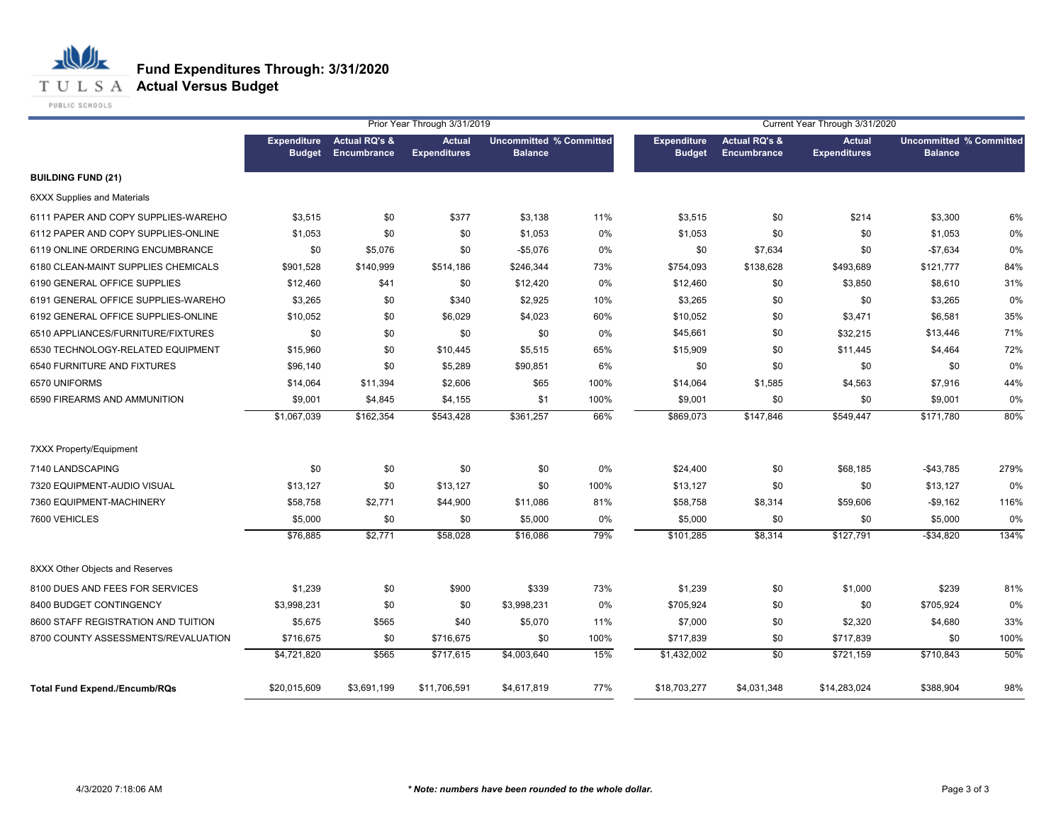

|                                      | <b>Expenditure</b><br><b>Budget</b> | <b>Actual RQ's &amp;</b><br>Encumbrance | <b>Actual</b><br><b>Expenditures</b> | <b>Uncommitted % Committed</b> |      | <b>Expenditure</b> | <b>Actual RQ's &amp;</b> | <b>Actual</b>       | <b>Uncommitted % Committed</b> |      |
|--------------------------------------|-------------------------------------|-----------------------------------------|--------------------------------------|--------------------------------|------|--------------------|--------------------------|---------------------|--------------------------------|------|
|                                      |                                     |                                         |                                      | <b>Balance</b>                 |      | <b>Budget</b>      | <b>Encumbrance</b>       | <b>Expenditures</b> | <b>Balance</b>                 |      |
| <b>BUILDING FUND (21)</b>            |                                     |                                         |                                      |                                |      |                    |                          |                     |                                |      |
| <b>6XXX Supplies and Materials</b>   |                                     |                                         |                                      |                                |      |                    |                          |                     |                                |      |
| 6111 PAPER AND COPY SUPPLIES-WAREHO  | \$3,515                             | \$0                                     | \$377                                | \$3,138                        | 11%  | \$3,515            | \$0                      | \$214               | \$3,300                        | 6%   |
| 6112 PAPER AND COPY SUPPLIES-ONLINE  | \$1,053                             | \$0                                     | \$0                                  | \$1,053                        | 0%   | \$1,053            | \$0                      | \$0                 | \$1,053                        | 0%   |
| 6119 ONLINE ORDERING ENCUMBRANCE     | \$0                                 | \$5,076                                 | \$0                                  | $-$5,076$                      | 0%   | \$0                | \$7,634                  | \$0                 | $-$7,634$                      | 0%   |
| 6180 CLEAN-MAINT SUPPLIES CHEMICALS  | \$901,528                           | \$140,999                               | \$514,186                            | \$246,344                      | 73%  | \$754,093          | \$138,628                | \$493,689           | \$121,777                      | 84%  |
| 6190 GENERAL OFFICE SUPPLIES         | \$12,460                            | \$41                                    | \$0                                  | \$12,420                       | 0%   | \$12,460           | \$0                      | \$3,850             | \$8,610                        | 31%  |
| 6191 GENERAL OFFICE SUPPLIES-WAREHO  | \$3,265                             | \$0                                     | \$340                                | \$2,925                        | 10%  | \$3,265            | \$0                      | \$0                 | \$3,265                        | 0%   |
| 6192 GENERAL OFFICE SUPPLIES-ONLINE  | \$10,052                            | \$0                                     | \$6,029                              | \$4,023                        | 60%  | \$10,052           | \$0                      | \$3,471             | \$6,581                        | 35%  |
| 6510 APPLIANCES/FURNITURE/FIXTURES   | \$0                                 | \$0                                     | \$0                                  | \$0                            | 0%   | \$45,661           | \$0                      | \$32,215            | \$13,446                       | 71%  |
| 6530 TECHNOLOGY-RELATED EQUIPMENT    | \$15,960                            | \$0                                     | \$10,445                             | \$5,515                        | 65%  | \$15,909           | \$0                      | \$11,445            | \$4,464                        | 72%  |
| 6540 FURNITURE AND FIXTURES          | \$96,140                            | \$0                                     | \$5,289                              | \$90,851                       | 6%   | \$0                | \$0                      | \$0                 | \$0                            | 0%   |
| 6570 UNIFORMS                        | \$14,064                            | \$11,394                                | \$2,606                              | \$65                           | 100% | \$14,064           | \$1,585                  | \$4,563             | \$7,916                        | 44%  |
| 6590 FIREARMS AND AMMUNITION         | \$9,001                             | \$4,845                                 | \$4,155                              | \$1                            | 100% | \$9,001            | \$0                      | \$0                 | \$9,001                        | 0%   |
|                                      | \$1,067,039                         | \$162,354                               | \$543,428                            | \$361,257                      | 66%  | \$869,073          | \$147,846                | \$549,447           | \$171,780                      | 80%  |
| <b>7XXX Property/Equipment</b>       |                                     |                                         |                                      |                                |      |                    |                          |                     |                                |      |
| 7140 LANDSCAPING                     | \$0                                 | \$0                                     | \$0                                  | \$0                            | 0%   | \$24,400           | \$0                      | \$68,185            | $-$43,785$                     | 279% |
| 7320 EQUIPMENT-AUDIO VISUAL          | \$13,127                            | \$0                                     | \$13,127                             | \$0                            | 100% | \$13,127           | \$0                      | \$0                 | \$13,127                       | 0%   |
| 7360 EQUIPMENT-MACHINERY             | \$58,758                            | \$2,771                                 | \$44,900                             | \$11,086                       | 81%  | \$58,758           | \$8,314                  | \$59,606            | $-$9,162$                      | 116% |
| 7600 VEHICLES                        | \$5,000                             | \$0                                     | \$0                                  | \$5,000                        | 0%   | \$5,000            | \$0                      | \$0                 | \$5,000                        | 0%   |
|                                      | \$76,885                            | \$2,771                                 | \$58,028                             | \$16,086                       | 79%  | \$101,285          | \$8,314                  | \$127,791           | $-$34,820$                     | 134% |
| 8XXX Other Objects and Reserves      |                                     |                                         |                                      |                                |      |                    |                          |                     |                                |      |
| 8100 DUES AND FEES FOR SERVICES      | \$1,239                             | \$0                                     | \$900                                | \$339                          | 73%  | \$1,239            | \$0                      | \$1,000             | \$239                          | 81%  |
| 8400 BUDGET CONTINGENCY              | \$3,998,231                         | \$0                                     | \$0                                  | \$3,998,231                    | 0%   | \$705,924          | \$0                      | \$0                 | \$705,924                      | 0%   |
| 8600 STAFF REGISTRATION AND TUITION  | \$5,675                             | \$565                                   | \$40                                 | \$5,070                        | 11%  | \$7,000            | \$0                      | \$2,320             | \$4,680                        | 33%  |
| 8700 COUNTY ASSESSMENTS/REVALUATION  | \$716,675                           | \$0                                     | \$716,675                            | \$0                            | 100% | \$717,839          | \$0                      | \$717,839           | \$0                            | 100% |
|                                      | \$4,721,820                         | \$565                                   | \$717,615                            | \$4,003,640                    | 15%  | \$1,432,002        | $\overline{50}$          | \$721,159           | \$710,843                      | 50%  |
| <b>Total Fund Expend./Encumb/RQs</b> | \$20,015,609                        | \$3,691,199                             | \$11,706,591                         | \$4,617,819                    | 77%  | \$18,703,277       | \$4,031,348              | \$14,283,024        | \$388,904                      | 98%  |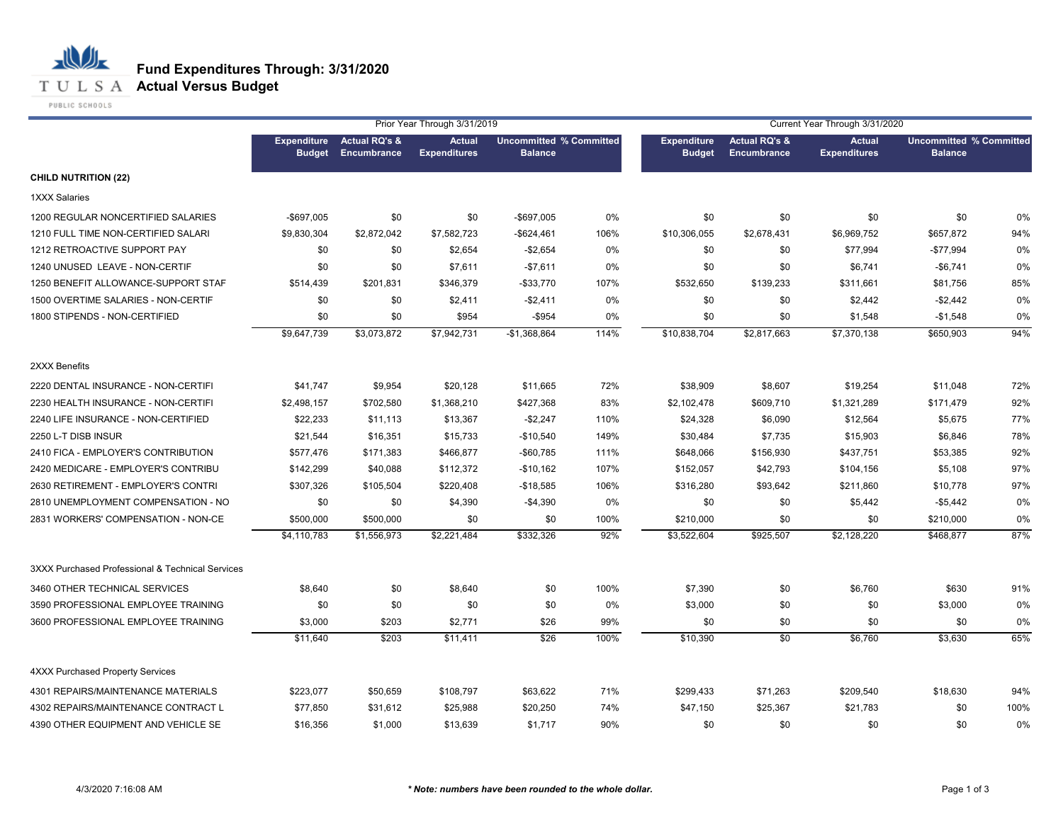**T U L S A Actual Versus Budget** 

PUBLIC SCHOOLS

|                                                  |               |                                          | Prior Year Through 3/31/2019         |                                                  |      | Current Year Through 3/31/2020      |                                         |                                      |                                                  |      |  |
|--------------------------------------------------|---------------|------------------------------------------|--------------------------------------|--------------------------------------------------|------|-------------------------------------|-----------------------------------------|--------------------------------------|--------------------------------------------------|------|--|
|                                                  | <b>Budget</b> | Expenditure Actual RQ's &<br>Encumbrance | <b>Actual</b><br><b>Expenditures</b> | <b>Uncommitted % Committed</b><br><b>Balance</b> |      | <b>Expenditure</b><br><b>Budget</b> | <b>Actual RQ's &amp;</b><br>Encumbrance | <b>Actual</b><br><b>Expenditures</b> | <b>Uncommitted % Committed</b><br><b>Balance</b> |      |  |
| <b>CHILD NUTRITION (22)</b>                      |               |                                          |                                      |                                                  |      |                                     |                                         |                                      |                                                  |      |  |
| <b>1XXX Salaries</b>                             |               |                                          |                                      |                                                  |      |                                     |                                         |                                      |                                                  |      |  |
| 1200 REGULAR NONCERTIFIED SALARIES               | $-$ \$697,005 | \$0                                      | \$0                                  | -\$697,005                                       | 0%   | \$0                                 | \$0                                     | \$0                                  | \$0                                              | 0%   |  |
| 1210 FULL TIME NON-CERTIFIED SALARI              | \$9,830,304   | \$2,872,042                              | \$7,582,723                          | -\$624,461                                       | 106% | \$10,306,055                        | \$2,678,431                             | \$6,969,752                          | \$657,872                                        | 94%  |  |
| 1212 RETROACTIVE SUPPORT PAY                     | \$0           | \$0                                      | \$2,654                              | $-$2,654$                                        | 0%   | \$0                                 | \$0                                     | \$77,994                             | $-$77,994$                                       | 0%   |  |
| 1240 UNUSED LEAVE - NON-CERTIF                   | \$0           | \$0                                      | \$7,611                              | $-$ \$7,611                                      | 0%   | \$0                                 | \$0                                     | \$6,741                              | $-$6,741$                                        | 0%   |  |
| 1250 BENEFIT ALLOWANCE-SUPPORT STAF              | \$514,439     | \$201,831                                | \$346,379                            | $-$ \$33,770                                     | 107% | \$532,650                           | \$139,233                               | \$311,661                            | \$81,756                                         | 85%  |  |
| 1500 OVERTIME SALARIES - NON-CERTIF              | \$0           | \$0                                      | \$2,411                              | $-$ \$2,411                                      | 0%   | \$0                                 | \$0                                     | \$2,442                              | $-$2,442$                                        | 0%   |  |
| 1800 STIPENDS - NON-CERTIFIED                    | \$0           | \$0                                      | \$954                                | $-$ \$954                                        | 0%   | \$0                                 | \$0                                     | \$1,548                              | $-$1,548$                                        | 0%   |  |
|                                                  | \$9,647,739   | \$3,073,872                              | \$7,942,731                          | $-$1,368,864$                                    | 114% | \$10,838,704                        | \$2,817,663                             | \$7,370,138                          | \$650,903                                        | 94%  |  |
| 2XXX Benefits                                    |               |                                          |                                      |                                                  |      |                                     |                                         |                                      |                                                  |      |  |
| 2220 DENTAL INSURANCE - NON-CERTIFI              | \$41,747      | \$9,954                                  | \$20,128                             | \$11,665                                         | 72%  | \$38,909                            | \$8,607                                 | \$19,254                             | \$11,048                                         | 72%  |  |
| 2230 HEALTH INSURANCE - NON-CERTIFI              | \$2,498,157   | \$702,580                                | \$1,368,210                          | \$427,368                                        | 83%  | \$2,102,478                         | \$609,710                               | \$1,321,289                          | \$171,479                                        | 92%  |  |
| 2240 LIFE INSURANCE - NON-CERTIFIED              | \$22,233      | \$11,113                                 | \$13,367                             | $-$2,247$                                        | 110% | \$24,328                            | \$6,090                                 | \$12,564                             | \$5,675                                          | 77%  |  |
| 2250 L-T DISB INSUR                              | \$21,544      | \$16,351                                 | \$15,733                             | $-$10,540$                                       | 149% | \$30,484                            | \$7,735                                 | \$15,903                             | \$6,846                                          | 78%  |  |
| 2410 FICA - EMPLOYER'S CONTRIBUTION              | \$577,476     | \$171,383                                | \$466,877                            | -\$60,785                                        | 111% | \$648,066                           | \$156,930                               | \$437,751                            | \$53,385                                         | 92%  |  |
| 2420 MEDICARE - EMPLOYER'S CONTRIBU              | \$142,299     | \$40,088                                 | \$112,372                            | $-$10,162$                                       | 107% | \$152,057                           | \$42,793                                | \$104,156                            | \$5,108                                          | 97%  |  |
| 2630 RETIREMENT - EMPLOYER'S CONTRI              | \$307,326     | \$105,504                                | \$220,408                            | $-$18,585$                                       | 106% | \$316,280                           | \$93,642                                | \$211,860                            | \$10,778                                         | 97%  |  |
| 2810 UNEMPLOYMENT COMPENSATION - NO              | \$0           | \$0                                      | \$4,390                              | $-$4,390$                                        | 0%   | \$0                                 | \$0                                     | \$5,442                              | $-$5,442$                                        | 0%   |  |
| 2831 WORKERS' COMPENSATION - NON-CE              | \$500,000     | \$500,000                                | \$0                                  | \$0                                              | 100% | \$210,000                           | \$0                                     | \$0                                  | \$210,000                                        | 0%   |  |
|                                                  | \$4,110,783   | $\overline{1,556,973}$                   | \$2,221,484                          | \$332,326                                        | 92%  | \$3,522,604                         | \$925,507                               | \$2,128,220                          | \$468,877                                        | 87%  |  |
| 3XXX Purchased Professional & Technical Services |               |                                          |                                      |                                                  |      |                                     |                                         |                                      |                                                  |      |  |
| 3460 OTHER TECHNICAL SERVICES                    | \$8,640       | \$0                                      | \$8,640                              | \$0                                              | 100% | \$7,390                             | \$0                                     | \$6,760                              | \$630                                            | 91%  |  |
| 3590 PROFESSIONAL EMPLOYEE TRAINING              | \$0           | \$0                                      | \$0                                  | \$0                                              | 0%   | \$3,000                             | \$0                                     | \$0                                  | \$3,000                                          | 0%   |  |
| 3600 PROFESSIONAL EMPLOYEE TRAINING              | \$3,000       | \$203                                    | \$2,771                              | \$26                                             | 99%  | \$0                                 | \$0                                     | \$0                                  | \$0                                              | 0%   |  |
|                                                  | \$11,640      | \$203                                    | \$11,411                             | \$26                                             | 100% | \$10,390                            | $\sqrt{50}$                             | \$6,760                              | \$3,630                                          | 65%  |  |
| <b>4XXX Purchased Property Services</b>          |               |                                          |                                      |                                                  |      |                                     |                                         |                                      |                                                  |      |  |
| 4301 REPAIRS/MAINTENANCE MATERIALS               | \$223,077     | \$50,659                                 | \$108,797                            | \$63,622                                         | 71%  | \$299,433                           | \$71,263                                | \$209,540                            | \$18,630                                         | 94%  |  |
| 4302 REPAIRS/MAINTENANCE CONTRACT L              | \$77,850      | \$31,612                                 | \$25,988                             | \$20,250                                         | 74%  | \$47,150                            | \$25,367                                | \$21,783                             | \$0                                              | 100% |  |
| 4390 OTHER EQUIPMENT AND VEHICLE SE              | \$16,356      | \$1,000                                  | \$13,639                             | \$1,717                                          | 90%  | \$0                                 | \$0                                     | \$0                                  | \$0                                              | 0%   |  |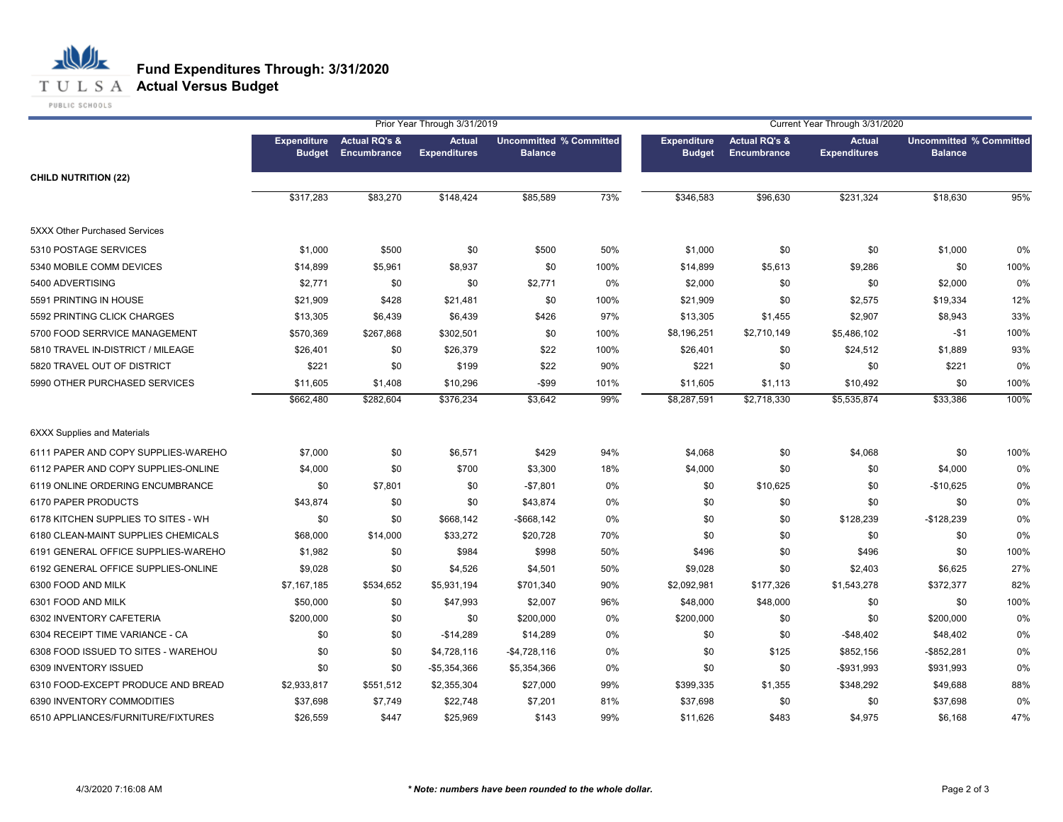### **T U L S A Actual Versus Budget**

PUBLIC SCHOOLS

|                                     |               |                                                 | Prior Year Through 3/31/2019         |                                                  |      | Current Year Through 3/31/2020      |                                         |                                      |                                                  |      |  |
|-------------------------------------|---------------|-------------------------------------------------|--------------------------------------|--------------------------------------------------|------|-------------------------------------|-----------------------------------------|--------------------------------------|--------------------------------------------------|------|--|
|                                     | <b>Budget</b> | <b>Expenditure</b> Actual RQ's &<br>Encumbrance | <b>Actual</b><br><b>Expenditures</b> | <b>Uncommitted % Committed</b><br><b>Balance</b> |      | <b>Expenditure</b><br><b>Budget</b> | <b>Actual RQ's &amp;</b><br>Encumbrance | <b>Actual</b><br><b>Expenditures</b> | <b>Uncommitted % Committed</b><br><b>Balance</b> |      |  |
| <b>CHILD NUTRITION (22)</b>         |               |                                                 |                                      |                                                  |      |                                     |                                         |                                      |                                                  |      |  |
|                                     | \$317,283     | \$83,270                                        | \$148,424                            | \$85,589                                         | 73%  | \$346,583                           | \$96,630                                | \$231,324                            | \$18,630                                         | 95%  |  |
| 5XXX Other Purchased Services       |               |                                                 |                                      |                                                  |      |                                     |                                         |                                      |                                                  |      |  |
| 5310 POSTAGE SERVICES               | \$1,000       | \$500                                           | \$0                                  | \$500                                            | 50%  | \$1,000                             | \$0                                     | \$0                                  | \$1,000                                          | 0%   |  |
| 5340 MOBILE COMM DEVICES            | \$14,899      | \$5,961                                         | \$8,937                              | \$0                                              | 100% | \$14,899                            | \$5,613                                 | \$9,286                              | \$0                                              | 100% |  |
| 5400 ADVERTISING                    | \$2,771       | \$0                                             | \$0                                  | \$2,771                                          | 0%   | \$2,000                             | \$0                                     | \$0                                  | \$2,000                                          | 0%   |  |
| 5591 PRINTING IN HOUSE              | \$21,909      | \$428                                           | \$21,481                             | \$0                                              | 100% | \$21,909                            | \$0                                     | \$2,575                              | \$19,334                                         | 12%  |  |
| 5592 PRINTING CLICK CHARGES         | \$13,305      | \$6,439                                         | \$6,439                              | \$426                                            | 97%  | \$13,305                            | \$1,455                                 | \$2,907                              | \$8,943                                          | 33%  |  |
| 5700 FOOD SERRVICE MANAGEMENT       | \$570,369     | \$267,868                                       | \$302,501                            | \$0                                              | 100% | \$8,196,251                         | \$2,710,149                             | \$5,486,102                          | $-$1$                                            | 100% |  |
| 5810 TRAVEL IN-DISTRICT / MILEAGE   | \$26,401      | \$0                                             | \$26,379                             | \$22                                             | 100% | \$26,401                            | \$0                                     | \$24,512                             | \$1,889                                          | 93%  |  |
| 5820 TRAVEL OUT OF DISTRICT         | \$221         | \$0                                             | \$199                                | \$22                                             | 90%  | \$221                               | \$0                                     | \$0                                  | \$221                                            | 0%   |  |
| 5990 OTHER PURCHASED SERVICES       | \$11,605      | \$1,408                                         | \$10,296                             | -\$99                                            | 101% | \$11,605                            | \$1,113                                 | \$10,492                             | \$0                                              | 100% |  |
|                                     | \$662,480     | \$282,604                                       | \$376,234                            | \$3,642                                          | 99%  | \$8,287,591                         | \$2,718,330                             | \$5,535,874                          | \$33,386                                         | 100% |  |
| <b>6XXX Supplies and Materials</b>  |               |                                                 |                                      |                                                  |      |                                     |                                         |                                      |                                                  |      |  |
| 6111 PAPER AND COPY SUPPLIES-WAREHO | \$7,000       | \$0                                             | \$6,571                              | \$429                                            | 94%  | \$4,068                             | \$0                                     | \$4,068                              | \$0                                              | 100% |  |
| 6112 PAPER AND COPY SUPPLIES-ONLINE | \$4,000       | \$0                                             | \$700                                | \$3,300                                          | 18%  | \$4,000                             | \$0                                     | \$0                                  | \$4,000                                          | 0%   |  |
| 6119 ONLINE ORDERING ENCUMBRANCE    | \$0           | \$7,801                                         | \$0                                  | $-$7,801$                                        | 0%   | \$0                                 | \$10,625                                | \$0                                  | -\$10,625                                        | 0%   |  |
| 6170 PAPER PRODUCTS                 | \$43,874      | \$0                                             | \$0                                  | \$43,874                                         | 0%   | \$0                                 | \$0                                     | \$0                                  | \$0                                              | 0%   |  |
| 6178 KITCHEN SUPPLIES TO SITES - WH | \$0           | \$0                                             | \$668,142                            | $-$ \$668,142                                    | 0%   | \$0                                 | \$0                                     | \$128,239                            | $-$128,239$                                      | 0%   |  |
| 6180 CLEAN-MAINT SUPPLIES CHEMICALS | \$68,000      | \$14,000                                        | \$33,272                             | \$20,728                                         | 70%  | \$0                                 | \$0                                     | \$0                                  | \$0                                              | 0%   |  |
| 6191 GENERAL OFFICE SUPPLIES-WAREHO | \$1,982       | \$0                                             | \$984                                | \$998                                            | 50%  | \$496                               | \$0                                     | \$496                                | \$0                                              | 100% |  |
| 6192 GENERAL OFFICE SUPPLIES-ONLINE | \$9,028       | \$0                                             | \$4,526                              | \$4,501                                          | 50%  | \$9,028                             | \$0                                     | \$2,403                              | \$6,625                                          | 27%  |  |
| 6300 FOOD AND MILK                  | \$7,167,185   | \$534,652                                       | \$5,931,194                          | \$701,340                                        | 90%  | \$2,092,981                         | \$177,326                               | \$1,543,278                          | \$372,377                                        | 82%  |  |
| 6301 FOOD AND MILK                  | \$50,000      | \$0                                             | \$47,993                             | \$2,007                                          | 96%  | \$48,000                            | \$48,000                                | \$0                                  | \$0                                              | 100% |  |
| 6302 INVENTORY CAFETERIA            | \$200,000     | \$0                                             | \$0                                  | \$200,000                                        | 0%   | \$200,000                           | \$0                                     | \$0                                  | \$200,000                                        | 0%   |  |
| 6304 RECEIPT TIME VARIANCE - CA     | \$0           | \$0                                             | $-$14,289$                           | \$14,289                                         | 0%   | \$0                                 | \$0                                     | $-$48,402$                           | \$48,402                                         | 0%   |  |
| 6308 FOOD ISSUED TO SITES - WAREHOU | \$0           | \$0                                             | \$4,728,116                          | $-$ \$4,728,116                                  | 0%   | \$0                                 | \$125                                   | \$852,156                            | $-$ \$852.281                                    | 0%   |  |
| 6309 INVENTORY ISSUED               | \$0           | \$0                                             | -\$5,354,366                         | \$5,354,366                                      | 0%   | \$0                                 | \$0                                     | $-$931,993$                          | \$931,993                                        | 0%   |  |
| 6310 FOOD-EXCEPT PRODUCE AND BREAD  | \$2,933,817   | \$551,512                                       | \$2,355,304                          | \$27,000                                         | 99%  | \$399,335                           | \$1,355                                 | \$348,292                            | \$49,688                                         | 88%  |  |
| 6390 INVENTORY COMMODITIES          | \$37,698      | \$7,749                                         | \$22,748                             | \$7,201                                          | 81%  | \$37,698                            | \$0                                     | \$0                                  | \$37,698                                         | 0%   |  |
| 6510 APPLIANCES/FURNITURE/FIXTURES  | \$26,559      | \$447                                           | \$25,969                             | \$143                                            | 99%  | \$11,626                            | \$483                                   | \$4,975                              | \$6,168                                          | 47%  |  |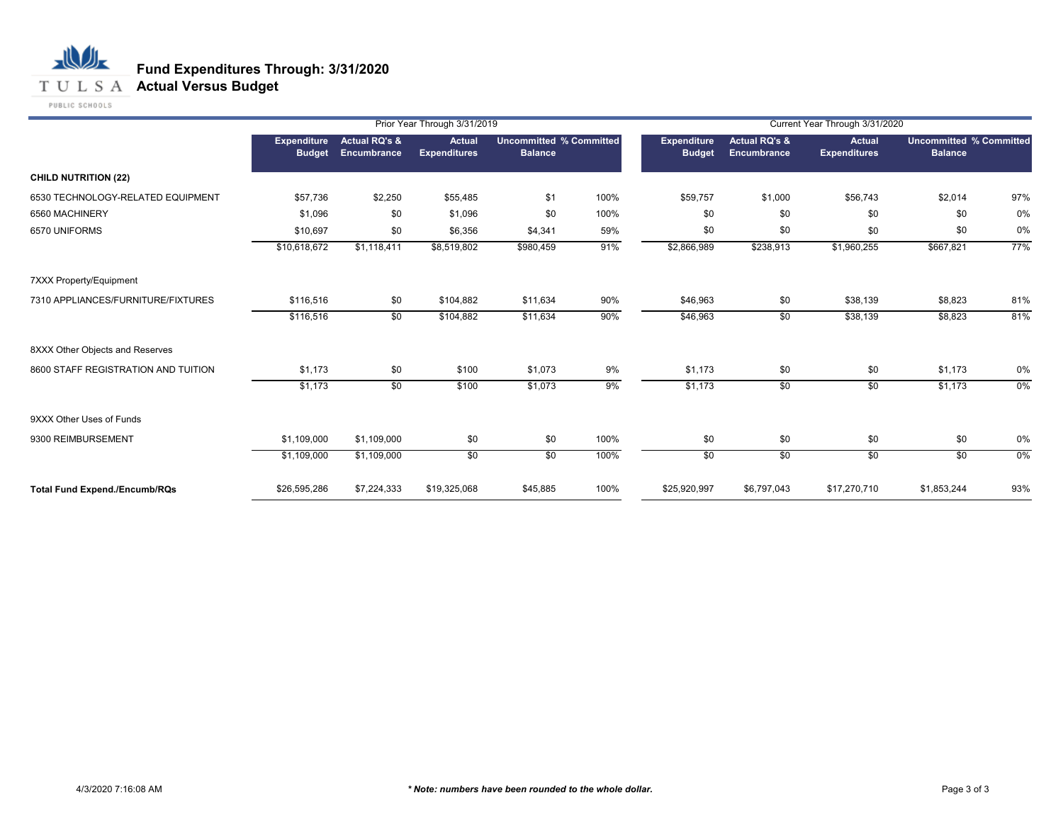### T U L S A **Actual Versus Budget**

PUBLIC SCHOOLS

|                                      |                                     |                                                | Prior Year Through 3/31/2019         |                                                  |      |                                     |                                                | Current Year Through 3/31/2020       |                                                  |       |
|--------------------------------------|-------------------------------------|------------------------------------------------|--------------------------------------|--------------------------------------------------|------|-------------------------------------|------------------------------------------------|--------------------------------------|--------------------------------------------------|-------|
|                                      | <b>Expenditure</b><br><b>Budget</b> | <b>Actual RQ's &amp;</b><br><b>Encumbrance</b> | <b>Actual</b><br><b>Expenditures</b> | <b>Uncommitted % Committed</b><br><b>Balance</b> |      | <b>Expenditure</b><br><b>Budget</b> | <b>Actual RQ's &amp;</b><br><b>Encumbrance</b> | <b>Actual</b><br><b>Expenditures</b> | <b>Uncommitted % Committed</b><br><b>Balance</b> |       |
| <b>CHILD NUTRITION (22)</b>          |                                     |                                                |                                      |                                                  |      |                                     |                                                |                                      |                                                  |       |
| 6530 TECHNOLOGY-RELATED EQUIPMENT    | \$57,736                            | \$2,250                                        | \$55,485                             | \$1                                              | 100% | \$59,757                            | \$1,000                                        | \$56,743                             | \$2,014                                          | 97%   |
| 6560 MACHINERY                       | \$1,096                             | \$0                                            | \$1,096                              | \$0                                              | 100% | \$0                                 | \$0                                            | \$0                                  | \$0                                              | 0%    |
| 6570 UNIFORMS                        | \$10,697                            | \$0                                            | \$6,356                              | \$4,341                                          | 59%  | \$0                                 | \$0                                            | \$0                                  | \$0                                              | 0%    |
|                                      | \$10,618,672                        | \$1,118,411                                    | \$8,519,802                          | \$980,459                                        | 91%  | \$2,866,989                         | \$238,913                                      | \$1,960,255                          | \$667,821                                        | 77%   |
| <b>7XXX Property/Equipment</b>       |                                     |                                                |                                      |                                                  |      |                                     |                                                |                                      |                                                  |       |
| 7310 APPLIANCES/FURNITURE/FIXTURES   | \$116,516                           | \$0                                            | \$104,882                            | \$11,634                                         | 90%  | \$46,963                            | \$0                                            | \$38,139                             | \$8,823                                          | 81%   |
|                                      | \$116,516                           | \$0                                            | \$104,882                            | \$11,634                                         | 90%  | \$46,963                            | \$0                                            | \$38,139                             | \$8,823                                          | 81%   |
| 8XXX Other Objects and Reserves      |                                     |                                                |                                      |                                                  |      |                                     |                                                |                                      |                                                  |       |
| 8600 STAFF REGISTRATION AND TUITION  | \$1,173                             | \$0                                            | \$100                                | \$1,073                                          | 9%   | \$1,173                             | \$0                                            | \$0                                  | \$1,173                                          | 0%    |
|                                      | \$1,173                             | $\overline{50}$                                | \$100                                | \$1,073                                          | 9%   | \$1,173                             | $\sqrt{50}$                                    | \$0                                  | \$1,173                                          | $0\%$ |
| 9XXX Other Uses of Funds             |                                     |                                                |                                      |                                                  |      |                                     |                                                |                                      |                                                  |       |
| 9300 REIMBURSEMENT                   | \$1,109,000                         | \$1,109,000                                    | \$0                                  | \$0                                              | 100% | \$0                                 | \$0                                            | \$0                                  | \$0                                              | 0%    |
|                                      | \$1,109,000                         | \$1,109,000                                    | \$0                                  | $\overline{50}$                                  | 100% | \$0                                 | $\sqrt{50}$                                    | \$0                                  | \$0                                              | $0\%$ |
| <b>Total Fund Expend./Encumb/RQs</b> | \$26,595,286                        | \$7,224,333                                    | \$19,325,068                         | \$45,885                                         | 100% | \$25,920,997                        | \$6,797,043                                    | \$17,270,710                         | \$1,853,244                                      | 93%   |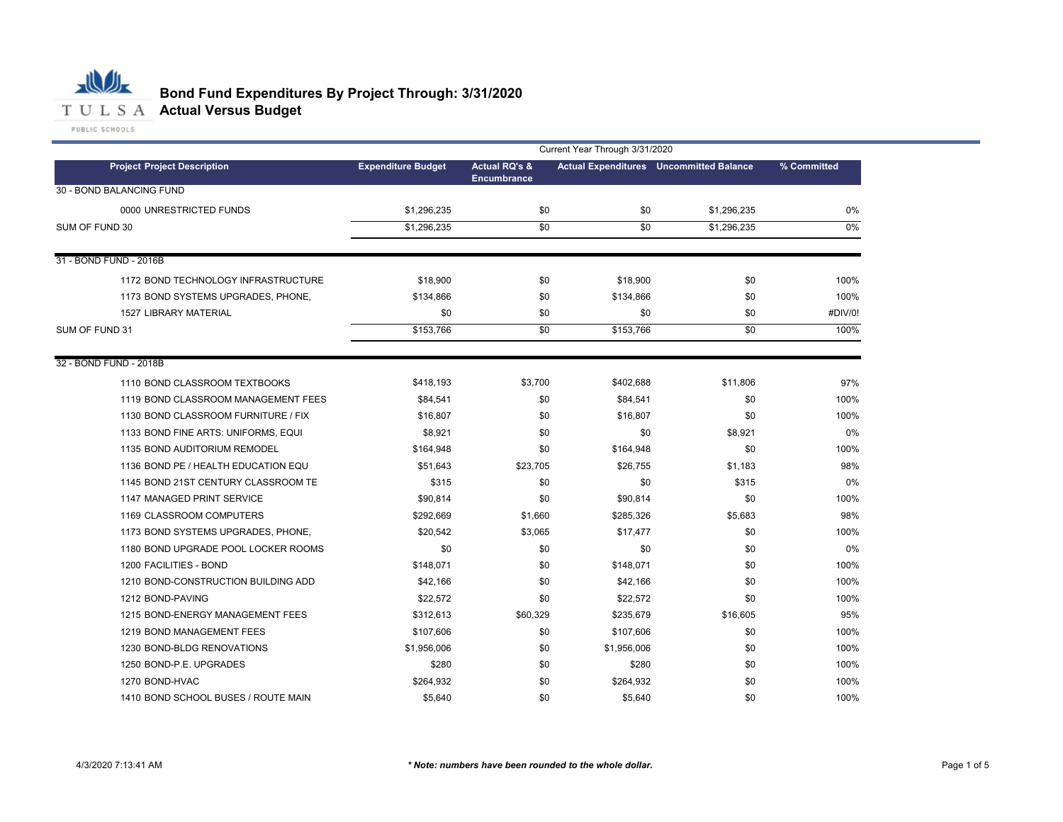

# **Bond Fund Expenditures By Project Through: 3/31/2020**

|                                     | Current Year Through 3/31/2020 |                                                |                                                |             |             |  |  |  |
|-------------------------------------|--------------------------------|------------------------------------------------|------------------------------------------------|-------------|-------------|--|--|--|
| <b>Project Project Description</b>  | <b>Expenditure Budget</b>      | <b>Actual RQ's &amp;</b><br><b>Encumbrance</b> | <b>Actual Expenditures</b> Uncommitted Balance |             | % Committed |  |  |  |
| 30 - BOND BALANCING FUND            |                                |                                                |                                                |             |             |  |  |  |
| 0000 UNRESTRICTED FUNDS             | \$1,296,235                    | \$0                                            | \$0                                            | \$1,296,235 | 0%          |  |  |  |
| SUM OF FUND 30                      | \$1,296,235                    | \$0                                            | \$0                                            | \$1,296,235 | $0\%$       |  |  |  |
|                                     |                                |                                                |                                                |             |             |  |  |  |
| 31 - BOND FUND - 2016B              |                                |                                                |                                                |             |             |  |  |  |
| 1172 BOND TECHNOLOGY INFRASTRUCTURE | \$18,900                       | \$0                                            | \$18,900                                       | \$0         | 100%        |  |  |  |
| 1173 BOND SYSTEMS UPGRADES, PHONE,  | \$134,866                      | \$0                                            | \$134,866                                      | \$0         | 100%        |  |  |  |
| 1527 LIBRARY MATERIAL               | \$0                            | \$0                                            | \$0                                            | \$0         | #DIV/0!     |  |  |  |
| SUM OF FUND 31                      | \$153,766                      | \$0                                            | \$153,766                                      | \$0         | 100%        |  |  |  |
|                                     |                                |                                                |                                                |             |             |  |  |  |
| 32 - BOND FUND - 2018B              |                                |                                                |                                                |             |             |  |  |  |
| 1110 BOND CLASSROOM TEXTBOOKS       | \$418,193                      | \$3,700                                        | \$402,688                                      | \$11,806    | 97%         |  |  |  |
| 1119 BOND CLASSROOM MANAGEMENT FEES | \$84,541                       | \$0                                            | \$84,541                                       | \$0         | 100%        |  |  |  |
| 1130 BOND CLASSROOM FURNITURE / FIX | \$16,807                       | \$0                                            | \$16,807                                       | \$0         | 100%        |  |  |  |
| 1133 BOND FINE ARTS: UNIFORMS, EQUI | \$8,921                        | \$0                                            | \$0                                            | \$8,921     | 0%          |  |  |  |
| 1135 BOND AUDITORIUM REMODEL        | \$164,948                      | \$0                                            | \$164,948                                      | \$0         | 100%        |  |  |  |
| 1136 BOND PE / HEALTH EDUCATION EQU | \$51,643                       | \$23,705                                       | \$26,755                                       | \$1,183     | 98%         |  |  |  |
| 1145 BOND 21ST CENTURY CLASSROOM TE | \$315                          | \$0                                            | \$0                                            | \$315       | 0%          |  |  |  |
| 1147 MANAGED PRINT SERVICE          | \$90,814                       | \$0                                            | \$90,814                                       | \$0         | 100%        |  |  |  |
| 1169 CLASSROOM COMPUTERS            | \$292,669                      | \$1,660                                        | \$285,326                                      | \$5,683     | 98%         |  |  |  |
| 1173 BOND SYSTEMS UPGRADES, PHONE,  | \$20,542                       | \$3,065                                        | \$17,477                                       | \$0         | 100%        |  |  |  |
| 1180 BOND UPGRADE POOL LOCKER ROOMS | \$0                            | \$0                                            | \$0                                            | \$0         | 0%          |  |  |  |
| 1200 FACILITIES - BOND              | \$148,071                      | \$0                                            | \$148,071                                      | \$0         | 100%        |  |  |  |
| 1210 BOND-CONSTRUCTION BUILDING ADD | \$42.166                       | \$0                                            | \$42,166                                       | \$0         | 100%        |  |  |  |
| 1212 BOND-PAVING                    | \$22,572                       | \$0                                            | \$22,572                                       | \$0         | 100%        |  |  |  |
| 1215 BOND-ENERGY MANAGEMENT FEES    | \$312,613                      | \$60,329                                       | \$235,679                                      | \$16,605    | 95%         |  |  |  |
| 1219 BOND MANAGEMENT FEES           | \$107,606                      | \$0                                            | \$107,606                                      | \$0         | 100%        |  |  |  |
| 1230 BOND-BLDG RENOVATIONS          | \$1,956,006                    | \$0                                            | \$1,956,006                                    | \$0         | 100%        |  |  |  |
| 1250 BOND-P.E. UPGRADES             | \$280                          | \$0                                            | \$280                                          | \$0         | 100%        |  |  |  |
| 1270 BOND-HVAC                      | \$264,932                      | \$0                                            | \$264,932                                      | \$0         | 100%        |  |  |  |
| 1410 BOND SCHOOL BUSES / ROUTE MAIN | \$5,640                        | \$0                                            | \$5,640                                        | \$0         | 100%        |  |  |  |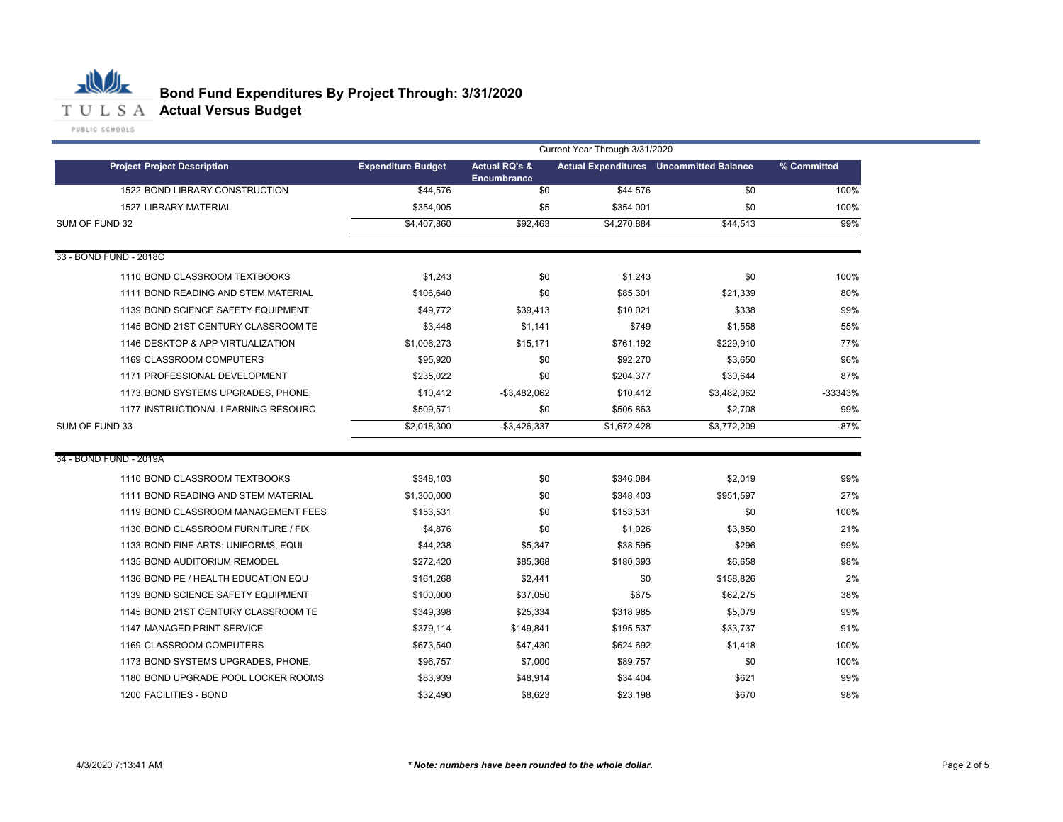

|                                     | Current Year Through 3/31/2020 |                                                |             |                                                |             |  |  |  |  |  |
|-------------------------------------|--------------------------------|------------------------------------------------|-------------|------------------------------------------------|-------------|--|--|--|--|--|
| <b>Project Project Description</b>  | <b>Expenditure Budget</b>      | <b>Actual RQ's &amp;</b><br><b>Encumbrance</b> |             | <b>Actual Expenditures</b> Uncommitted Balance | % Committed |  |  |  |  |  |
| 1522 BOND LIBRARY CONSTRUCTION      | \$44,576                       | \$0                                            | \$44,576    | \$0                                            | 100%        |  |  |  |  |  |
| <b>1527 LIBRARY MATERIAL</b>        | \$354,005                      | \$5                                            | \$354,001   | \$0                                            | 100%        |  |  |  |  |  |
| SUM OF FUND 32                      | \$4,407,860                    | \$92,463                                       | \$4,270,884 | \$44,513                                       | 99%         |  |  |  |  |  |
| 33 - BOND FUND - 2018C              |                                |                                                |             |                                                |             |  |  |  |  |  |
| 1110 BOND CLASSROOM TEXTBOOKS       | \$1,243                        | \$0                                            | \$1,243     | \$0                                            | 100%        |  |  |  |  |  |
| 1111 BOND READING AND STEM MATERIAL | \$106,640                      | \$0                                            | \$85,301    | \$21,339                                       | 80%         |  |  |  |  |  |
| 1139 BOND SCIENCE SAFETY EQUIPMENT  | \$49,772                       | \$39,413                                       | \$10,021    | \$338                                          | 99%         |  |  |  |  |  |
| 1145 BOND 21ST CENTURY CLASSROOM TE | \$3,448                        | \$1,141                                        | \$749       | \$1,558                                        | 55%         |  |  |  |  |  |
| 1146 DESKTOP & APP VIRTUALIZATION   | \$1,006,273                    | \$15,171                                       | \$761,192   | \$229,910                                      | 77%         |  |  |  |  |  |
| 1169 CLASSROOM COMPUTERS            | \$95,920                       | \$0                                            | \$92,270    | \$3,650                                        | 96%         |  |  |  |  |  |
| 1171 PROFESSIONAL DEVELOPMENT       | \$235,022                      | \$0                                            | \$204,377   | \$30,644                                       | 87%         |  |  |  |  |  |
| 1173 BOND SYSTEMS UPGRADES, PHONE,  | \$10,412                       | $-$3,482,062$                                  | \$10,412    | \$3,482,062                                    | -33343%     |  |  |  |  |  |
| 1177 INSTRUCTIONAL LEARNING RESOURC | \$509,571                      | \$0                                            | \$506,863   | \$2,708                                        | 99%         |  |  |  |  |  |
| SUM OF FUND 33                      | \$2,018,300                    | $-$3,426,337$                                  | \$1,672,428 | \$3,772,209                                    | $-87%$      |  |  |  |  |  |
| 34 - BOND FUND - 2019A              |                                |                                                |             |                                                |             |  |  |  |  |  |
| 1110 BOND CLASSROOM TEXTBOOKS       | \$348,103                      | \$0                                            | \$346,084   | \$2,019                                        | 99%         |  |  |  |  |  |
| 1111 BOND READING AND STEM MATERIAL | \$1,300,000                    | \$0                                            | \$348,403   | \$951,597                                      | 27%         |  |  |  |  |  |
| 1119 BOND CLASSROOM MANAGEMENT FEES | \$153,531                      | \$0                                            | \$153,531   | \$0                                            | 100%        |  |  |  |  |  |
| 1130 BOND CLASSROOM FURNITURE / FIX | \$4,876                        | \$0                                            | \$1,026     | \$3,850                                        | 21%         |  |  |  |  |  |
| 1133 BOND FINE ARTS: UNIFORMS, EQUI | \$44,238                       | \$5,347                                        | \$38,595    | \$296                                          | 99%         |  |  |  |  |  |
| 1135 BOND AUDITORIUM REMODEL        | \$272.420                      | \$85,368                                       | \$180,393   | \$6,658                                        | 98%         |  |  |  |  |  |
| 1136 BOND PE / HEALTH EDUCATION EQU | \$161,268                      | \$2,441                                        | \$0         | \$158,826                                      | 2%          |  |  |  |  |  |
| 1139 BOND SCIENCE SAFETY EQUIPMENT  | \$100,000                      | \$37,050                                       | \$675       | \$62,275                                       | 38%         |  |  |  |  |  |
| 1145 BOND 21ST CENTURY CLASSROOM TE | \$349,398                      | \$25,334                                       | \$318.985   | \$5,079                                        | 99%         |  |  |  |  |  |
| 1147 MANAGED PRINT SERVICE          | \$379,114                      | \$149,841                                      | \$195,537   | \$33,737                                       | 91%         |  |  |  |  |  |
| 1169 CLASSROOM COMPUTERS            | \$673,540                      | \$47,430                                       | \$624,692   | \$1,418                                        | 100%        |  |  |  |  |  |
| 1173 BOND SYSTEMS UPGRADES, PHONE,  | \$96,757                       | \$7,000                                        | \$89,757    | \$0                                            | 100%        |  |  |  |  |  |
| 1180 BOND UPGRADE POOL LOCKER ROOMS | \$83,939                       | \$48,914                                       | \$34,404    | \$621                                          | 99%         |  |  |  |  |  |
| 1200 FACILITIES - BOND              | \$32.490                       | \$8.623                                        | \$23,198    | \$670                                          | 98%         |  |  |  |  |  |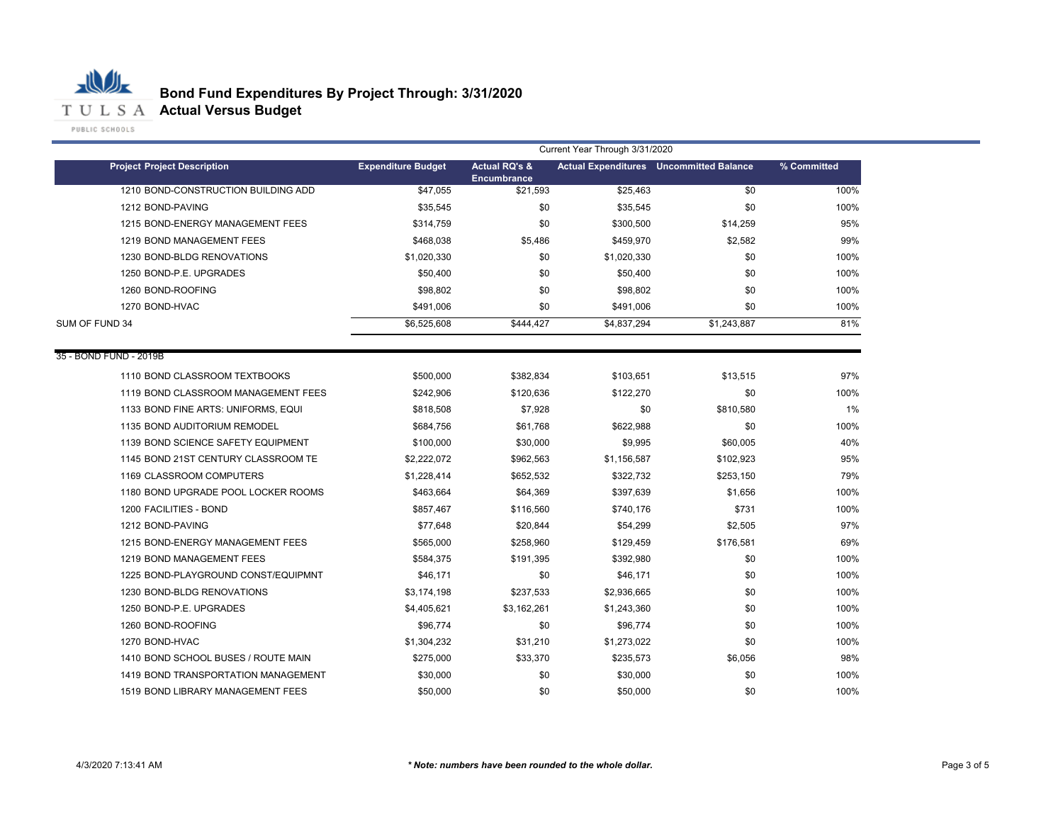

| <b>Project Project Description</b>  | Current Year Through 3/31/2020 |                                                |             |                                                |             |
|-------------------------------------|--------------------------------|------------------------------------------------|-------------|------------------------------------------------|-------------|
|                                     | <b>Expenditure Budget</b>      | <b>Actual RQ's &amp;</b><br><b>Encumbrance</b> |             | <b>Actual Expenditures</b> Uncommitted Balance | % Committed |
| 1210 BOND-CONSTRUCTION BUILDING ADD | \$47,055                       | \$21,593                                       | \$25,463    | \$0                                            | 100%        |
| 1212 BOND-PAVING                    | \$35,545                       | \$0                                            | \$35,545    | \$0                                            | 100%        |
| 1215 BOND-ENERGY MANAGEMENT FEES    | \$314,759                      | \$0                                            | \$300,500   | \$14,259                                       | 95%         |
| 1219 BOND MANAGEMENT FEES           | \$468,038                      | \$5,486                                        | \$459,970   | \$2,582                                        | 99%         |
| 1230 BOND-BLDG RENOVATIONS          | \$1,020,330                    | \$0                                            | \$1,020,330 | \$0                                            | 100%        |
| 1250 BOND-P.E. UPGRADES             | \$50,400                       | \$0                                            | \$50,400    | \$0                                            | 100%        |
| 1260 BOND-ROOFING                   | \$98,802                       | \$0                                            | \$98,802    | \$0                                            | 100%        |
| 1270 BOND-HVAC                      | \$491,006                      | \$0                                            | \$491,006   | \$0                                            | 100%        |
| SUM OF FUND 34                      | \$6,525,608                    | \$444,427                                      | \$4,837,294 | \$1,243,887                                    | 81%         |
| 35 - BOND FUND - 2019B              |                                |                                                |             |                                                |             |
| 1110 BOND CLASSROOM TEXTBOOKS       | \$500,000                      | \$382,834                                      | \$103,651   | \$13,515                                       | 97%         |
| 1119 BOND CLASSROOM MANAGEMENT FEES | \$242,906                      | \$120,636                                      | \$122,270   | \$0                                            | 100%        |
| 1133 BOND FINE ARTS: UNIFORMS, EQUI | \$818,508                      | \$7,928                                        | \$0         | \$810,580                                      | 1%          |
| 1135 BOND AUDITORIUM REMODEL        | \$684,756                      | \$61,768                                       | \$622,988   | \$0                                            | 100%        |
| 1139 BOND SCIENCE SAFETY EQUIPMENT  | \$100,000                      | \$30,000                                       | \$9,995     | \$60,005                                       | 40%         |
| 1145 BOND 21ST CENTURY CLASSROOM TE | \$2,222,072                    | \$962,563                                      | \$1,156,587 | \$102,923                                      | 95%         |
| 1169 CLASSROOM COMPUTERS            | \$1,228,414                    | \$652,532                                      | \$322,732   | \$253,150                                      | 79%         |
| 1180 BOND UPGRADE POOL LOCKER ROOMS | \$463,664                      | \$64,369                                       | \$397,639   | \$1,656                                        | 100%        |
| 1200 FACILITIES - BOND              | \$857,467                      | \$116,560                                      | \$740,176   | \$731                                          | 100%        |
| 1212 BOND-PAVING                    | \$77,648                       | \$20,844                                       | \$54,299    | \$2,505                                        | 97%         |
| 1215 BOND-ENERGY MANAGEMENT FEES    | \$565,000                      | \$258,960                                      | \$129,459   | \$176,581                                      | 69%         |
| 1219 BOND MANAGEMENT FEES           | \$584,375                      | \$191,395                                      | \$392,980   | \$0                                            | 100%        |
| 1225 BOND-PLAYGROUND CONST/EQUIPMNT | \$46,171                       | \$0                                            | \$46,171    | \$0                                            | 100%        |
| 1230 BOND-BLDG RENOVATIONS          | \$3,174,198                    | \$237,533                                      | \$2,936,665 | \$0                                            | 100%        |
| 1250 BOND-P.E. UPGRADES             | \$4,405,621                    | \$3,162,261                                    | \$1,243,360 | \$0                                            | 100%        |
| 1260 BOND-ROOFING                   | \$96,774                       | \$0                                            | \$96,774    | \$0                                            | 100%        |
| 1270 BOND-HVAC                      | \$1,304,232                    | \$31,210                                       | \$1,273,022 | \$0                                            | 100%        |
| 1410 BOND SCHOOL BUSES / ROUTE MAIN | \$275,000                      | \$33,370                                       | \$235,573   | \$6,056                                        | 98%         |
| 1419 BOND TRANSPORTATION MANAGEMENT | \$30,000                       | \$0                                            | \$30,000    | \$0                                            | 100%        |
| 1519 BOND LIBRARY MANAGEMENT FEES   | \$50,000                       | \$0                                            | \$50,000    | \$0                                            | 100%        |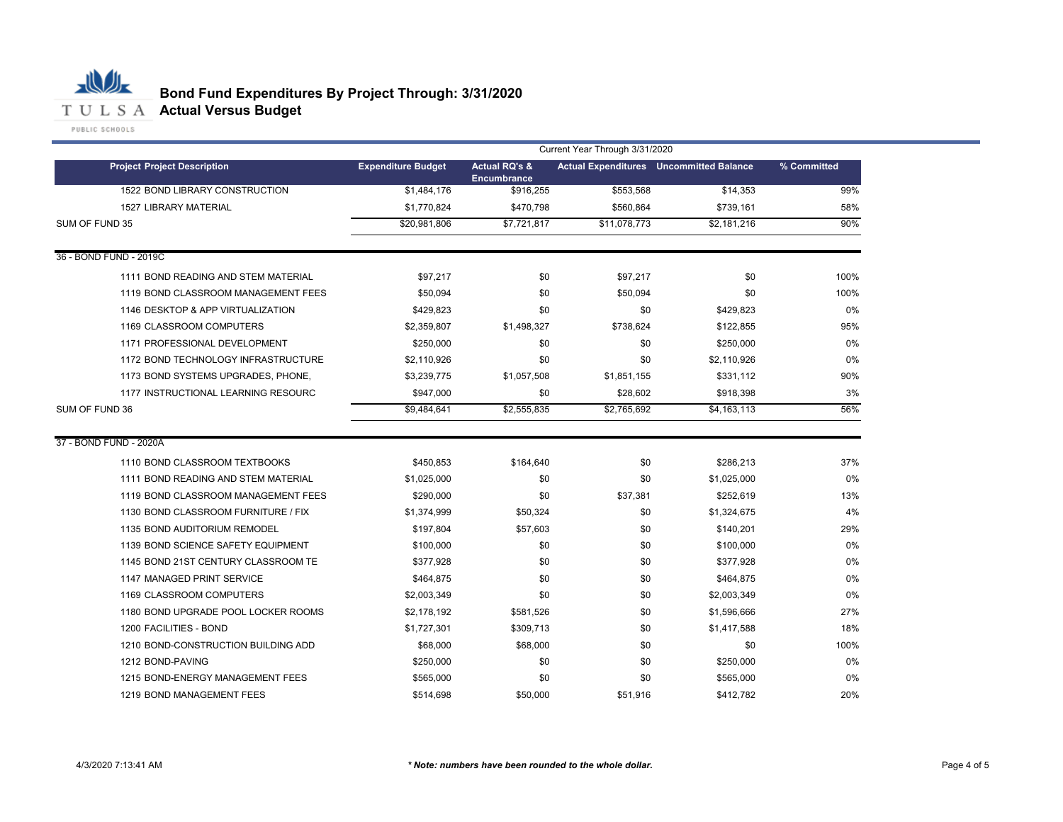

| <b>Project Project Description</b>  | Current Year Through 3/31/2020 |                                                |              |                                                |             |  |
|-------------------------------------|--------------------------------|------------------------------------------------|--------------|------------------------------------------------|-------------|--|
|                                     | <b>Expenditure Budget</b>      | <b>Actual RQ's &amp;</b><br><b>Encumbrance</b> |              | <b>Actual Expenditures</b> Uncommitted Balance | % Committed |  |
| 1522 BOND LIBRARY CONSTRUCTION      | \$1,484,176                    | \$916,255                                      | \$553,568    | \$14,353                                       | 99%         |  |
| <b>1527 LIBRARY MATERIAL</b>        | \$1,770,824                    | \$470,798                                      | \$560,864    | \$739,161                                      | 58%         |  |
| SUM OF FUND 35                      | \$20,981,806                   | \$7,721,817                                    | \$11,078,773 | \$2,181,216                                    | 90%         |  |
| 36 - BOND FUND - 2019C              |                                |                                                |              |                                                |             |  |
| 1111 BOND READING AND STEM MATERIAL | \$97,217                       | \$0                                            | \$97,217     | \$0                                            | 100%        |  |
| 1119 BOND CLASSROOM MANAGEMENT FEES | \$50.094                       | \$0                                            | \$50,094     | \$0                                            | 100%        |  |
| 1146 DESKTOP & APP VIRTUALIZATION   | \$429,823                      | \$0                                            | \$0          | \$429.823                                      | 0%          |  |
| 1169 CLASSROOM COMPUTERS            | \$2,359,807                    | \$1,498,327                                    | \$738,624    | \$122,855                                      | 95%         |  |
| 1171 PROFESSIONAL DEVELOPMENT       | \$250,000                      | \$0                                            | \$0          | \$250,000                                      | 0%          |  |
| 1172 BOND TECHNOLOGY INFRASTRUCTURE | \$2,110,926                    | \$0                                            | \$0          | \$2.110.926                                    | 0%          |  |
| 1173 BOND SYSTEMS UPGRADES, PHONE,  | \$3,239,775                    | \$1,057,508                                    | \$1.851.155  | \$331,112                                      | 90%         |  |
| 1177 INSTRUCTIONAL LEARNING RESOURC | \$947,000                      | \$0                                            | \$28,602     | \$918,398                                      | 3%          |  |
| SUM OF FUND 36                      | \$9,484,641                    | \$2,555,835                                    | \$2,765,692  | \$4,163,113                                    | 56%         |  |
| 37 - BOND FUND - 2020A              |                                |                                                |              |                                                |             |  |
| 1110 BOND CLASSROOM TEXTBOOKS       | \$450.853                      | \$164.640                                      | \$0          | \$286,213                                      | 37%         |  |
| 1111 BOND READING AND STEM MATERIAL | \$1,025,000                    | \$0                                            | \$0          | \$1,025,000                                    | 0%          |  |
| 1119 BOND CLASSROOM MANAGEMENT FEES | \$290,000                      | \$0                                            | \$37,381     | \$252,619                                      | 13%         |  |
| 1130 BOND CLASSROOM FURNITURE / FIX | \$1,374,999                    | \$50,324                                       | \$0          | \$1,324,675                                    | 4%          |  |
| 1135 BOND AUDITORIUM REMODEL        | \$197,804                      | \$57,603                                       | \$0          | \$140,201                                      | 29%         |  |
| 1139 BOND SCIENCE SAFETY EQUIPMENT  | \$100,000                      | \$0                                            | \$0          | \$100,000                                      | 0%          |  |
| 1145 BOND 21ST CENTURY CLASSROOM TE | \$377,928                      | \$0                                            | \$0          | \$377,928                                      | 0%          |  |
| 1147 MANAGED PRINT SERVICE          | \$464,875                      | \$0                                            | \$0          | \$464,875                                      | 0%          |  |
| 1169 CLASSROOM COMPUTERS            | \$2,003,349                    | \$0                                            | \$0          | \$2,003,349                                    | 0%          |  |
| 1180 BOND UPGRADE POOL LOCKER ROOMS | \$2,178,192                    | \$581,526                                      | \$0          | \$1,596,666                                    | 27%         |  |
| 1200 FACILITIES - BOND              | \$1,727,301                    | \$309,713                                      | \$0          | \$1,417,588                                    | 18%         |  |
| 1210 BOND-CONSTRUCTION BUILDING ADD | \$68,000                       | \$68,000                                       | \$0          | \$0                                            | 100%        |  |
| 1212 BOND-PAVING                    | \$250,000                      | \$0                                            | \$0          | \$250,000                                      | 0%          |  |
| 1215 BOND-ENERGY MANAGEMENT FEES    | \$565,000                      | \$0                                            | \$0          | \$565,000                                      | 0%          |  |
| 1219 BOND MANAGEMENT FEES           | \$514.698                      | \$50,000                                       | \$51.916     | \$412.782                                      | 20%         |  |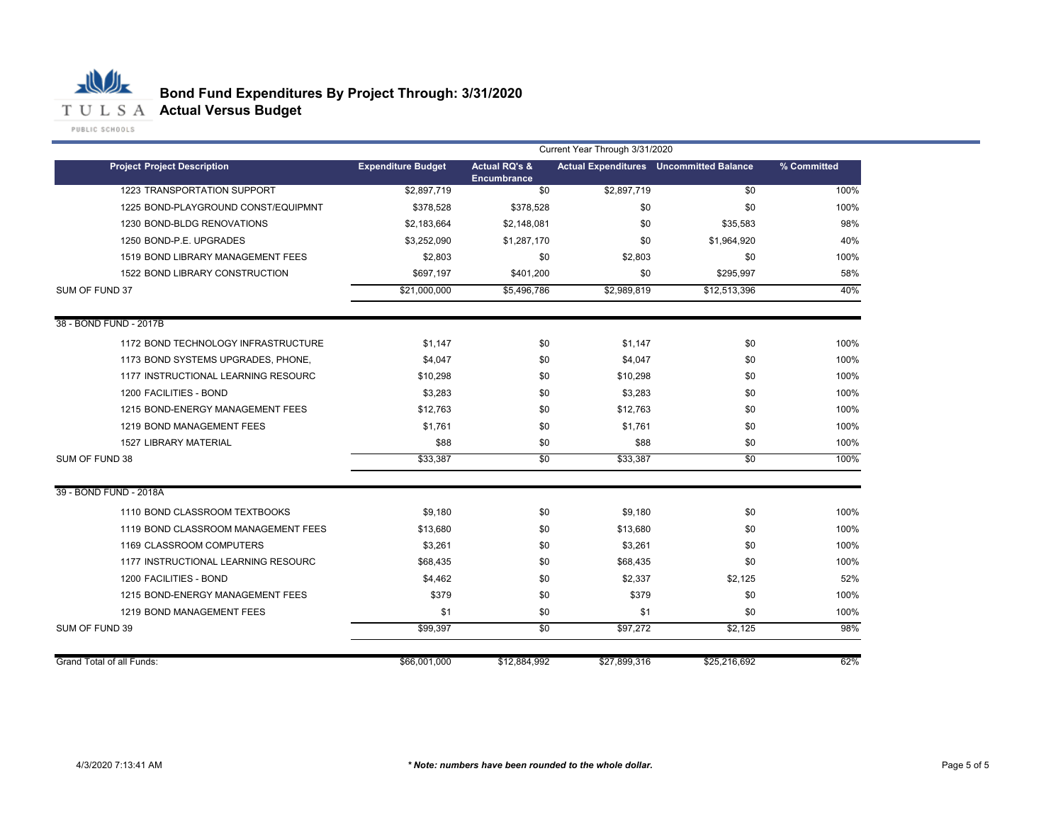

|                                     | Current Year Through 3/31/2020 |                                                |              |                                                |             |
|-------------------------------------|--------------------------------|------------------------------------------------|--------------|------------------------------------------------|-------------|
| <b>Project Project Description</b>  | <b>Expenditure Budget</b>      | <b>Actual RQ's &amp;</b><br><b>Encumbrance</b> |              | <b>Actual Expenditures</b> Uncommitted Balance | % Committed |
| 1223 TRANSPORTATION SUPPORT         | \$2,897,719                    | \$0                                            | \$2,897,719  | \$0                                            | 100%        |
| 1225 BOND-PLAYGROUND CONST/EQUIPMNT | \$378,528                      | \$378,528                                      | \$0          | \$0                                            | 100%        |
| 1230 BOND-BLDG RENOVATIONS          | \$2,183,664                    | \$2,148,081                                    | \$0          | \$35,583                                       | 98%         |
| 1250 BOND-P.E. UPGRADES             | \$3,252,090                    | \$1,287,170                                    | \$0          | \$1,964,920                                    | 40%         |
| 1519 BOND LIBRARY MANAGEMENT FEES   | \$2,803                        | \$0                                            | \$2,803      | \$0                                            | 100%        |
| 1522 BOND LIBRARY CONSTRUCTION      | \$697,197                      | \$401,200                                      | \$0          | \$295,997                                      | 58%         |
| SUM OF FUND 37                      | \$21,000,000                   | \$5,496,786                                    | \$2,989,819  | \$12,513,396                                   | 40%         |
| 38 - BOND FUND - 2017B              |                                |                                                |              |                                                |             |
| 1172 BOND TECHNOLOGY INFRASTRUCTURE | \$1.147                        | \$0                                            | \$1.147      | \$0                                            | 100%        |
| 1173 BOND SYSTEMS UPGRADES, PHONE,  | \$4,047                        | \$0                                            | \$4,047      | \$0                                            | 100%        |
| 1177 INSTRUCTIONAL LEARNING RESOURC | \$10.298                       | \$0                                            | \$10,298     | \$0                                            | 100%        |
| 1200 FACILITIES - BOND              | \$3,283                        | \$0                                            | \$3,283      | \$0                                            | 100%        |
| 1215 BOND-ENERGY MANAGEMENT FEES    | \$12,763                       | \$0                                            | \$12,763     | \$0                                            | 100%        |
| 1219 BOND MANAGEMENT FEES           | \$1,761                        | \$0                                            | \$1,761      | \$0                                            | 100%        |
| <b>1527 LIBRARY MATERIAL</b>        | \$88                           | \$0                                            | \$88         | \$0                                            | 100%        |
| SUM OF FUND 38                      | \$33.387                       | $\overline{50}$                                | \$33.387     | $\overline{50}$                                | 100%        |
| 39 - BOND FUND - 2018A              |                                |                                                |              |                                                |             |
| 1110 BOND CLASSROOM TEXTBOOKS       | \$9,180                        | \$0                                            | \$9,180      | \$0                                            | 100%        |
| 1119 BOND CLASSROOM MANAGEMENT FEES | \$13,680                       | \$0                                            | \$13,680     | \$0                                            | 100%        |
| 1169 CLASSROOM COMPUTERS            | \$3,261                        | \$0                                            | \$3,261      | \$0                                            | 100%        |
| 1177 INSTRUCTIONAL LEARNING RESOURC | \$68,435                       | \$0                                            | \$68,435     | \$0                                            | 100%        |
| 1200 FACILITIES - BOND              | \$4,462                        | \$0                                            | \$2,337      | \$2,125                                        | 52%         |
| 1215 BOND-ENERGY MANAGEMENT FEES    | \$379                          | \$0                                            | \$379        | \$0                                            | 100%        |
| 1219 BOND MANAGEMENT FEES           | \$1                            | \$0                                            | \$1          | \$0                                            | 100%        |
| SUM OF FUND 39                      | \$99,397                       | \$0                                            | \$97,272     | \$2,125                                        | 98%         |
| <b>Grand Total of all Funds:</b>    | \$66,001,000                   | \$12,884,992                                   | \$27,899,316 | \$25,216,692                                   | 62%         |